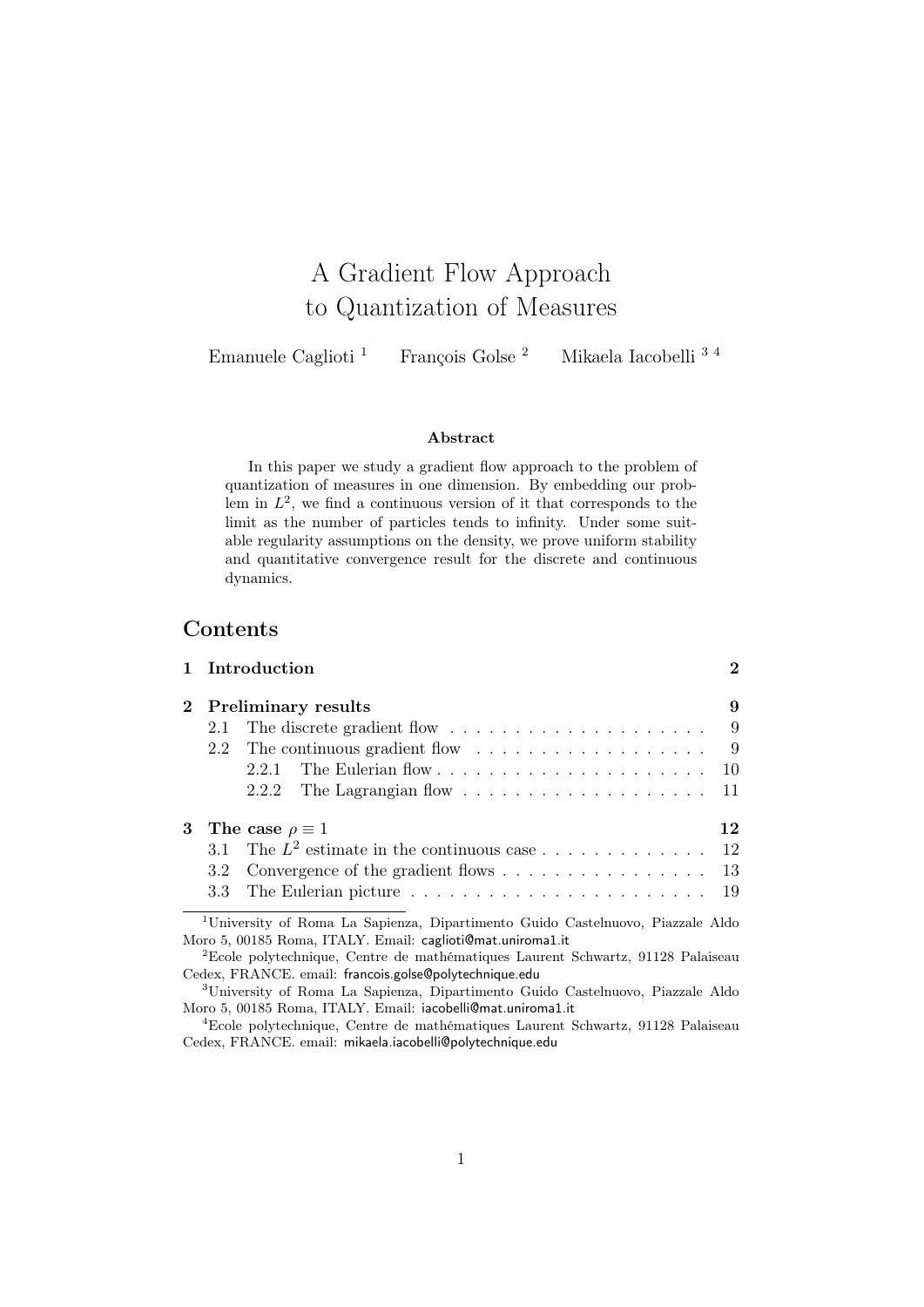# A Gradient Flow Approach to Quantization of Measures

Emanuele Caglioti<sup>1</sup> François Golse<sup>2</sup> Mikaela Iacobelli<sup>34</sup>

## Abstract

In this paper we study a gradient flow approach to the problem of quantization of measures in one dimension. By embedding our problem in  $L^2$ , we find a continuous version of it that corresponds to the limit as the number of particles tends to infinity. Under some suitable regularity assumptions on the density, we prove uniform stability and quantitative convergence result for the discrete and continuous dynamics.

## Contents

|   |                  | 1 Introduction                                                                                                                                           | $\bf{2}$ |
|---|------------------|----------------------------------------------------------------------------------------------------------------------------------------------------------|----------|
|   |                  | 2 Preliminary results                                                                                                                                    | 9        |
|   | 2.1              | The discrete gradient flow $\dots \dots \dots \dots \dots \dots \dots$                                                                                   | - 9      |
|   | 2.2              | The continuous gradient flow $\dots \dots \dots \dots \dots \dots \dots$ 9                                                                               |          |
|   |                  | The Eulerian flow $\ldots \ldots \ldots \ldots \ldots \ldots \ldots \ldots 10$<br>2.2.1                                                                  |          |
|   |                  |                                                                                                                                                          |          |
| 3 |                  | The case $\rho \equiv 1$                                                                                                                                 | 12       |
|   | 31               |                                                                                                                                                          |          |
|   | 3.2 <sub>1</sub> | Convergence of the gradient flows $\dots \dots \dots \dots \dots \dots \dots$ 13                                                                         |          |
|   |                  |                                                                                                                                                          |          |
|   |                  | <sup>1</sup> University of Roma La Sapienza, Dipartimento Guido Castelnuovo, Piazzale Aldo<br>Moro 5, 00185 Roma, ITALY. Email: caglioti@mat.uniroma1.it |          |

 ${}^{2}$ Ecole polytechnique, Centre de mathématiques Laurent Schwartz, 91128 Palaiseau Cedex, FRANCE. email: francois.golse@polytechnique.edu

<sup>3</sup>University of Roma La Sapienza, Dipartimento Guido Castelnuovo, Piazzale Aldo Moro 5, 00185 Roma, ITALY. Email: iacobelli@mat.uniroma1.it

<sup>4</sup>Ecole polytechnique, Centre de mathématiques Laurent Schwartz, 91128 Palaiseau Cedex, FRANCE. email: mikaela.iacobelli@polytechnique.edu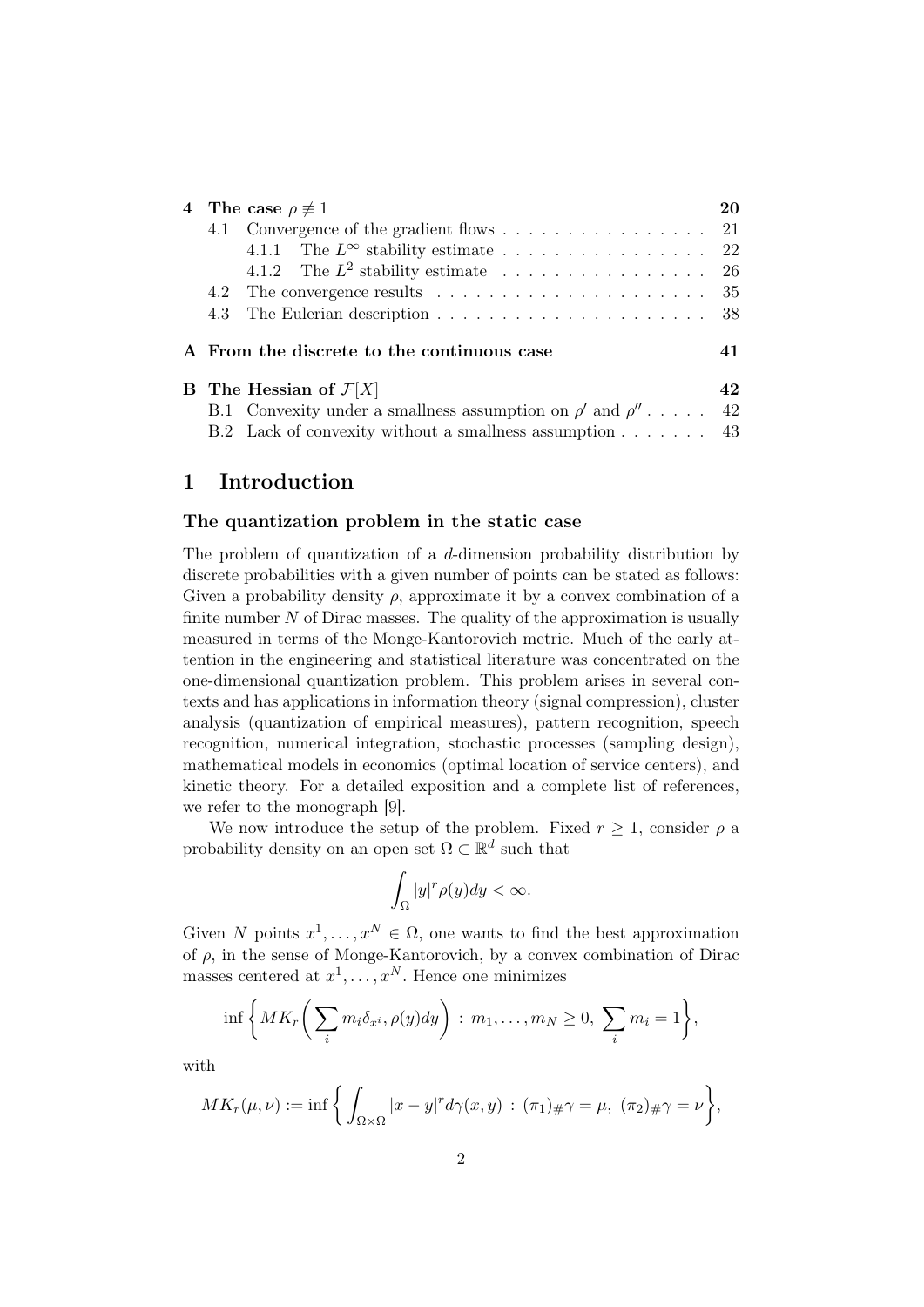| 4 The case $\rho \not\equiv 1$             |                                                                                                                                                                                                                 |
|--------------------------------------------|-----------------------------------------------------------------------------------------------------------------------------------------------------------------------------------------------------------------|
|                                            |                                                                                                                                                                                                                 |
|                                            |                                                                                                                                                                                                                 |
|                                            | -26                                                                                                                                                                                                             |
|                                            | 35                                                                                                                                                                                                              |
| 4.3                                        |                                                                                                                                                                                                                 |
| A From the discrete to the continuous case | 41                                                                                                                                                                                                              |
| <b>B</b> The Hessian of $\mathcal{F}[X]$   | 42                                                                                                                                                                                                              |
|                                            | 42                                                                                                                                                                                                              |
|                                            |                                                                                                                                                                                                                 |
|                                            | 4.1 Convergence of the gradient flows 21<br>4.1.2 The $L^2$ stability estimate<br>B.1 Convexity under a smallness assumption on $\rho'$ and $\rho''$<br>B.2 Lack of convexity without a smallness assumption 43 |

## 1 Introduction

## The quantization problem in the static case

The problem of quantization of a d-dimension probability distribution by discrete probabilities with a given number of points can be stated as follows: Given a probability density  $\rho$ , approximate it by a convex combination of a finite number  $N$  of Dirac masses. The quality of the approximation is usually measured in terms of the Monge-Kantorovich metric. Much of the early attention in the engineering and statistical literature was concentrated on the one-dimensional quantization problem. This problem arises in several contexts and has applications in information theory (signal compression), cluster analysis (quantization of empirical measures), pattern recognition, speech recognition, numerical integration, stochastic processes (sampling design), mathematical models in economics (optimal location of service centers), and kinetic theory. For a detailed exposition and a complete list of references, we refer to the monograph [9].

We now introduce the setup of the problem. Fixed  $r \geq 1$ , consider  $\rho$  a probability density on an open set  $\Omega \subset \mathbb{R}^d$  such that

$$
\int_{\Omega}|y|^{r}\rho(y)dy < \infty.
$$

Given N points  $x^1, \ldots, x^N \in \Omega$ , one wants to find the best approximation of  $\rho$ , in the sense of Monge-Kantorovich, by a convex combination of Dirac masses centered at  $x^1, \ldots, x^N$ . Hence one minimizes

$$
\inf \bigg\{ MK_r \bigg( \sum_i m_i \delta_{x^i}, \rho(y) dy \bigg) : m_1, \dots, m_N \ge 0, \sum_i m_i = 1 \bigg\},\
$$

with

$$
MK_r(\mu,\nu) := \inf \left\{ \int_{\Omega \times \Omega} |x - y|^r d\gamma(x,y) : (\pi_1)_{\#} \gamma = \mu, \ (\pi_2)_{\#} \gamma = \nu \right\},\
$$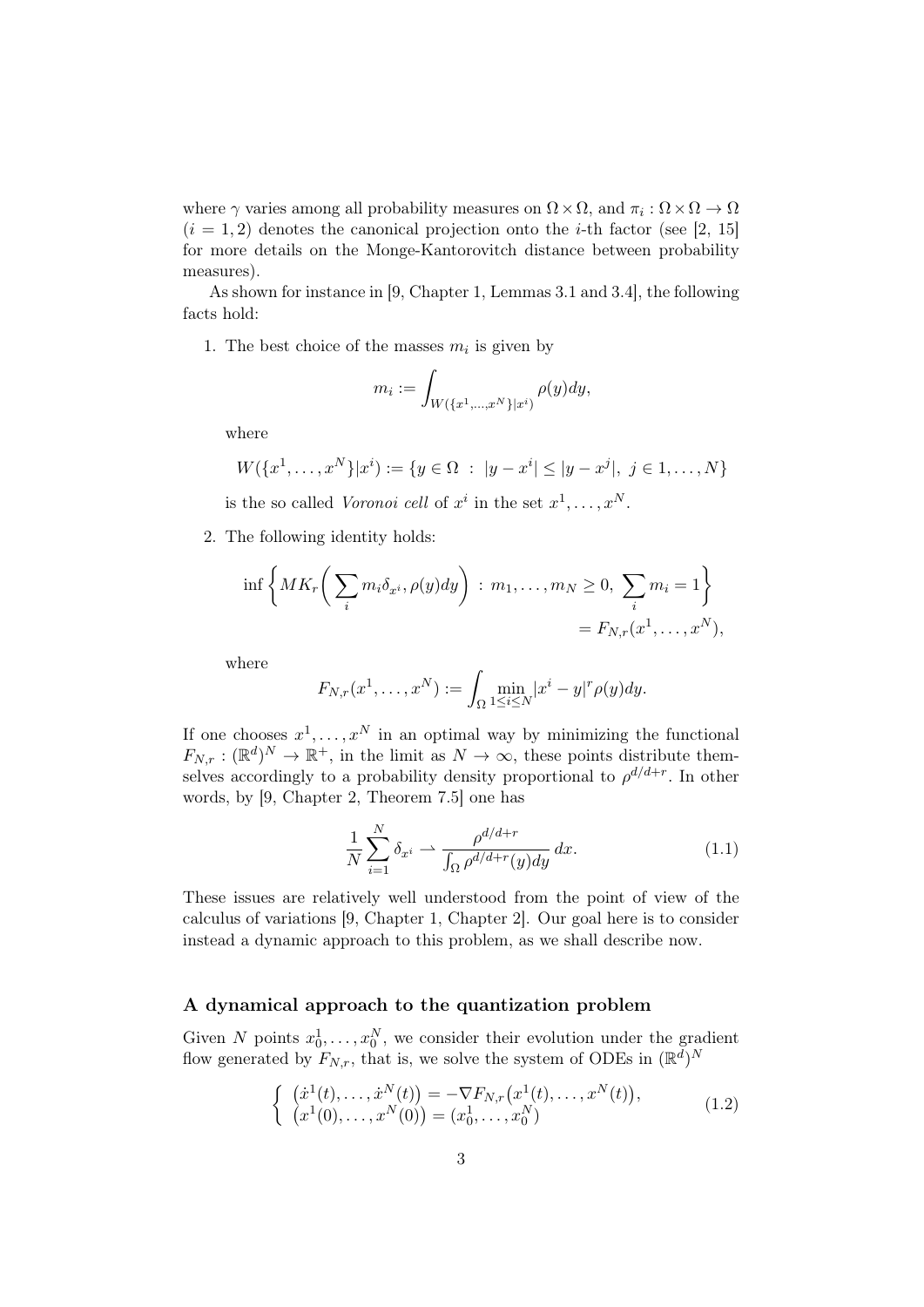where  $\gamma$  varies among all probability measures on  $\Omega \times \Omega$ , and  $\pi_i : \Omega \times \Omega \to \Omega$  $(i = 1, 2)$  denotes the canonical projection onto the *i*-th factor (see [2, 15] for more details on the Monge-Kantorovitch distance between probability measures).

As shown for instance in [9, Chapter 1, Lemmas 3.1 and 3.4], the following facts hold:

1. The best choice of the masses  $m_i$  is given by

$$
m_i := \int_{W(\{x^1, ..., x^N\}|x^i)} \rho(y) dy,
$$

where

$$
W({x1,...,xN}|xi) := {y \in \Omega : |y - xi| \le |y - xj|, j \in 1,...,N}
$$

is the so called Voronoi cell of  $x^i$  in the set  $x^1, \ldots, x^N$ .

2. The following identity holds:

$$
\inf \left\{ MK_r \bigg( \sum_i m_i \delta_{x^i}, \rho(y) dy \bigg) : m_1, \dots, m_N \ge 0, \sum_i m_i = 1 \right\}
$$
  
=  $F_{N,r}(x^1, \dots, x^N),$ 

where

$$
F_{N,r}(x^1,\ldots,x^N):=\int_{\Omega}\min_{1\leq i\leq N}|x^i-y|^r\rho(y)dy.
$$

If one chooses  $x^1, \ldots, x^N$  in an optimal way by minimizing the functional  $F_{N,r} : (\mathbb{R}^d)^N \to \mathbb{R}^+,$  in the limit as  $N \to \infty$ , these points distribute themselves accordingly to a probability density proportional to  $\rho^{d/d+r}$ . In other words, by [9, Chapter 2, Theorem 7.5] one has

$$
\frac{1}{N} \sum_{i=1}^{N} \delta_{x^i} \rightharpoonup \frac{\rho^{d/d+r}}{\int_{\Omega} \rho^{d/d+r}(y) dy} dx.
$$
\n(1.1)

These issues are relatively well understood from the point of view of the calculus of variations [9, Chapter 1, Chapter 2]. Our goal here is to consider instead a dynamic approach to this problem, as we shall describe now.

#### A dynamical approach to the quantization problem

Given N points  $x_0^1, \ldots, x_0^N$ , we consider their evolution under the gradient flow generated by  $F_{N,r}$ , that is, we solve the system of ODEs in  $(\mathbb{R}^d)^N$ 

$$
\begin{cases}\n(\dot{x}^1(t),\ldots,\dot{x}^N(t)) = -\nabla F_{N,r}(x^1(t),\ldots,x^N(t)),\\ \n(x^1(0),\ldots,x^N(0)) = (x_0^1,\ldots,x_0^N)\n\end{cases}
$$
\n(1.2)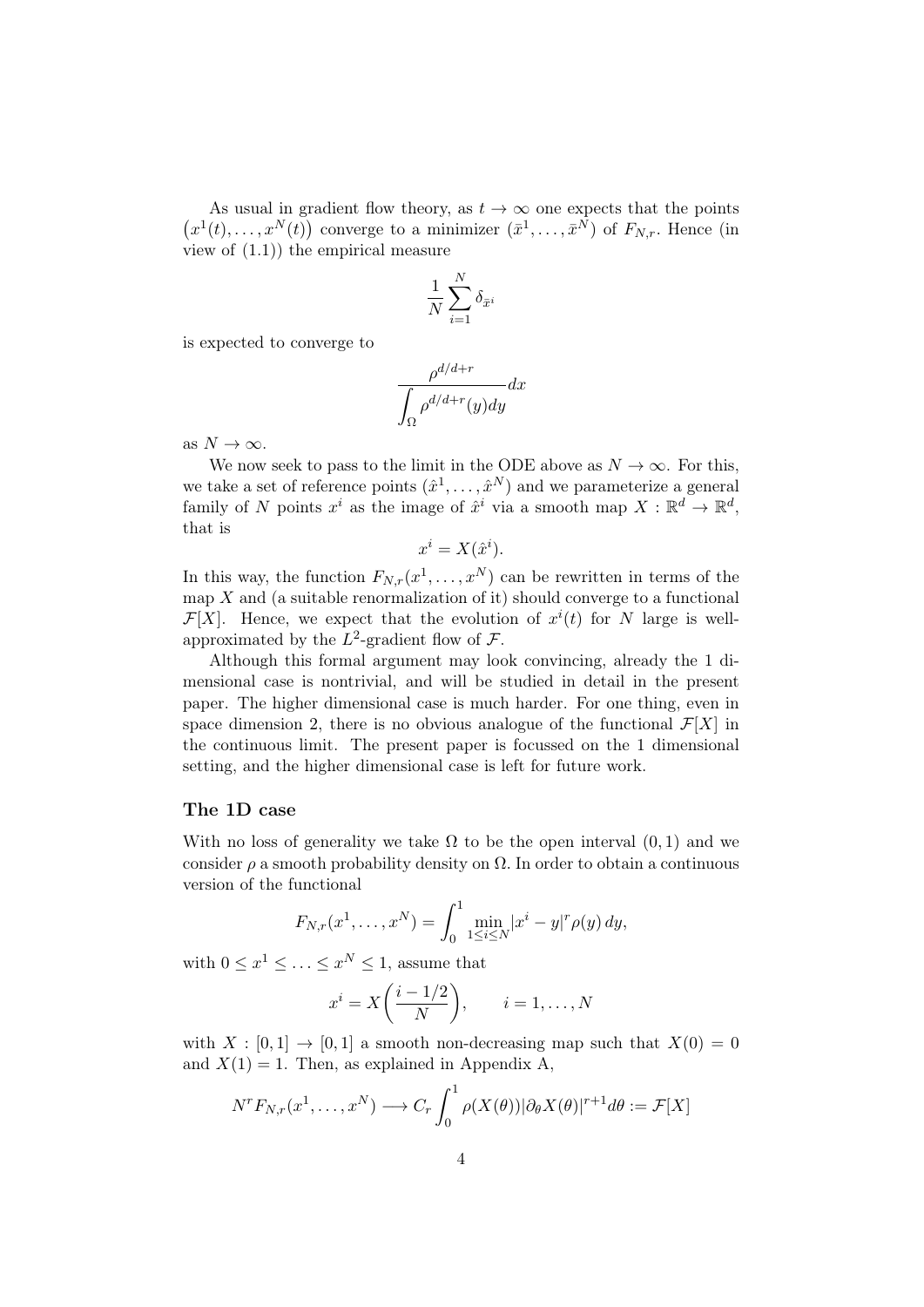As usual in gradient flow theory, as  $t \to \infty$  one expects that the points  $(x^1(t),...,x^N(t))$  converge to a minimizer  $(\bar{x}^1,...,\bar{x}^N)$  of  $F_{N,r}$ . Hence (in view of (1.1)) the empirical measure

$$
\frac{1}{N}\sum_{i=1}^N \delta_{\bar{x}^i}
$$

is expected to converge to

$$
\frac{\rho^{d/d+r}}{\int_{\Omega} \rho^{d/d+r}(y) dy} dx
$$

as  $N \to \infty$ .

We now seek to pass to the limit in the ODE above as  $N \to \infty$ . For this, we take a set of reference points  $(\hat{x}^1, \ldots, \hat{x}^N)$  and we parameterize a general family of N points  $x^i$  as the image of  $\hat{x}^i$  via a smooth map  $X : \mathbb{R}^d \to \mathbb{R}^d$ , that is

$$
x^i = X(\hat{x}^i).
$$

In this way, the function  $F_{N,r}(x^1,\ldots,x^N)$  can be rewritten in terms of the map  $X$  and (a suitable renormalization of it) should converge to a functional  $\mathcal{F}[X]$ . Hence, we expect that the evolution of  $x^{i}(t)$  for N large is wellapproximated by the  $L^2$ -gradient flow of  $\mathcal{F}$ .

Although this formal argument may look convincing, already the 1 dimensional case is nontrivial, and will be studied in detail in the present paper. The higher dimensional case is much harder. For one thing, even in space dimension 2, there is no obvious analogue of the functional  $\mathcal{F}[X]$  in the continuous limit. The present paper is focussed on the 1 dimensional setting, and the higher dimensional case is left for future work.

### The 1D case

With no loss of generality we take  $\Omega$  to be the open interval  $(0, 1)$  and we consider  $\rho$  a smooth probability density on  $\Omega$ . In order to obtain a continuous version of the functional

$$
F_{N,r}(x^1,\ldots,x^N) = \int_0^1 \min_{1 \le i \le N} |x^i - y|^r \rho(y) \, dy,
$$

with  $0 \leq x^1 \leq \ldots \leq x^N \leq 1$ , assume that

$$
x^{i} = X\left(\frac{i-1/2}{N}\right), \qquad i = 1, \dots, N
$$

with  $X : [0,1] \rightarrow [0,1]$  a smooth non-decreasing map such that  $X(0) = 0$ and  $X(1) = 1$ . Then, as explained in Appendix A,

$$
N^r F_{N,r}(x^1, \dots, x^N) \longrightarrow C_r \int_0^1 \rho(X(\theta)) |\partial_{\theta} X(\theta)|^{r+1} d\theta := \mathcal{F}[X]
$$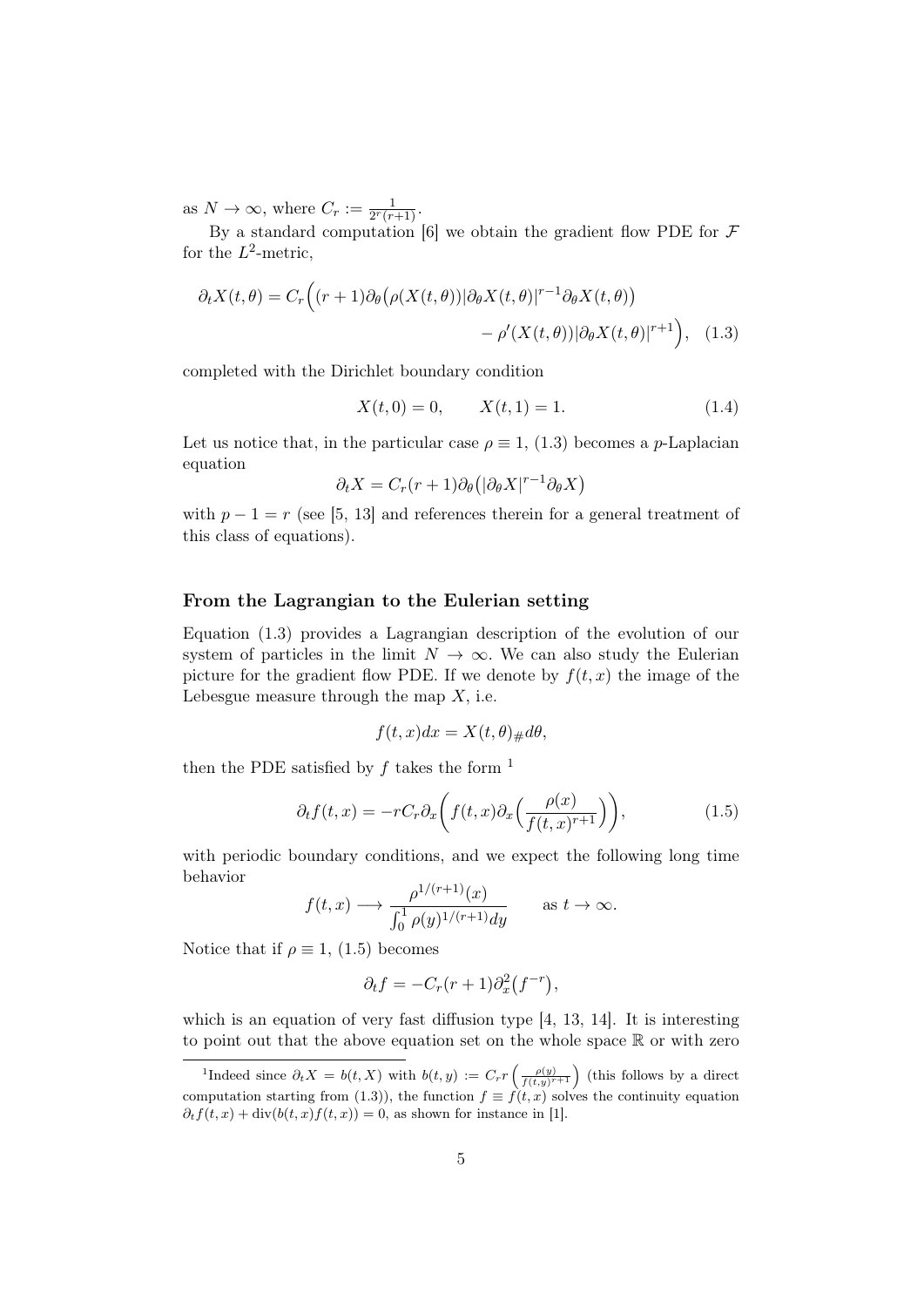as  $N \to \infty$ , where  $C_r := \frac{1}{2^r(r+1)}$ .

By a standard computation [6] we obtain the gradient flow PDE for  $\mathcal F$ for the  $L^2$ -metric,

$$
\partial_t X(t,\theta) = C_r \Big( (r+1) \partial_\theta \big( \rho(X(t,\theta)) | \partial_\theta X(t,\theta) |^{r-1} \partial_\theta X(t,\theta) \big) - \rho'(X(t,\theta)) | \partial_\theta X(t,\theta) |^{r+1} \Big), \quad (1.3)
$$

completed with the Dirichlet boundary condition

$$
X(t,0) = 0, \qquad X(t,1) = 1. \tag{1.4}
$$

Let us notice that, in the particular case  $\rho \equiv 1, (1.3)$  becomes a *p*-Laplacian equation

$$
\partial_t X = C_r(r+1)\partial_\theta(|\partial_\theta X|^{r-1}\partial_\theta X)
$$

with  $p - 1 = r$  (see [5, 13] and references therein for a general treatment of this class of equations).

## From the Lagrangian to the Eulerian setting

Equation (1.3) provides a Lagrangian description of the evolution of our system of particles in the limit  $N \to \infty$ . We can also study the Eulerian picture for the gradient flow PDE. If we denote by  $f(t, x)$  the image of the Lebesgue measure through the map  $X$ , i.e.

$$
f(t, x)dx = X(t, \theta)_{\#}d\theta,
$$

then the PDE satisfied by  $f$  takes the form  $<sup>1</sup>$ </sup>

$$
\partial_t f(t,x) = -rC_r \partial_x \left( f(t,x) \partial_x \left( \frac{\rho(x)}{f(t,x)^{r+1}} \right) \right),\tag{1.5}
$$

with periodic boundary conditions, and we expect the following long time behavior

$$
f(t,x) \longrightarrow \frac{\rho^{1/(r+1)}(x)}{\int_0^1 \rho(y)^{1/(r+1)} dy}
$$
 as  $t \to \infty$ .

Notice that if  $\rho \equiv 1$ , (1.5) becomes

$$
\partial_t f = -C_r(r+1)\partial_x^2(f^{-r}),
$$

which is an equation of very fast diffusion type [4, 13, 14]. It is interesting to point out that the above equation set on the whole space  $\mathbb R$  or with zero

<sup>&</sup>lt;sup>1</sup>Indeed since  $\partial_t X = b(t, X)$  with  $b(t, y) := C_r r\left(\frac{\rho(y)}{f(t, y)^{r+1}}\right)$  (this follows by a direct computation starting from (1.3)), the function  $f \equiv f(t, x)$  solves the continuity equation  $\partial_t f(t, x) + \text{div}(b(t, x) f(t, x)) = 0$ , as shown for instance in [1].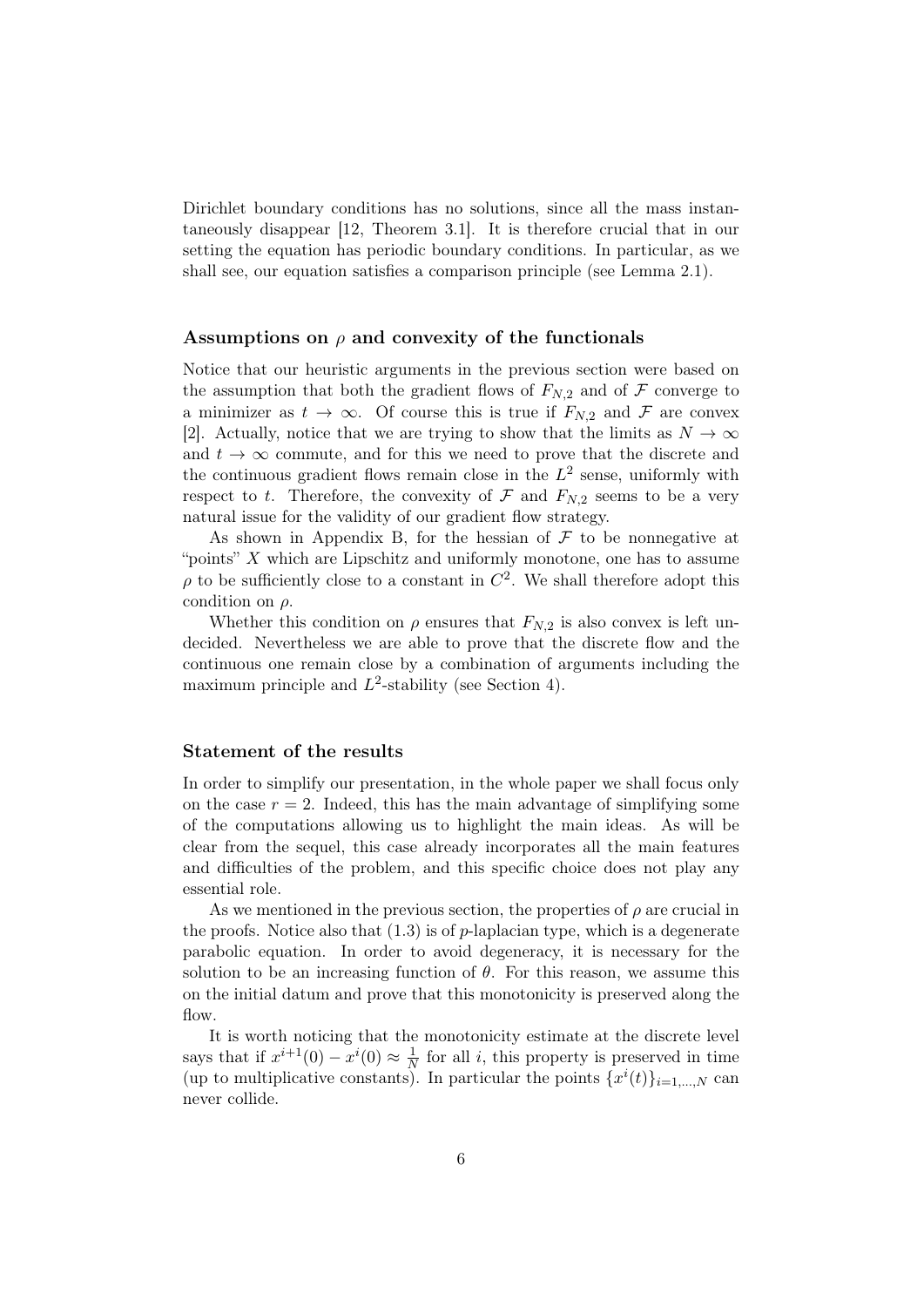Dirichlet boundary conditions has no solutions, since all the mass instantaneously disappear [12, Theorem 3.1]. It is therefore crucial that in our setting the equation has periodic boundary conditions. In particular, as we shall see, our equation satisfies a comparison principle (see Lemma 2.1).

## Assumptions on  $\rho$  and convexity of the functionals

Notice that our heuristic arguments in the previous section were based on the assumption that both the gradient flows of  $F_{N,2}$  and of  $\mathcal F$  converge to a minimizer as  $t \to \infty$ . Of course this is true if  $F_{N,2}$  and F are convex [2]. Actually, notice that we are trying to show that the limits as  $N \to \infty$ and  $t \to \infty$  commute, and for this we need to prove that the discrete and the continuous gradient flows remain close in the  $L^2$  sense, uniformly with respect to t. Therefore, the convexity of  $\mathcal F$  and  $F_{N,2}$  seems to be a very natural issue for the validity of our gradient flow strategy.

As shown in Appendix B, for the hessian of  $\mathcal F$  to be nonnegative at "points"  $X$  which are Lipschitz and uniformly monotone, one has to assume  $\rho$  to be sufficiently close to a constant in  $C^2$ . We shall therefore adopt this condition on  $\rho$ .

Whether this condition on  $\rho$  ensures that  $F_{N,2}$  is also convex is left undecided. Nevertheless we are able to prove that the discrete flow and the continuous one remain close by a combination of arguments including the maximum principle and  $L^2$ -stability (see Section 4).

#### Statement of the results

In order to simplify our presentation, in the whole paper we shall focus only on the case  $r = 2$ . Indeed, this has the main advantage of simplifying some of the computations allowing us to highlight the main ideas. As will be clear from the sequel, this case already incorporates all the main features and difficulties of the problem, and this specific choice does not play any essential role.

As we mentioned in the previous section, the properties of  $\rho$  are crucial in the proofs. Notice also that  $(1.3)$  is of p-laplacian type, which is a degenerate parabolic equation. In order to avoid degeneracy, it is necessary for the solution to be an increasing function of  $\theta$ . For this reason, we assume this on the initial datum and prove that this monotonicity is preserved along the flow.

It is worth noticing that the monotonicity estimate at the discrete level says that if  $x^{i+1}(0) - x^{i}(0) \approx \frac{1}{\lambda}$  $\frac{1}{N}$  for all *i*, this property is preserved in time (up to multiplicative constants). In particular the points  $\{x^{i}(t)\}_{i=1,\dots,N}$  can never collide.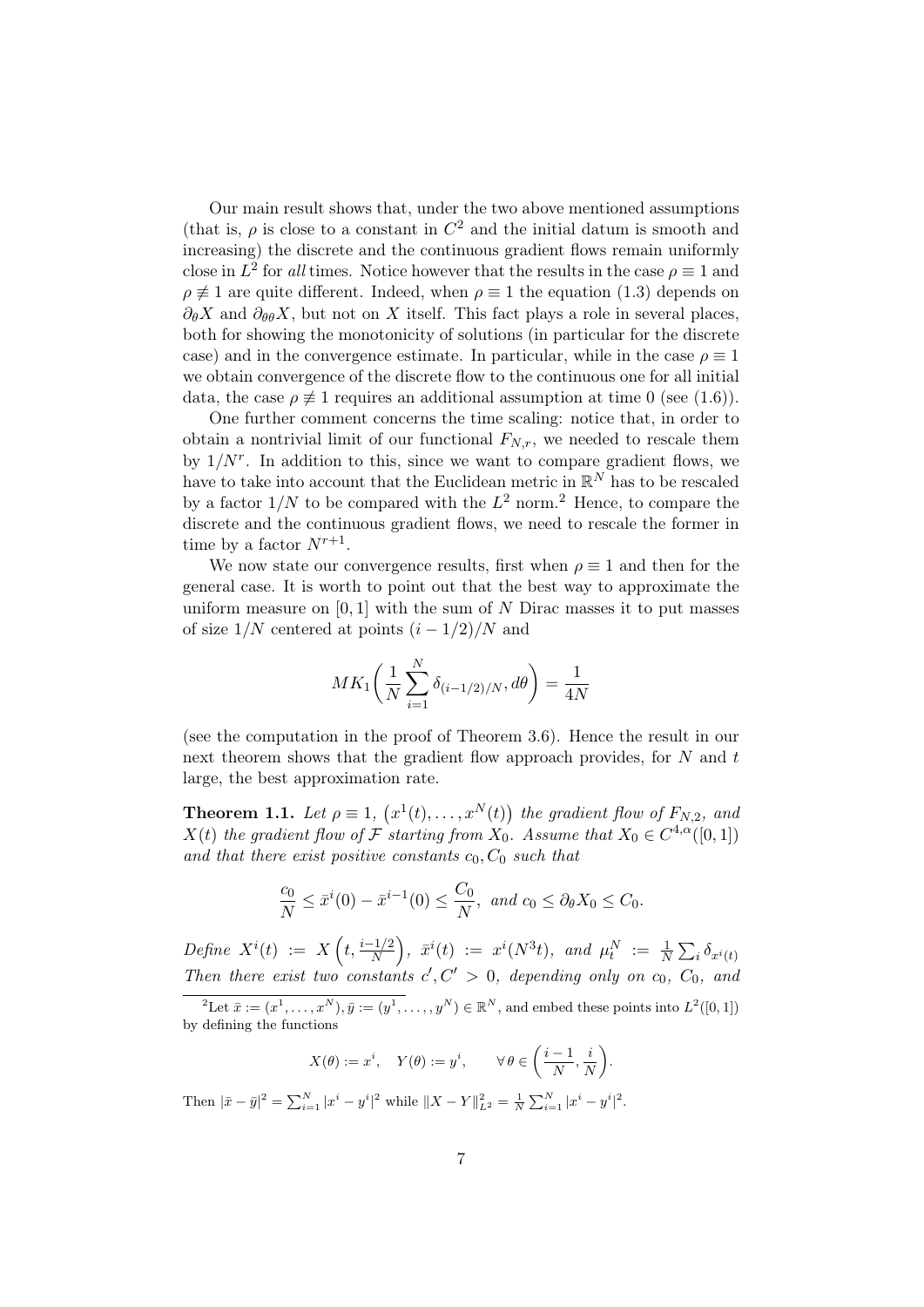Our main result shows that, under the two above mentioned assumptions (that is,  $\rho$  is close to a constant in  $C^2$  and the initial datum is smooth and increasing) the discrete and the continuous gradient flows remain uniformly close in  $L^2$  for all times. Notice however that the results in the case  $\rho \equiv 1$  and  $\rho \neq 1$  are quite different. Indeed, when  $\rho \equiv 1$  the equation (1.3) depends on  $\partial_{\theta}X$  and  $\partial_{\theta\theta}X$ , but not on X itself. This fact plays a role in several places, both for showing the monotonicity of solutions (in particular for the discrete case) and in the convergence estimate. In particular, while in the case  $\rho \equiv 1$ we obtain convergence of the discrete flow to the continuous one for all initial data, the case  $\rho \neq 1$  requires an additional assumption at time 0 (see (1.6)).

One further comment concerns the time scaling: notice that, in order to obtain a nontrivial limit of our functional  $F_{N,r}$ , we needed to rescale them by  $1/N^r$ . In addition to this, since we want to compare gradient flows, we have to take into account that the Euclidean metric in  $\mathbb{R}^N$  has to be rescaled by a factor  $1/N$  to be compared with the  $L^2$  norm.<sup>2</sup> Hence, to compare the discrete and the continuous gradient flows, we need to rescale the former in time by a factor  $N^{r+1}$ .

We now state our convergence results, first when  $\rho \equiv 1$  and then for the general case. It is worth to point out that the best way to approximate the uniform measure on  $[0, 1]$  with the sum of N Dirac masses it to put masses of size  $1/N$  centered at points  $(i - 1/2)/N$  and

$$
MK_1\left(\frac{1}{N}\sum_{i=1}^N \delta_{(i-1/2)/N}, d\theta\right) = \frac{1}{4N}
$$

(see the computation in the proof of Theorem 3.6). Hence the result in our next theorem shows that the gradient flow approach provides, for N and t large, the best approximation rate.

**Theorem 1.1.** Let  $\rho \equiv 1$ ,  $(x^1(t), \ldots, x^N(t))$  the gradient flow of  $F_{N,2}$ , and  $X(t)$  the gradient flow of F starting from  $X_0$ . Assume that  $X_0 \in C^{4,\alpha}([0,1])$ and that there exist positive constants  $c_0, C_0$  such that

$$
\frac{c_0}{N} \le \bar{x}^i(0) - \bar{x}^{i-1}(0) \le \frac{C_0}{N}, \text{ and } c_0 \le \partial_\theta X_0 \le C_0.
$$

 $Define \,\,\, X^i(t) \,\,\, := \,\,\, X\left(t, \frac{i-1/2}{N}\right), \,\,\, \bar{x}^i(t) \,\,\, := \,\,\, x^i(N^3t), \,\,\, and \,\,\, \mu^N_t \,\,\, := \,\, \frac{1}{N}\sum_i \delta_{x^i(t)}$ Then there exist two constants  $c', C' > 0$ , depending only on  $c_0, C_0$ , and

$$
X(\theta) := x^i, \quad Y(\theta) := y^i, \qquad \forall \theta \in \left(\frac{i-1}{N}, \frac{i}{N}\right).
$$

Then  $|\bar{x}-\bar{y}|^2 = \sum_{i=1}^N |x^i - y^i|^2$  while  $||X-Y||^2_{L^2} = \frac{1}{N} \sum_{i=1}^N |x^i - y^i|^2$ .

<sup>&</sup>lt;sup>2</sup>Let  $\bar{x} := (x^1, \ldots, x^N), \bar{y} := (y^1, \ldots, y^N) \in \mathbb{R}^N$ , and embed these points into  $L^2([0, 1])$ by defining the functions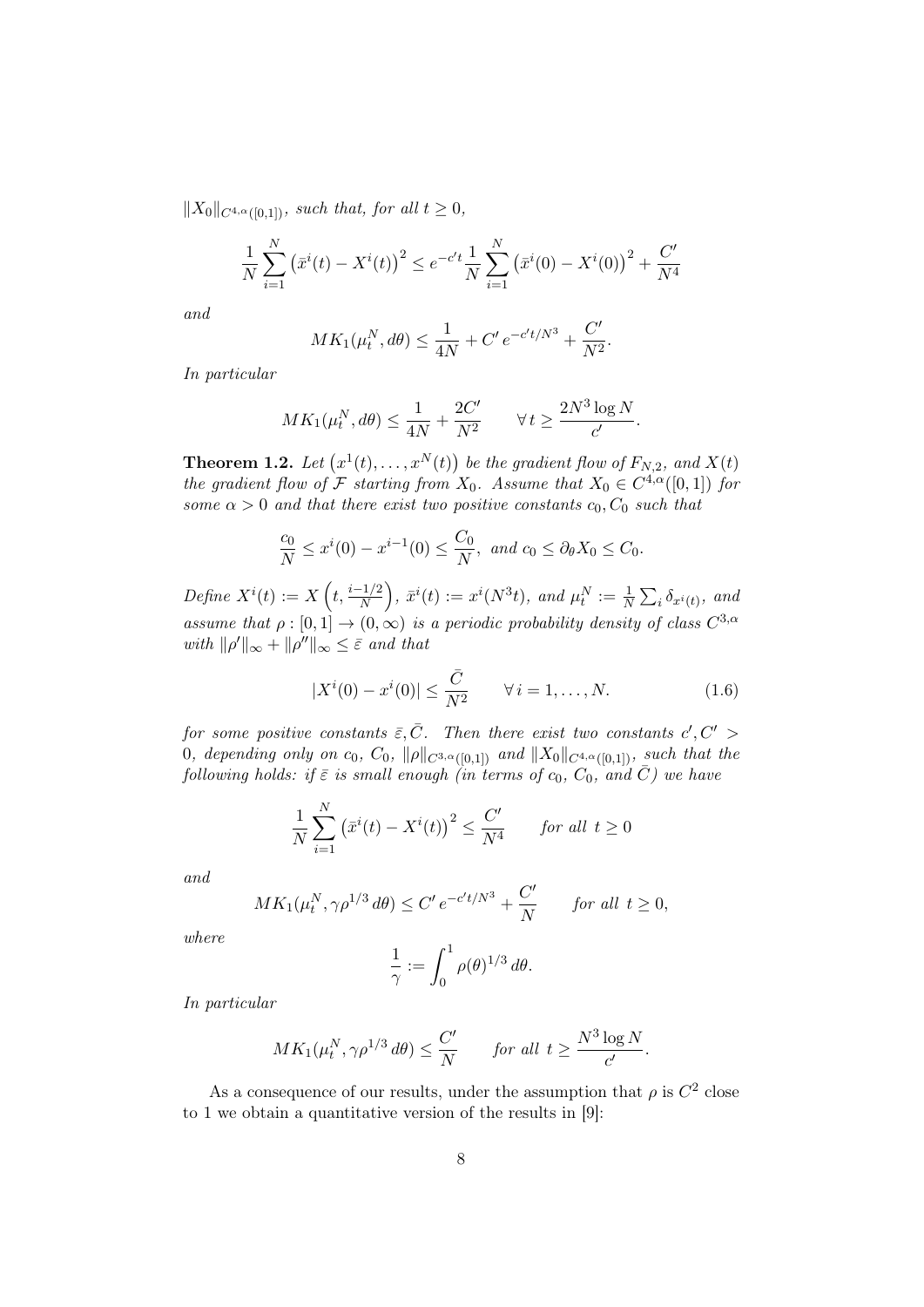$||X_0||_{C^{4,\alpha}([0,1])}$ , such that, for all  $t \geq 0$ ,

$$
\frac{1}{N} \sum_{i=1}^{N} (\bar{x}^i(t) - X^i(t))^2 \le e^{-c't} \frac{1}{N} \sum_{i=1}^{N} (\bar{x}^i(0) - X^i(0))^2 + \frac{C'}{N^4}
$$

and

$$
MK_1(\mu_t^N, d\theta) \le \frac{1}{4N} + C' e^{-c't/N^3} + \frac{C'}{N^2}.
$$

In particular

$$
MK_1(\mu_t^N, d\theta) \le \frac{1}{4N} + \frac{2C'}{N^2} \qquad \forall \, t \ge \frac{2N^3 \log N}{c'}.
$$

**Theorem 1.2.** Let  $(x^1(t),...,x^N(t))$  be the gradient flow of  $F_{N,2}$ , and  $X(t)$ the gradient flow of F starting from  $X_0$ . Assume that  $X_0 \in C^{4,\alpha}([0,1])$  for some  $\alpha > 0$  and that there exist two positive constants  $c_0, C_0$  such that

$$
\frac{c_0}{N} \le x^i(0) - x^{i-1}(0) \le \frac{C_0}{N}, \text{ and } c_0 \le \partial_\theta X_0 \le C_0.
$$

Define  $X^i(t) := X\left(t, \frac{i-1/2}{N}\right)$ ,  $\bar{x}^i(t) := x^i(N^3t)$ , and  $\mu_t^N := \frac{1}{N} \sum_i \delta_{x^i(t)}$ , and assume that  $\rho : [0,1] \to (0,\infty)$  is a periodic probability density of class  $C^{3,\alpha}$ with  $\|\rho'\|_{\infty} + \|\rho''\|_{\infty} \leq \bar{\varepsilon}$  and that

$$
|X^{i}(0) - x^{i}(0)| \leq \frac{\bar{C}}{N^{2}} \qquad \forall i = 1, ..., N.
$$
 (1.6)

for some positive constants  $\bar{\varepsilon}, \bar{C}$ . Then there exist two constants  $c', C' >$ 0, depending only on  $c_0$ ,  $C_0$ ,  $\|\rho\|_{C^{3,\alpha}([0,1])}$  and  $\|X_0\|_{C^{4,\alpha}([0,1])}$ , such that the following holds: if  $\bar{\varepsilon}$  is small enough (in terms of  $c_0$ ,  $C_0$ , and  $\bar{C}$ ) we have

$$
\frac{1}{N} \sum_{i=1}^{N} \left( \bar{x}^i(t) - X^i(t) \right)^2 \le \frac{C'}{N^4} \quad \text{for all } t \ge 0
$$

and

$$
MK_1(\mu_t^N, \gamma \rho^{1/3} d\theta) \le C' e^{-c't/N^3} + \frac{C'}{N} \qquad \text{for all } t \ge 0,
$$

where

$$
\frac{1}{\gamma} := \int_0^1 \rho(\theta)^{1/3} d\theta.
$$

In particular

$$
MK_1(\mu_t^N, \gamma \rho^{1/3} d\theta) \le \frac{C'}{N} \quad \text{for all } t \ge \frac{N^3 \log N}{c'}.
$$

As a consequence of our results, under the assumption that  $\rho$  is  $C^2$  close to 1 we obtain a quantitative version of the results in [9]: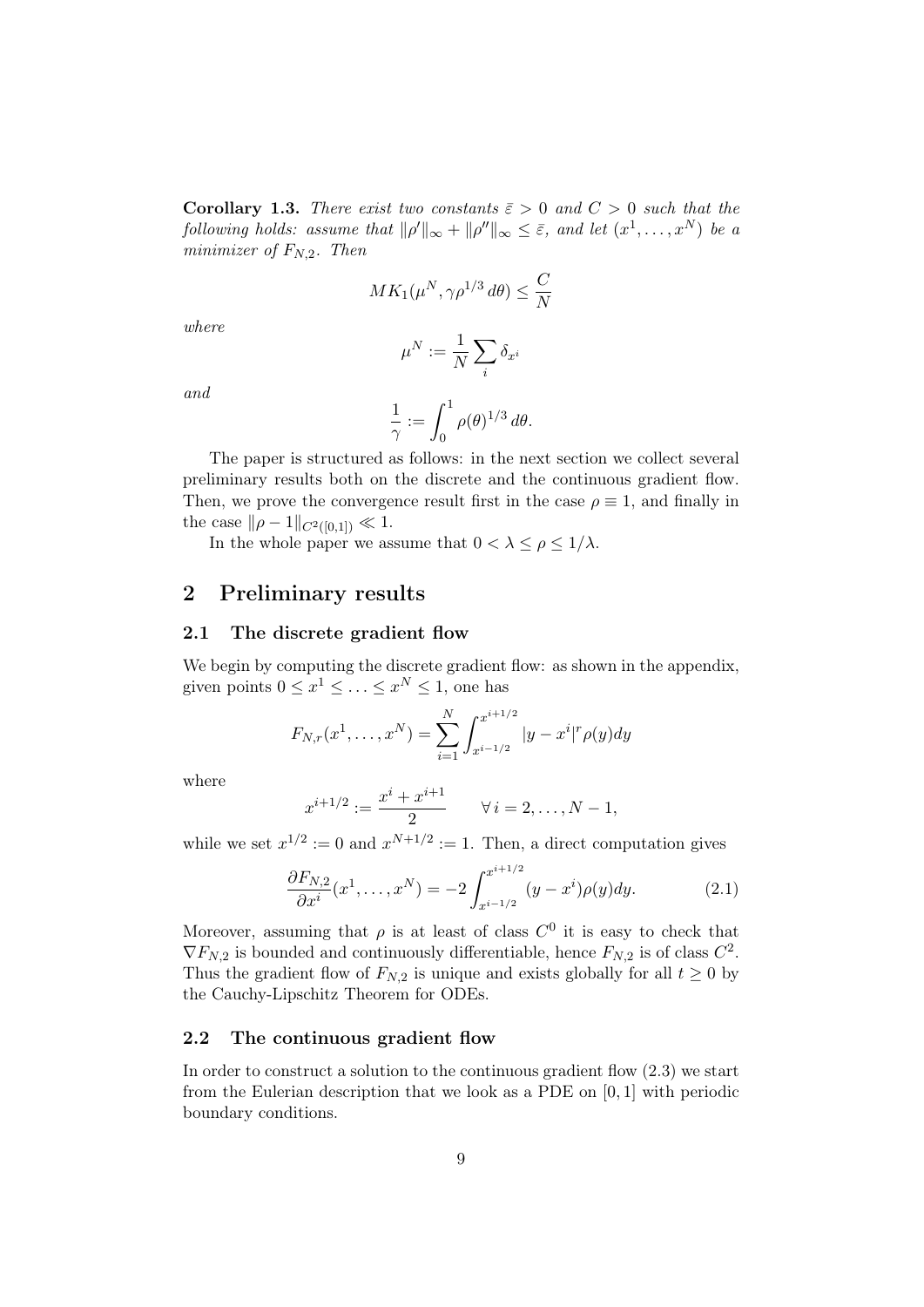**Corollary 1.3.** There exist two constants  $\bar{\varepsilon} > 0$  and  $C > 0$  such that the following holds: assume that  $\|\rho'\|_{\infty} + \|\rho''\|_{\infty} \leq \bar{\varepsilon}$ , and let  $(x^1, \ldots, x^N)$  be a minimizer of  $F_{N,2}$ . Then

$$
MK_1(\mu^N, \gamma \rho^{1/3} d\theta) \le \frac{C}{N}
$$

where

$$
\mu^N:=\frac{1}{N}\sum_i \delta_{x^i}
$$

and

$$
\frac{1}{\gamma} := \int_0^1 \rho(\theta)^{1/3} d\theta.
$$

The paper is structured as follows: in the next section we collect several preliminary results both on the discrete and the continuous gradient flow. Then, we prove the convergence result first in the case  $\rho \equiv 1$ , and finally in the case  $\|\rho - 1\|_{C^2([0,1])} \ll 1.$ 

In the whole paper we assume that  $0 < \lambda \leq \rho \leq 1/\lambda$ .

## 2 Preliminary results

#### 2.1 The discrete gradient flow

We begin by computing the discrete gradient flow: as shown in the appendix, given points  $0 \leq x^1 \leq \ldots \leq x^N \leq 1$ , one has

$$
F_{N,r}(x^1, \dots, x^N) = \sum_{i=1}^N \int_{x^{i-1/2}}^{x^{i+1/2}} |y - x^i|^r \rho(y) dy
$$

where

$$
x^{i+1/2} := \frac{x^i + x^{i+1}}{2} \qquad \forall \, i = 2, \dots, N-1,
$$

while we set  $x^{1/2} := 0$  and  $x^{N+1/2} := 1$ . Then, a direct computation gives

$$
\frac{\partial F_{N,2}}{\partial x^i}(x^1,\ldots,x^N) = -2 \int_{x^{i-1/2}}^{x^{i+1/2}} (y-x^i)\rho(y)dy.
$$
 (2.1)

Moreover, assuming that  $\rho$  is at least of class  $C^0$  it is easy to check that  $\nabla F_{N,2}$  is bounded and continuously differentiable, hence  $F_{N,2}$  is of class  $C^2$ . Thus the gradient flow of  $F_{N,2}$  is unique and exists globally for all  $t \geq 0$  by the Cauchy-Lipschitz Theorem for ODEs.

#### 2.2 The continuous gradient flow

In order to construct a solution to the continuous gradient flow (2.3) we start from the Eulerian description that we look as a PDE on [0, 1] with periodic boundary conditions.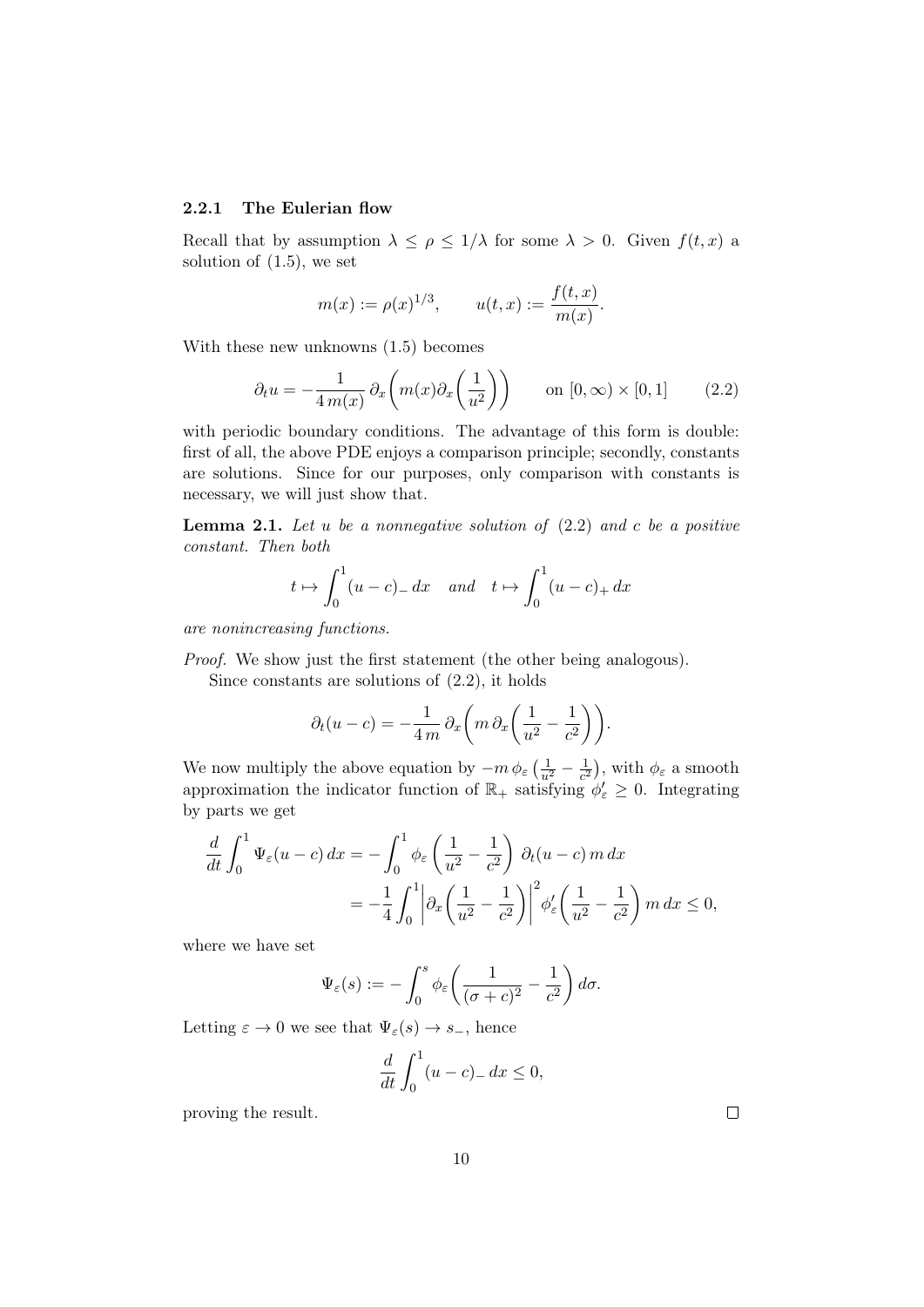#### 2.2.1 The Eulerian flow

Recall that by assumption  $\lambda \leq \rho \leq 1/\lambda$  for some  $\lambda > 0$ . Given  $f(t, x)$  a solution of (1.5), we set

$$
m(x) := \rho(x)^{1/3},
$$
  $u(t,x) := \frac{f(t,x)}{m(x)}.$ 

With these new unknowns (1.5) becomes

$$
\partial_t u = -\frac{1}{4m(x)} \partial_x \left( m(x) \partial_x \left( \frac{1}{u^2} \right) \right) \qquad \text{on } [0, \infty) \times [0, 1] \tag{2.2}
$$

with periodic boundary conditions. The advantage of this form is double: first of all, the above PDE enjoys a comparison principle; secondly, constants are solutions. Since for our purposes, only comparison with constants is necessary, we will just show that.

**Lemma 2.1.** Let u be a nonnegative solution of  $(2.2)$  and c be a positive constant. Then both

$$
t \mapsto \int_0^1 (u-c)_- dx
$$
 and  $t \mapsto \int_0^1 (u-c)_+ dx$ 

are nonincreasing functions.

Proof. We show just the first statement (the other being analogous).

Since constants are solutions of (2.2), it holds

$$
\partial_t (u - c) = -\frac{1}{4m} \partial_x \left( m \partial_x \left( \frac{1}{u^2} - \frac{1}{c^2} \right) \right).
$$

We now multiply the above equation by  $-m \phi_{\varepsilon} \left( \frac{1}{u^2} - \frac{1}{c^2} \right)$  $(\frac{1}{c^2})$ , with  $\phi_{\varepsilon}$  a smooth approximation the indicator function of  $\mathbb{R}_+$  satisfying  $\phi'_\varepsilon \geq 0$ . Integrating by parts we get

$$
\frac{d}{dt} \int_0^1 \Psi_{\varepsilon}(u-c) dx = -\int_0^1 \phi_{\varepsilon} \left(\frac{1}{u^2} - \frac{1}{c^2}\right) \partial_t(u-c) m dx
$$
  
=  $-\frac{1}{4} \int_0^1 \left| \partial_x \left(\frac{1}{u^2} - \frac{1}{c^2}\right) \right|^2 \phi'_{\varepsilon} \left(\frac{1}{u^2} - \frac{1}{c^2}\right) m dx \le 0,$ 

where we have set

$$
\Psi_{\varepsilon}(s) := -\int_0^s \phi_{\varepsilon}\left(\frac{1}{(\sigma+c)^2} - \frac{1}{c^2}\right) d\sigma.
$$

Letting  $\varepsilon \to 0$  we see that  $\Psi_{\varepsilon}(s) \to s_{-}$ , hence

$$
\frac{d}{dt} \int_0^1 (u - c) - dx \le 0,
$$

proving the result.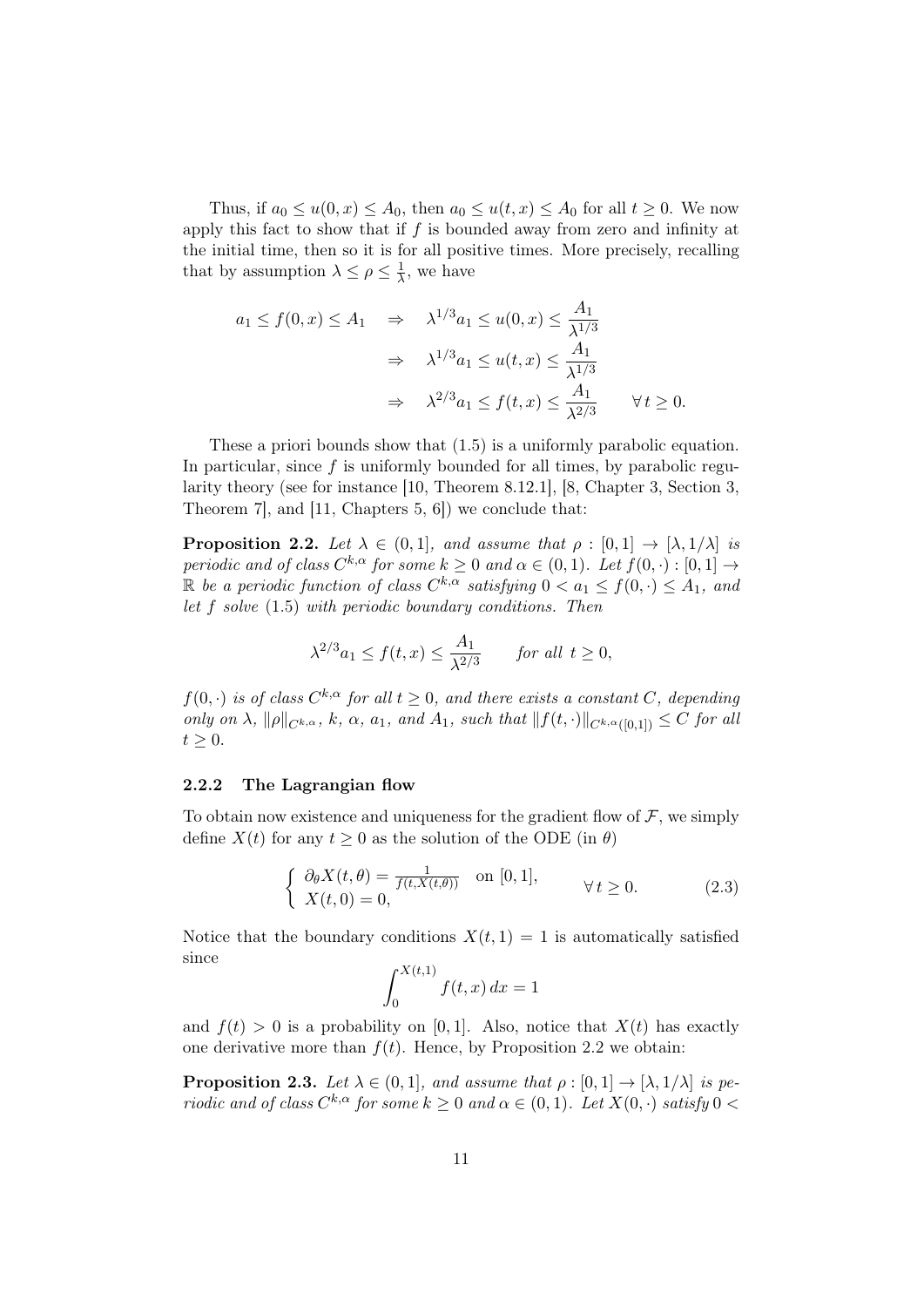Thus, if  $a_0 \le u(0, x) \le A_0$ , then  $a_0 \le u(t, x) \le A_0$  for all  $t \ge 0$ . We now apply this fact to show that if  $f$  is bounded away from zero and infinity at the initial time, then so it is for all positive times. More precisely, recalling that by assumption  $\lambda \leq \rho \leq \frac{1}{\lambda}$  $\frac{1}{\lambda}$ , we have

$$
a_1 \le f(0, x) \le A_1 \quad \Rightarrow \quad \lambda^{1/3} a_1 \le u(0, x) \le \frac{A_1}{\lambda^{1/3}}
$$

$$
\Rightarrow \quad \lambda^{1/3} a_1 \le u(t, x) \le \frac{A_1}{\lambda^{1/3}}
$$

$$
\Rightarrow \quad \lambda^{2/3} a_1 \le f(t, x) \le \frac{A_1}{\lambda^{2/3}} \qquad \forall t \ge 0.
$$

These a priori bounds show that (1.5) is a uniformly parabolic equation. In particular, since  $f$  is uniformly bounded for all times, by parabolic regularity theory (see for instance [10, Theorem 8.12.1], [8, Chapter 3, Section 3, Theorem 7], and [11, Chapters 5, 6]) we conclude that:

**Proposition 2.2.** Let  $\lambda \in (0,1]$ , and assume that  $\rho : [0,1] \rightarrow [\lambda,1/\lambda]$  is periodic and of class  $C^{k,\alpha}$  for some  $k \geq 0$  and  $\alpha \in (0,1)$ . Let  $f(0, \cdot) : [0,1] \rightarrow$ R be a periodic function of class  $C^{k,\alpha}$  satisfying  $0 < a_1 \leq f(0, \cdot) \leq A_1$ , and let f solve (1.5) with periodic boundary conditions. Then

$$
\lambda^{2/3} a_1 \le f(t, x) \le \frac{A_1}{\lambda^{2/3}} \quad \text{for all } t \ge 0,
$$

 $f(0, \cdot)$  is of class  $C^{k,\alpha}$  for all  $t \geq 0$ , and there exists a constant C, depending only on  $\lambda$ ,  $\|\rho\|_{C^{k,\alpha}}$ , k,  $\alpha$ ,  $a_1$ , and  $A_1$ , such that  $\|f(t, \cdot)\|_{C^{k,\alpha}([0,1])} \leq C$  for all  $t\geq 0.$ 

#### 2.2.2 The Lagrangian flow

To obtain now existence and uniqueness for the gradient flow of  $\mathcal{F}$ , we simply define  $X(t)$  for any  $t \geq 0$  as the solution of the ODE (in  $\theta$ )

$$
\begin{cases} \n\partial_{\theta} X(t,\theta) = \frac{1}{f(t,X(t,\theta))} \quad \text{on } [0,1],\\ \nX(t,0) = 0, \n\end{cases} \quad \forall t \ge 0.
$$
\n(2.3)

Notice that the boundary conditions  $X(t, 1) = 1$  is automatically satisfied since

$$
\int_0^{X(t,1)} f(t,x) dx = 1
$$

and  $f(t) > 0$  is a probability on [0, 1]. Also, notice that  $X(t)$  has exactly one derivative more than  $f(t)$ . Hence, by Proposition 2.2 we obtain:

**Proposition 2.3.** Let  $\lambda \in (0,1]$ , and assume that  $\rho : [0,1] \to [\lambda, 1/\lambda]$  is periodic and of class  $C^{k,\alpha}$  for some  $k \geq 0$  and  $\alpha \in (0,1)$ . Let  $X(0, \cdot)$  satisfy  $0 <$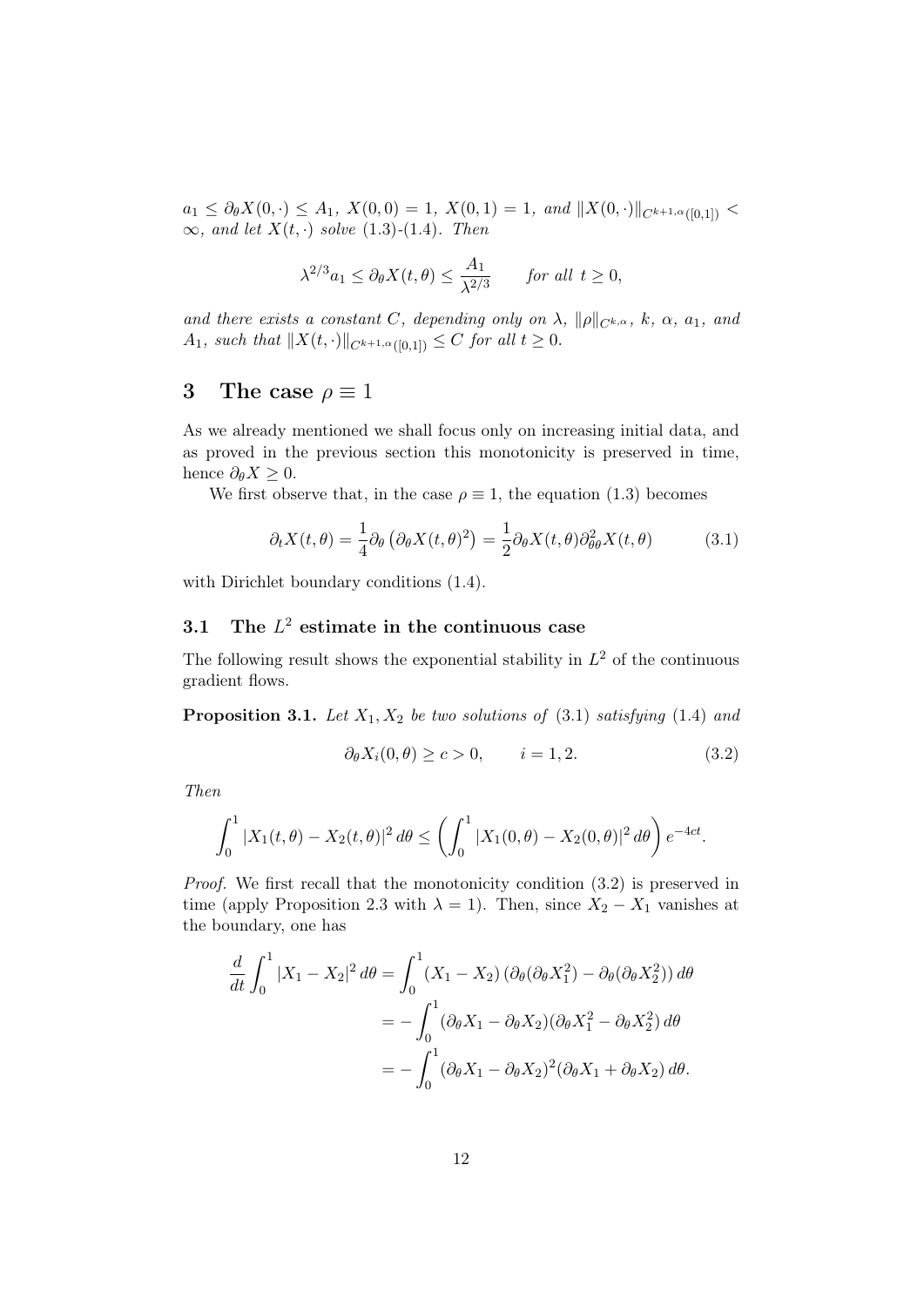$a_1 \leq \partial_{\theta}X(0,\cdot) \leq A_1$ ,  $X(0,0) = 1$ ,  $X(0,1) = 1$ , and  $||X(0,\cdot)||_{C^{k+1,\alpha}([0,1])}$  $\infty$ , and let  $X(t, \cdot)$  solve (1.3)-(1.4). Then

$$
\lambda^{2/3} a_1 \le \partial_\theta X(t, \theta) \le \frac{A_1}{\lambda^{2/3}} \quad \text{for all } t \ge 0,
$$

and there exists a constant C, depending only on  $\lambda$ ,  $\|\rho\|_{C^{k,\alpha}}$ , k,  $\alpha$ ,  $a_1$ , and A<sub>1</sub>, such that  $||X(t, \cdot)||_{C^{k+1, \alpha}([0,1])} \leq C$  for all  $t \geq 0$ .

## 3 The case  $\rho \equiv 1$

As we already mentioned we shall focus only on increasing initial data, and as proved in the previous section this monotonicity is preserved in time, hence  $\partial_{\theta} X \geq 0$ .

We first observe that, in the case  $\rho \equiv 1$ , the equation (1.3) becomes

$$
\partial_t X(t,\theta) = \frac{1}{4} \partial_\theta \left( \partial_\theta X(t,\theta)^2 \right) = \frac{1}{2} \partial_\theta X(t,\theta) \partial_{\theta\theta}^2 X(t,\theta) \tag{3.1}
$$

with Dirichlet boundary conditions  $(1.4)$ .

## 3.1 The  $L^2$  estimate in the continuous case

The following result shows the exponential stability in  $L^2$  of the continuous gradient flows.

**Proposition 3.1.** Let  $X_1, X_2$  be two solutions of (3.1) satisfying (1.4) and

$$
\partial_{\theta} X_i(0,\theta) \ge c > 0, \qquad i = 1, 2. \tag{3.2}
$$

Then

$$
\int_0^1 |X_1(t,\theta) - X_2(t,\theta)|^2 d\theta \le \left(\int_0^1 |X_1(0,\theta) - X_2(0,\theta)|^2 d\theta\right) e^{-4ct}.
$$

Proof. We first recall that the monotonicity condition (3.2) is preserved in time (apply Proposition 2.3 with  $\lambda = 1$ ). Then, since  $X_2 - X_1$  vanishes at the boundary, one has

$$
\frac{d}{dt} \int_0^1 |X_1 - X_2|^2 d\theta = \int_0^1 (X_1 - X_2) (\partial_\theta (\partial_\theta X_1^2) - \partial_\theta (\partial_\theta X_2^2)) d\theta
$$
  
\n
$$
= -\int_0^1 (\partial_\theta X_1 - \partial_\theta X_2) (\partial_\theta X_1^2 - \partial_\theta X_2^2) d\theta
$$
  
\n
$$
= -\int_0^1 (\partial_\theta X_1 - \partial_\theta X_2)^2 (\partial_\theta X_1 + \partial_\theta X_2) d\theta.
$$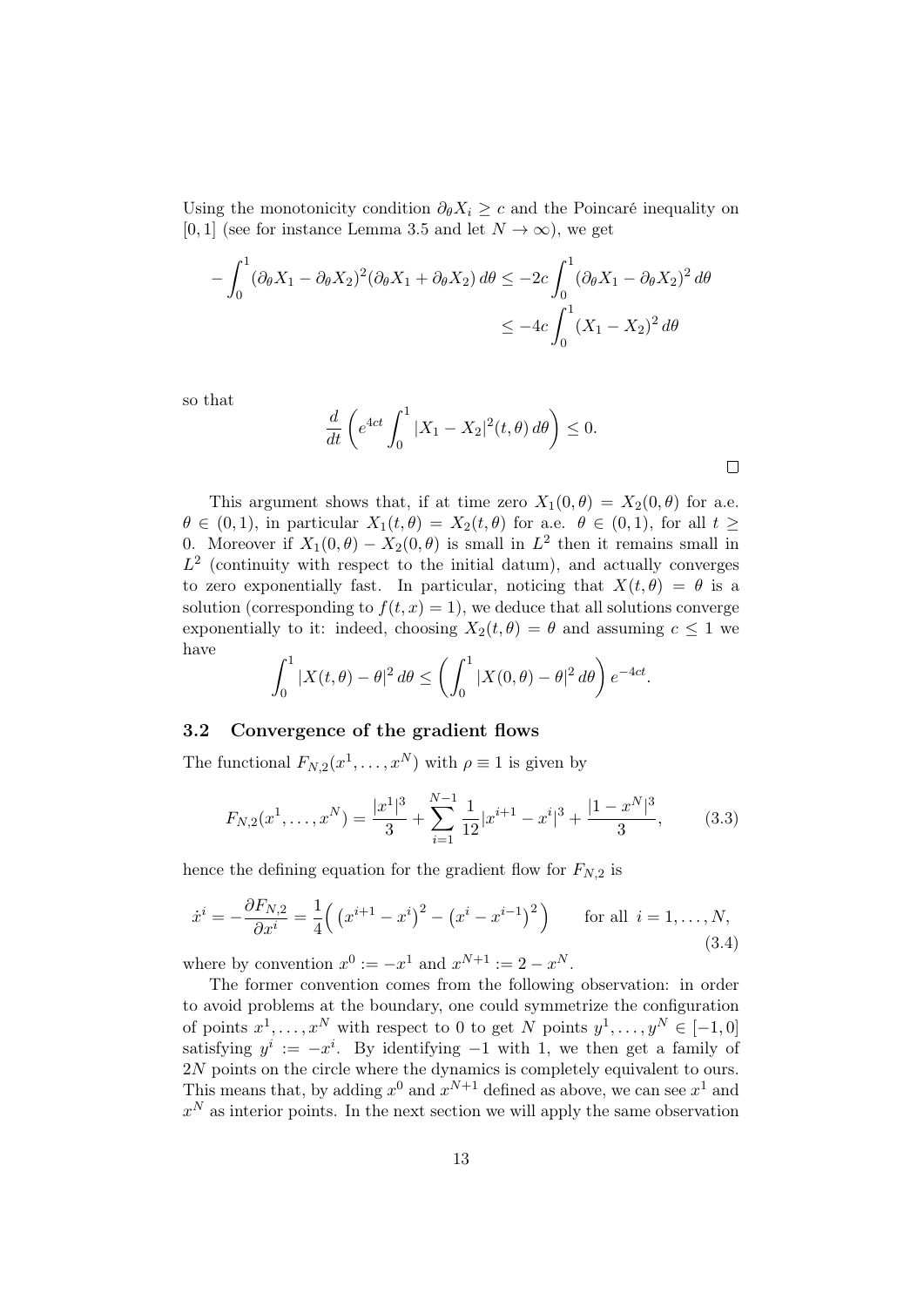Using the monotonicity condition  $\partial_{\theta} X_i \geq c$  and the Poincaré inequality on [0, 1] (see for instance Lemma 3.5 and let  $N \to \infty$ ), we get

$$
-\int_0^1 (\partial_\theta X_1 - \partial_\theta X_2)^2 (\partial_\theta X_1 + \partial_\theta X_2) d\theta \le -2c \int_0^1 (\partial_\theta X_1 - \partial_\theta X_2)^2 d\theta
$$
  

$$
\le -4c \int_0^1 (X_1 - X_2)^2 d\theta
$$

so that

$$
\frac{d}{dt}\left(e^{4ct}\int_0^1 |X_1 - X_2|^2(t,\theta)\,d\theta\right) \le 0.
$$

 $\Box$ 

This argument shows that, if at time zero  $X_1(0, \theta) = X_2(0, \theta)$  for a.e.  $\theta \in (0,1)$ , in particular  $X_1(t, \theta) = X_2(t, \theta)$  for a.e.  $\theta \in (0,1)$ , for all  $t \geq$ 0. Moreover if  $X_1(0, \theta) - X_2(0, \theta)$  is small in  $L^2$  then it remains small in  $L^2$  (continuity with respect to the initial datum), and actually converges to zero exponentially fast. In particular, noticing that  $X(t, \theta) = \theta$  is a solution (corresponding to  $f(t, x) = 1$ ), we deduce that all solutions converge exponentially to it: indeed, choosing  $X_2(t, \theta) = \theta$  and assuming  $c \leq 1$  we have

$$
\int_0^1 |X(t,\theta) - \theta|^2 d\theta \le \left(\int_0^1 |X(0,\theta) - \theta|^2 d\theta\right) e^{-4ct}.
$$

### 3.2 Convergence of the gradient flows

The functional  $F_{N,2}(x^1,\ldots,x^N)$  with  $\rho \equiv 1$  is given by

$$
F_{N,2}(x^1, \dots, x^N) = \frac{|x^1|^3}{3} + \sum_{i=1}^{N-1} \frac{1}{12} |x^{i+1} - x^i|^3 + \frac{|1 - x^N|^3}{3},\tag{3.3}
$$

hence the defining equation for the gradient flow for  $F_{N,2}$  is

$$
\dot{x}^i = -\frac{\partial F_{N,2}}{\partial x^i} = \frac{1}{4} \left( \left( x^{i+1} - x^i \right)^2 - \left( x^i - x^{i-1} \right)^2 \right) \quad \text{for all } i = 1, ..., N,
$$
\n(3.4)

where by convention  $x^0 := -x^1$  and  $x^{N+1} := 2 - x^N$ .

The former convention comes from the following observation: in order to avoid problems at the boundary, one could symmetrize the configuration of points  $x^1, \ldots, x^N$  with respect to 0 to get N points  $y^1, \ldots, y^N \in [-1, 0]$ satisfying  $y^i := -x^i$ . By identifying  $-1$  with 1, we then get a family of 2N points on the circle where the dynamics is completely equivalent to ours. This means that, by adding  $x^0$  and  $x^{N+1}$  defined as above, we can see  $x^1$  and  $x^N$  as interior points. In the next section we will apply the same observation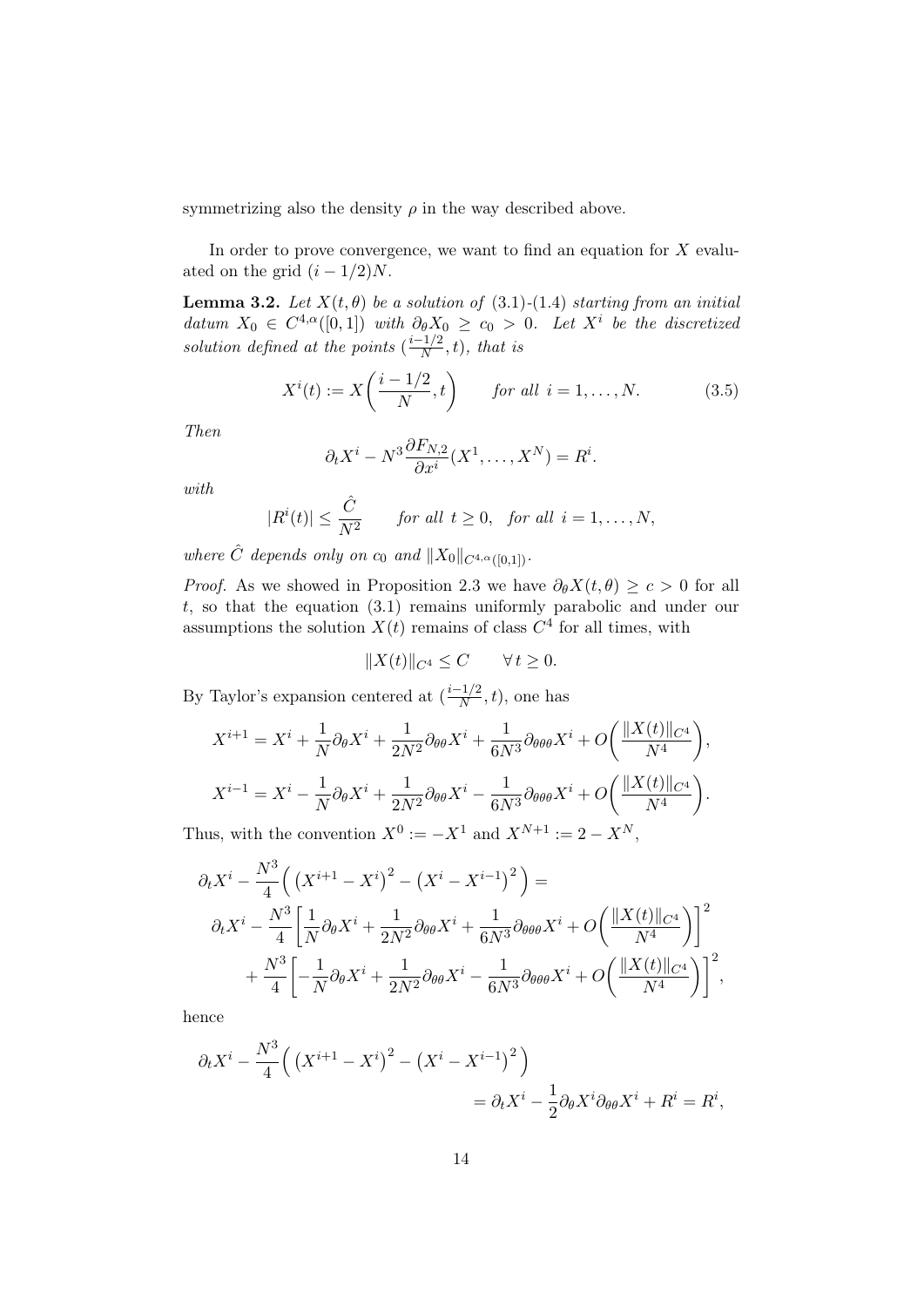symmetrizing also the density  $\rho$  in the way described above.

In order to prove convergence, we want to find an equation for  $X$  evaluated on the grid  $(i - 1/2)N$ .

**Lemma 3.2.** Let  $X(t, \theta)$  be a solution of (3.1)-(1.4) starting from an initial datum  $X_0 \in C^{4,\alpha}([0,1])$  with  $\partial_{\theta}X_0 \geq c_0 > 0$ . Let  $X^i$  be the discretized solution defined at the points  $\left(\frac{i-1}{N}\right)$  $\frac{f(1/2)}{N}, t$ , that is

$$
X^{i}(t) := X\left(\frac{i-1/2}{N}, t\right) \qquad \text{for all } i = 1, \dots, N. \tag{3.5}
$$

Then

$$
\partial_t X^i - N^3 \frac{\partial F_{N,2}}{\partial x^i} (X^1, \dots, X^N) = R^i.
$$

with

$$
|R^{i}(t)| \leq \frac{\hat{C}}{N^{2}} \quad \text{for all } t \geq 0, \text{ for all } i = 1, ..., N,
$$

where  $\hat{C}$  depends only on  $c_0$  and  $||X_0||_{C^{4,\alpha}([0,1])}$ .

*Proof.* As we showed in Proposition 2.3 we have  $\partial_{\theta}X(t, \theta) \geq c > 0$  for all  $t$ , so that the equation  $(3.1)$  remains uniformly parabolic and under our assumptions the solution  $X(t)$  remains of class  $C<sup>4</sup>$  for all times, with

$$
||X(t)||_{C^4}\leq C\qquad \forall\, t\geq 0.
$$

By Taylor's expansion centered at  $\left(\frac{i-1}{N}\right)$  $\frac{(-1/2)}{N}, t$ , one has

$$
X^{i+1} = X^i + \frac{1}{N} \partial_{\theta} X^i + \frac{1}{2N^2} \partial_{\theta \theta} X^i + \frac{1}{6N^3} \partial_{\theta \theta \theta} X^i + O\left(\frac{\|X(t)\|_{C^4}}{N^4}\right),
$$
  

$$
X^{i-1} = X^i - \frac{1}{N} \partial_{\theta} X^i + \frac{1}{2N^2} \partial_{\theta \theta} X^i - \frac{1}{6N^3} \partial_{\theta \theta \theta} X^i + O\left(\frac{\|X(t)\|_{C^4}}{N^4}\right).
$$

Thus, with the convention  $X^0 := -X^1$  and  $X^{N+1} := 2 - X^N$ ,

$$
\partial_t X^i - \frac{N^3}{4} \left( \left( X^{i+1} - X^i \right)^2 - \left( X^i - X^{i-1} \right)^2 \right) =
$$
  

$$
\partial_t X^i - \frac{N^3}{4} \left[ \frac{1}{N} \partial_\theta X^i + \frac{1}{2N^2} \partial_{\theta\theta} X^i + \frac{1}{6N^3} \partial_{\theta\theta\theta} X^i + O\left( \frac{\| X(t) \|_{C^4}}{N^4} \right) \right]^2
$$
  

$$
+ \frac{N^3}{4} \left[ -\frac{1}{N} \partial_\theta X^i + \frac{1}{2N^2} \partial_{\theta\theta} X^i - \frac{1}{6N^3} \partial_{\theta\theta\theta} X^i + O\left( \frac{\| X(t) \|_{C^4}}{N^4} \right) \right]^2,
$$

hence

$$
\partial_t X^i - \frac{N^3}{4} \Big( \left( X^{i+1} - X^i \right)^2 - \left( X^i - X^{i-1} \right)^2 \Big) \n= \partial_t X^i - \frac{1}{2} \partial_\theta X^i \partial_{\theta \theta} X^i + R^i = R^i,
$$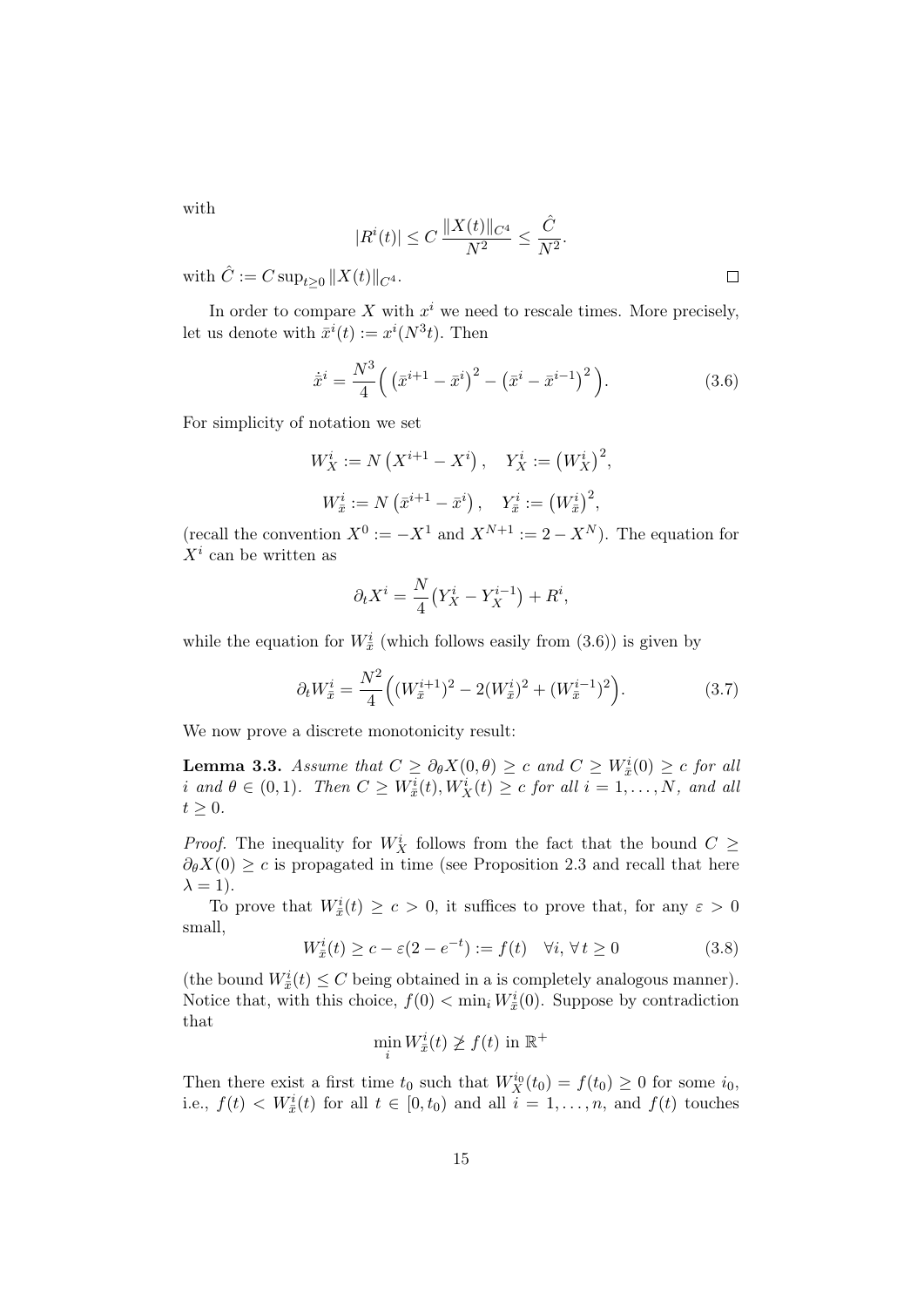with

$$
|R^{i}(t)| \le C \frac{\|X(t)\|_{C^{4}}}{N^{2}} \le \frac{\hat{C}}{N^{2}}.
$$
  

$$
\|X(t)\|_{C^{4}}.
$$

with  $\hat{C} := C \sup_{t \geq 0} ||X(t)||_{C^4}$ .

In order to compare X with  $x^i$  we need to rescale times. More precisely, let us denote with  $\bar{x}^i(t) := x^i(N^3t)$ . Then

$$
\dot{\bar{x}}^i = \frac{N^3}{4} \left( \left( \bar{x}^{i+1} - \bar{x}^i \right)^2 - \left( \bar{x}^i - \bar{x}^{i-1} \right)^2 \right). \tag{3.6}
$$

For simplicity of notation we set

$$
W_X^i := N(X^{i+1} - X^i), \quad Y_X^i := (W_X^i)^2,
$$
  

$$
W_{\bar{x}}^i := N(\bar{x}^{i+1} - \bar{x}^i), \quad Y_{\bar{x}}^i := (W_{\bar{x}}^i)^2,
$$

(recall the convention  $X^0 := -X^1$  and  $X^{N+1} := 2 - X^N$ ). The equation for  $X^i$  can be written as

$$
\partial_t X^i = \frac{N}{4} \left( Y_X^i - Y_X^{i-1} \right) + R^i,
$$

while the equation for  $W_{\bar{x}}^{i}$  (which follows easily from  $(3.6)$ ) is given by

$$
\partial_t W_{\bar{x}}^i = \frac{N^2}{4} \left( (W_{\bar{x}}^{i+1})^2 - 2(W_{\bar{x}}^i)^2 + (W_{\bar{x}}^{i-1})^2 \right). \tag{3.7}
$$

We now prove a discrete monotonicity result:

**Lemma 3.3.** Assume that  $C \geq \partial_{\theta}X(0,\theta) \geq c$  and  $C \geq W_{\bar{x}}^i(0) \geq c$  for all i and  $\theta \in (0,1)$ . Then  $C \geq W_{\bar{x}}^i(t), W_X^i(t) \geq c$  for all  $i = 1, ..., N$ , and all  $t \geq 0$ .

*Proof.* The inequality for  $W_X^i$  follows from the fact that the bound  $C \geq$  $\partial_{\theta}X(0) \geq c$  is propagated in time (see Proposition 2.3 and recall that here  $\lambda = 1$ ).

To prove that  $W_{\bar{x}}^i(t) \geq c > 0$ , it suffices to prove that, for any  $\varepsilon > 0$ small,

$$
W_{\bar{x}}^{i}(t) \ge c - \varepsilon (2 - e^{-t}) := f(t) \quad \forall i, \forall t \ge 0
$$
\n(3.8)

(the bound  $W_{\bar{x}}^{i}(t) \leq C$  being obtained in a is completely analogous manner). Notice that, with this choice,  $f(0) < \min_i W_{\bar{x}}^i(0)$ . Suppose by contradiction that

$$
\min_i W^i_{\bar{x}}(t) \not\geq f(t) \text{ in } \mathbb{R}^+
$$

Then there exist a first time  $t_0$  such that  $W_X^{i_0}(t_0) = f(t_0) \geq 0$  for some  $i_0$ , i.e.,  $f(t) < W_{\bar{x}}^i(t)$  for all  $t \in [0, t_0)$  and all  $i = 1, \ldots, n$ , and  $f(t)$  touches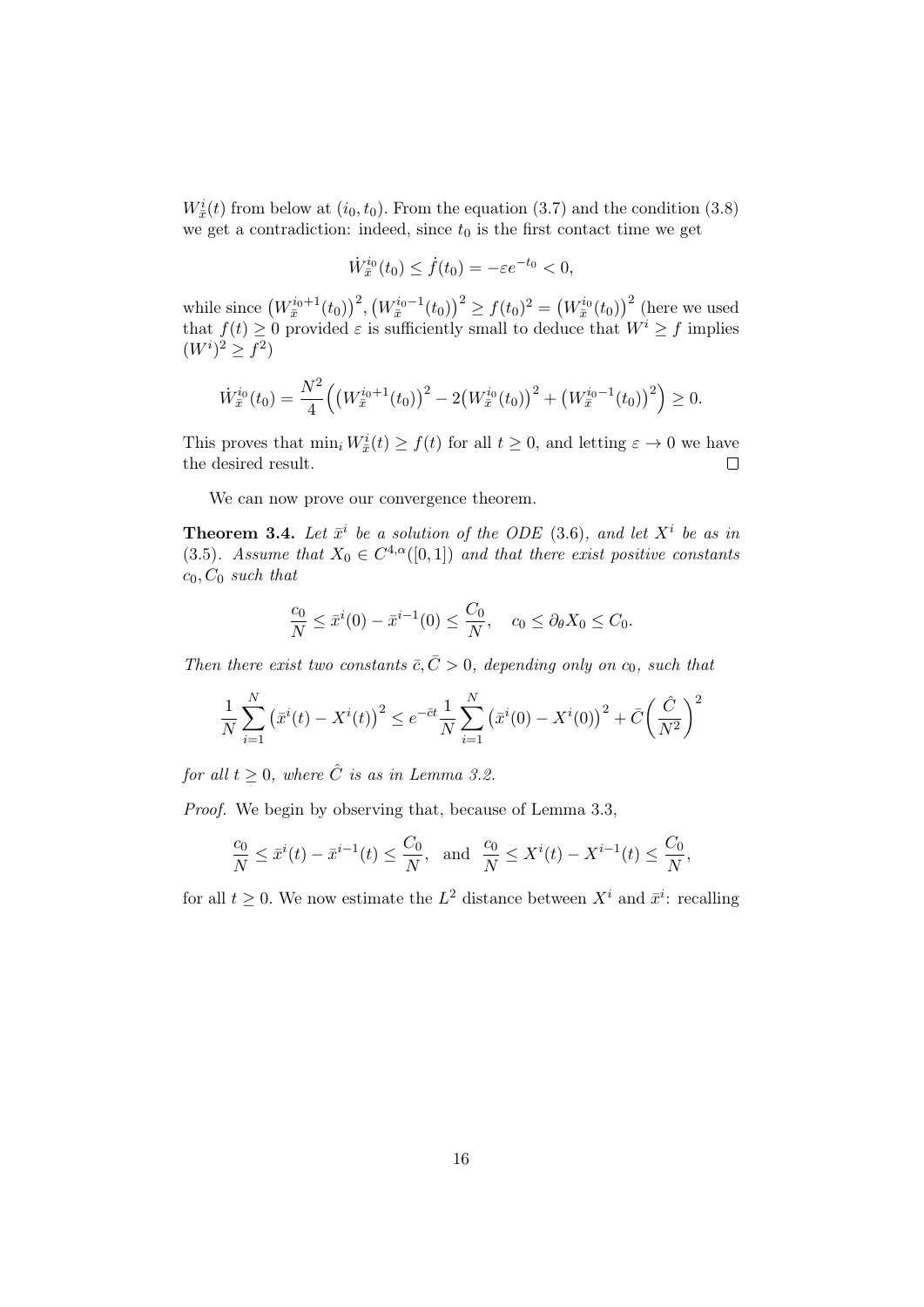$W_{\bar{x}}^{i}(t)$  from below at  $(i_0, t_0)$ . From the equation (3.7) and the condition (3.8) we get a contradiction: indeed, since  $t_0$  is the first contact time we get

$$
\dot{W}_{\bar{x}}^{i_0}(t_0) \le \dot{f}(t_0) = -\varepsilon e^{-t_0} < 0,
$$

while since  $(W_{\bar{x}}^{i_0+1}(t_0))^2$ ,  $(W_{\bar{x}}^{i_0-1}(t_0))^2 \ge f(t_0)^2 = (W_{\bar{x}}^{i_0}(t_0))^2$  (here we used that  $f(t) \geq 0$  provided  $\varepsilon$  is sufficiently small to deduce that  $W^i \geq f$  implies  $(W^{i})^{2} \geq f^{2}$ 

$$
\dot{W}_{\bar{x}}^{i_0}(t_0) = \frac{N^2}{4} \left( \left( W_{\bar{x}}^{i_0+1}(t_0) \right)^2 - 2 \left( W_{\bar{x}}^{i_0}(t_0) \right)^2 + \left( W_{\bar{x}}^{i_0-1}(t_0) \right)^2 \right) \ge 0.
$$

This proves that  $\min_i W_{\bar{x}}^i(t) \ge f(t)$  for all  $t \ge 0$ , and letting  $\varepsilon \to 0$  we have the desired result.  $\Box$ 

We can now prove our convergence theorem.

**Theorem 3.4.** Let  $\bar{x}^i$  be a solution of the ODE (3.6), and let  $X^i$  be as in (3.5). Assume that  $X_0 \in C^{4,\alpha}([0,1])$  and that there exist positive constants  $c_0$ ,  $C_0$  such that

$$
\frac{c_0}{N} \le \bar{x}^i(0) - \bar{x}^{i-1}(0) \le \frac{C_0}{N}, \quad c_0 \le \partial_\theta X_0 \le C_0.
$$

Then there exist two constants  $\bar{c}, \bar{C} > 0$ , depending only on  $c_0$ , such that

$$
\frac{1}{N} \sum_{i=1}^{N} (\bar{x}^i(t) - X^i(t))^2 \le e^{-\bar{c}t} \frac{1}{N} \sum_{i=1}^{N} (\bar{x}^i(0) - X^i(0))^2 + \bar{C} \left(\frac{\hat{C}}{N^2}\right)^2
$$

for all  $t > 0$ , where  $\hat{C}$  is as in Lemma 3.2.

Proof. We begin by observing that, because of Lemma 3.3,

$$
\frac{c_0}{N} \le \bar{x}^i(t) - \bar{x}^{i-1}(t) \le \frac{C_0}{N}, \text{ and } \frac{c_0}{N} \le X^i(t) - X^{i-1}(t) \le \frac{C_0}{N},
$$

for all  $t \geq 0$ . We now estimate the  $L^2$  distance between  $X^i$  and  $\bar{x}^i$ : recalling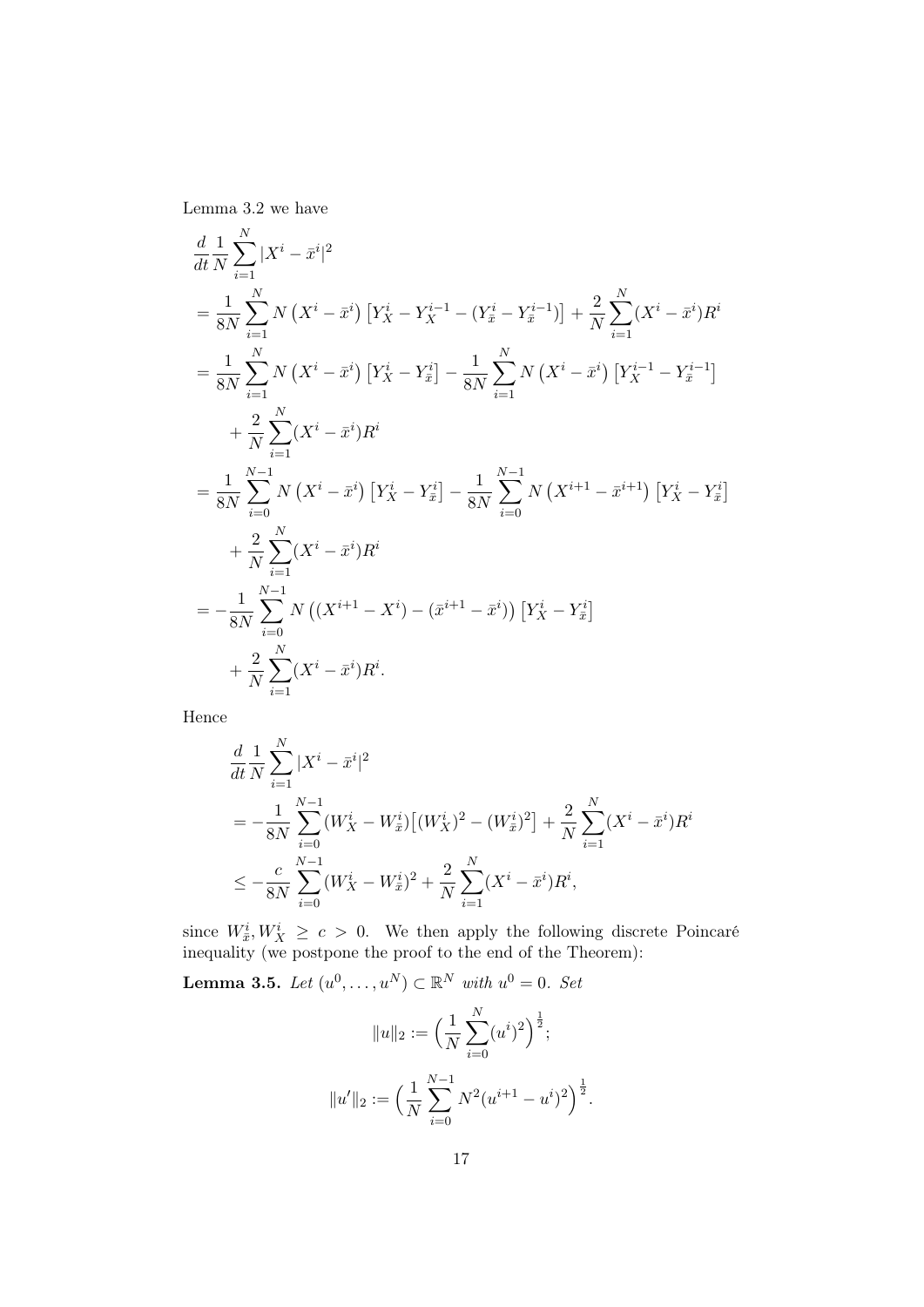Lemma 3.2 we have

$$
\frac{d}{dt} \frac{1}{N} \sum_{i=1}^{N} |X^{i} - \bar{x}^{i}|^{2}
$$
\n  
\n
$$
= \frac{1}{8N} \sum_{i=1}^{N} N (X^{i} - \bar{x}^{i}) [Y_{X}^{i} - Y_{X}^{i-1} - (Y_{\bar{x}}^{i} - Y_{\bar{x}}^{i-1})] + \frac{2}{N} \sum_{i=1}^{N} (X^{i} - \bar{x}^{i}) R^{i}
$$
\n  
\n
$$
= \frac{1}{8N} \sum_{i=1}^{N} N (X^{i} - \bar{x}^{i}) [Y_{X}^{i} - Y_{\bar{x}}^{i}] - \frac{1}{8N} \sum_{i=1}^{N} N (X^{i} - \bar{x}^{i}) [Y_{X}^{i-1} - Y_{\bar{x}}^{i-1}]
$$
\n  
\n
$$
+ \frac{2}{N} \sum_{i=1}^{N} (X^{i} - \bar{x}^{i}) R^{i}
$$
\n  
\n
$$
= \frac{1}{8N} \sum_{i=0}^{N-1} N (X^{i} - \bar{x}^{i}) [Y_{X}^{i} - Y_{\bar{x}}^{i}] - \frac{1}{8N} \sum_{i=0}^{N-1} N (X^{i+1} - \bar{x}^{i+1}) [Y_{X}^{i} - Y_{\bar{x}}^{i}]
$$
\n  
\n
$$
+ \frac{2}{N} \sum_{i=1}^{N} (X^{i} - \bar{x}^{i}) R^{i}
$$
\n  
\n
$$
= -\frac{1}{8N} \sum_{i=0}^{N-1} N ((X^{i+1} - X^{i}) - (\bar{x}^{i+1} - \bar{x}^{i})) [Y_{X}^{i} - Y_{\bar{x}}^{i}]
$$
\n  
\n
$$
+ \frac{2}{N} \sum_{i=1}^{N} (X^{i} - \bar{x}^{i}) R^{i}.
$$

Hence

$$
\frac{d}{dt}\frac{1}{N}\sum_{i=1}^{N}|X^{i}-\bar{x}^{i}|^{2}
$$
\n
$$
=-\frac{1}{8N}\sum_{i=0}^{N-1}(W_{X}^{i}-W_{\bar{x}}^{i})\left[(W_{X}^{i})^{2}-(W_{\bar{x}}^{i})^{2}\right]+\frac{2}{N}\sum_{i=1}^{N}(X^{i}-\bar{x}^{i})R^{i}
$$
\n
$$
\leq -\frac{c}{8N}\sum_{i=0}^{N-1}(W_{X}^{i}-W_{\bar{x}}^{i})^{2}+\frac{2}{N}\sum_{i=1}^{N}(X^{i}-\bar{x}^{i})R^{i},
$$

since  $W_{\bar{x}}^i, W_X^i \geq c > 0$ . We then apply the following discrete Poincaré inequality (we postpone the proof to the end of the Theorem):

**Lemma 3.5.** Let  $(u^0, \ldots, u^N) \subset \mathbb{R}^N$  with  $u^0 = 0$ . Set

$$
||u||_2 := \left(\frac{1}{N} \sum_{i=0}^N (u^i)^2\right)^{\frac{1}{2}};
$$
  

$$
||u'||_2 := \left(\frac{1}{N} \sum_{i=0}^{N-1} N^2 (u^{i+1} - u^i)^2\right)^{\frac{1}{2}}.
$$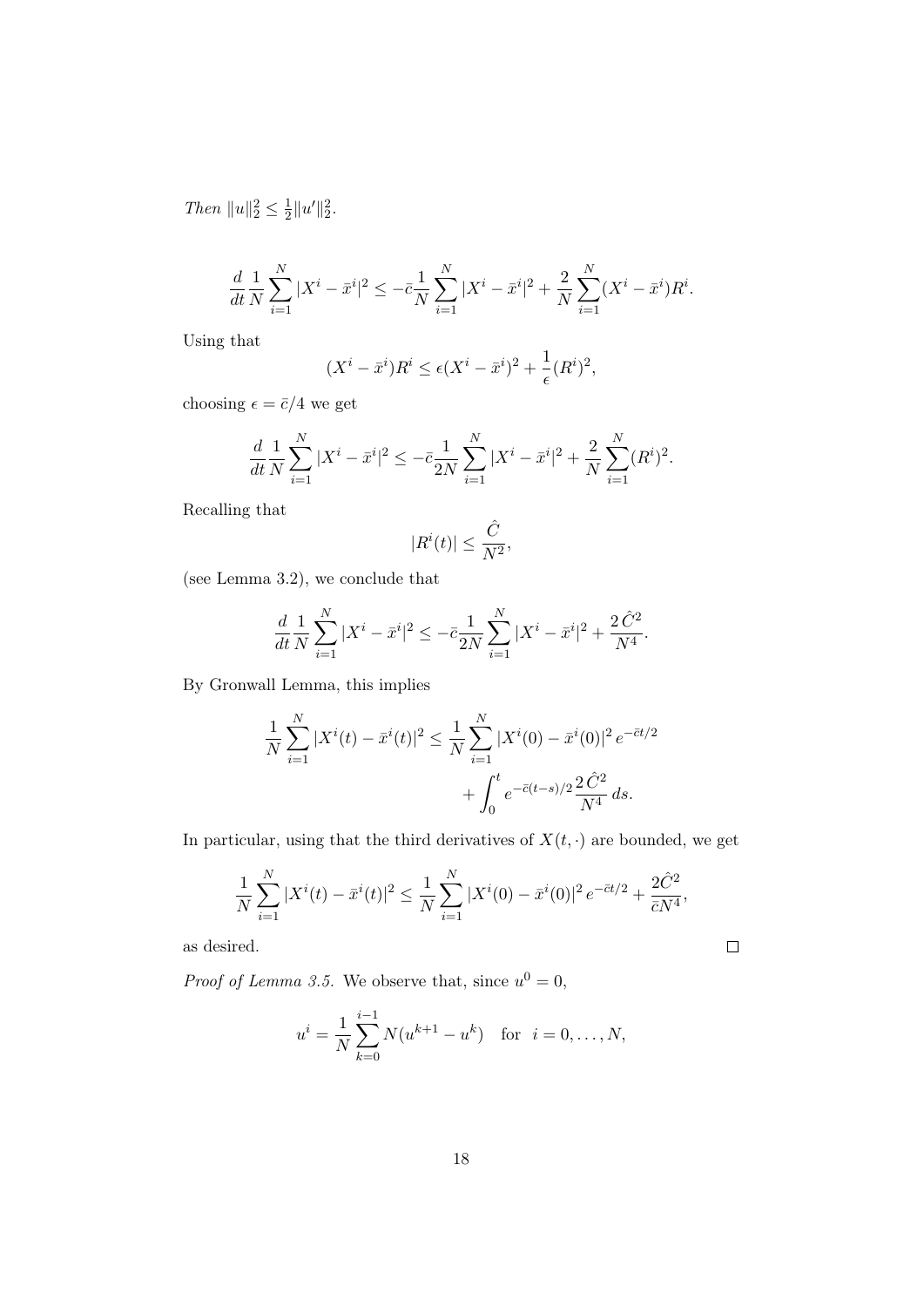Then  $||u||_2^2 \leq \frac{1}{2}$  $\frac{1}{2}||u'||_2^2.$ 

$$
\frac{d}{dt}\frac{1}{N}\sum_{i=1}^{N}|X^{i}-\bar{x}^{i}|^{2}\leq-\bar{c}\frac{1}{N}\sum_{i=1}^{N}|X^{i}-\bar{x}^{i}|^{2}+\frac{2}{N}\sum_{i=1}^{N}(X^{i}-\bar{x}^{i})R^{i}.
$$

Using that

$$
(X^i - \bar{x}^i)R^i \le \epsilon (X^i - \bar{x}^i)^2 + \frac{1}{\epsilon}(R^i)^2,
$$

choosing  $\epsilon = \bar{c}/4$  we get

$$
\frac{d}{dt}\frac{1}{N}\sum_{i=1}^{N}|X^{i}-\bar{x}^{i}|^{2} \leq -\bar{c}\frac{1}{2N}\sum_{i=1}^{N}|X^{i}-\bar{x}^{i}|^{2} + \frac{2}{N}\sum_{i=1}^{N}(R^{i})^{2}.
$$

Recalling that

$$
|R^i(t)|\leq \frac{\hat{C}}{N^2},
$$

(see Lemma 3.2), we conclude that

$$
\frac{d}{dt}\frac{1}{N}\sum_{i=1}^{N}|X^{i}-\bar{x}^{i}|^{2} \leq -\bar{c}\frac{1}{2N}\sum_{i=1}^{N}|X^{i}-\bar{x}^{i}|^{2} + \frac{2\hat{C}^{2}}{N^{4}}.
$$

By Gronwall Lemma, this implies

$$
\frac{1}{N} \sum_{i=1}^{N} |X^{i}(t) - \bar{x}^{i}(t)|^{2} \le \frac{1}{N} \sum_{i=1}^{N} |X^{i}(0) - \bar{x}^{i}(0)|^{2} e^{-\bar{c}t/2} + \int_{0}^{t} e^{-\bar{c}(t-s)/2} \frac{2 \hat{C}^{2}}{N^{4}} ds.
$$

In particular, using that the third derivatives of  $X(t, \cdot)$  are bounded, we get

$$
\frac{1}{N} \sum_{i=1}^{N} |X^{i}(t) - \bar{x}^{i}(t)|^{2} \le \frac{1}{N} \sum_{i=1}^{N} |X^{i}(0) - \bar{x}^{i}(0)|^{2} e^{-\bar{c}t/2} + \frac{2\hat{C}^{2}}{\bar{c}N^{4}},
$$

 $\Box$ 

as desired.

*Proof of Lemma 3.5.* We observe that, since  $u^0 = 0$ ,

$$
u^{i} = \frac{1}{N} \sum_{k=0}^{i-1} N(u^{k+1} - u^{k}) \text{ for } i = 0, ..., N,
$$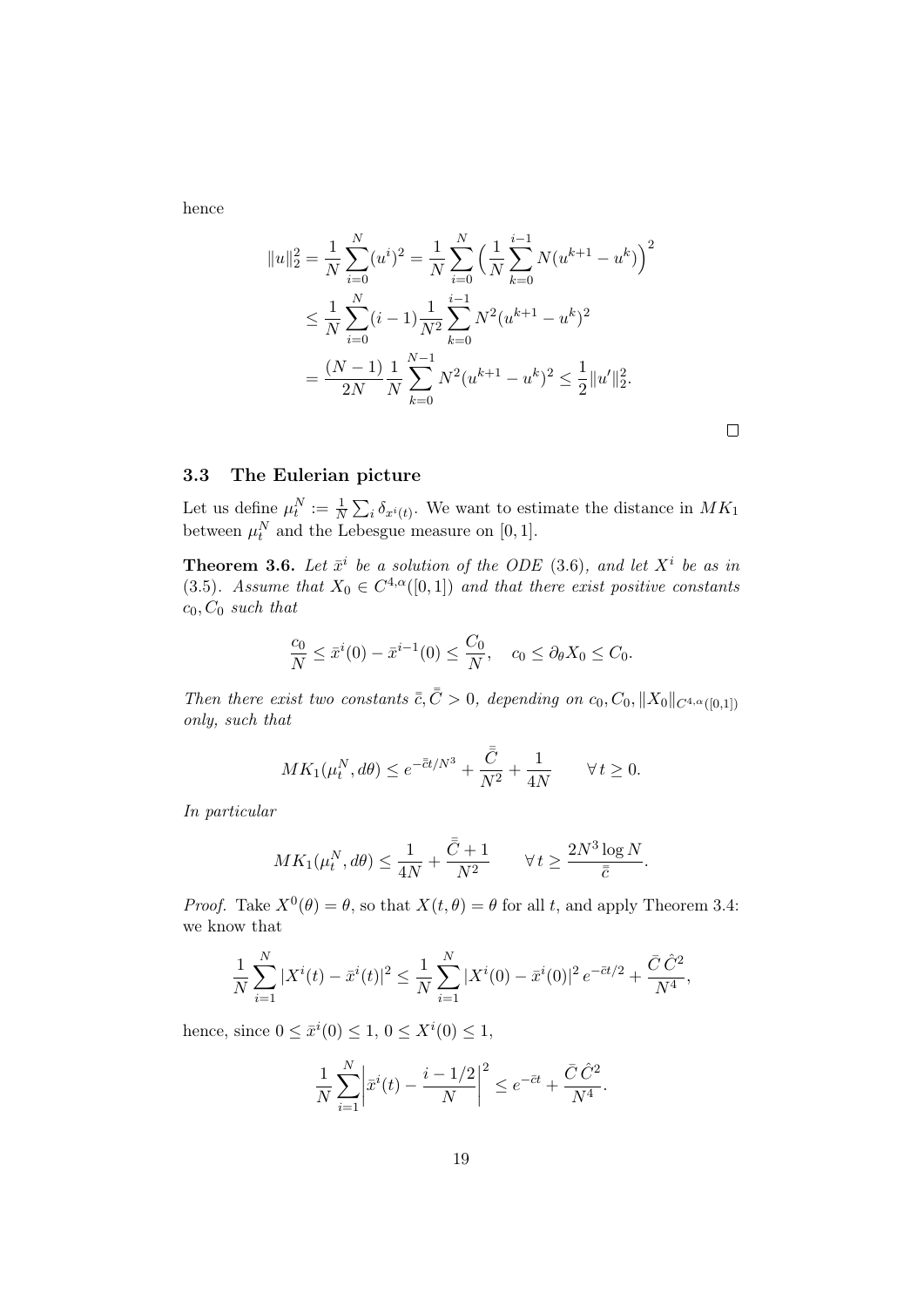hence

 $\overline{\phantom{a}}$ 

$$
|u\|_2^2 = \frac{1}{N} \sum_{i=0}^N (u^i)^2 = \frac{1}{N} \sum_{i=0}^N \left(\frac{1}{N} \sum_{k=0}^{i-1} N(u^{k+1} - u^k)\right)^2
$$
  

$$
\leq \frac{1}{N} \sum_{i=0}^N (i-1) \frac{1}{N^2} \sum_{k=0}^{i-1} N^2 (u^{k+1} - u^k)^2
$$
  

$$
= \frac{(N-1)}{2N} \frac{1}{N} \sum_{k=0}^{N-1} N^2 (u^{k+1} - u^k)^2 \leq \frac{1}{2} ||u'||_2^2.
$$

## 3.3 The Eulerian picture

Let us define  $\mu_t^N := \frac{1}{N} \sum_i \delta_{x^i(t)}$ . We want to estimate the distance in  $MK_1$ between  $\mu_t^N$  and the Lebesgue measure on [0, 1].

**Theorem 3.6.** Let  $\bar{x}^i$  be a solution of the ODE (3.6), and let  $X^i$  be as in (3.5). Assume that  $X_0 \in C^{4,\alpha}([0,1])$  and that there exist positive constants  $c_0, C_0$  such that

$$
\frac{c_0}{N} \le \bar{x}^i(0) - \bar{x}^{i-1}(0) \le \frac{C_0}{N}, \quad c_0 \le \partial_\theta X_0 \le C_0.
$$

Then there exist two constants  $\bar{\bar{c}}, \bar{\bar{C}} > 0$ , depending on c<sub>0</sub>, C<sub>0</sub>,  $||X_0||_{C^{4,\alpha}([0,1])}$ only, such that

$$
MK_1(\mu_t^N, d\theta) \le e^{-\bar{\bar{c}}t/N^3} + \frac{\bar{\bar{C}}}{N^2} + \frac{1}{4N} \qquad \forall \, t \ge 0.
$$

In particular

$$
MK_1(\mu_t^N, d\theta) \le \frac{1}{4N} + \frac{\bar{\bar{C}} + 1}{N^2} \qquad \forall \, t \ge \frac{2N^3 \log N}{\bar{\bar{c}}}.
$$

*Proof.* Take  $X^0(\theta) = \theta$ , so that  $X(t, \theta) = \theta$  for all t, and apply Theorem 3.4: we know that

$$
\frac{1}{N} \sum_{i=1}^{N} |X^{i}(t) - \bar{x}^{i}(t)|^{2} \le \frac{1}{N} \sum_{i=1}^{N} |X^{i}(0) - \bar{x}^{i}(0)|^{2} e^{-\bar{c}t/2} + \frac{\bar{C}\,\hat{C}^{2}}{N^{4}},
$$

hence, since  $0 \le \bar{x}^i(0) \le 1, 0 \le X^i(0) \le 1$ ,

$$
\frac{1}{N} \sum_{i=1}^{N} \left| \bar{x}^{i}(t) - \frac{i - 1/2}{N} \right|^{2} \le e^{-\bar{c}t} + \frac{\bar{C}\,\hat{C}^{2}}{N^{4}}.
$$

 $\Box$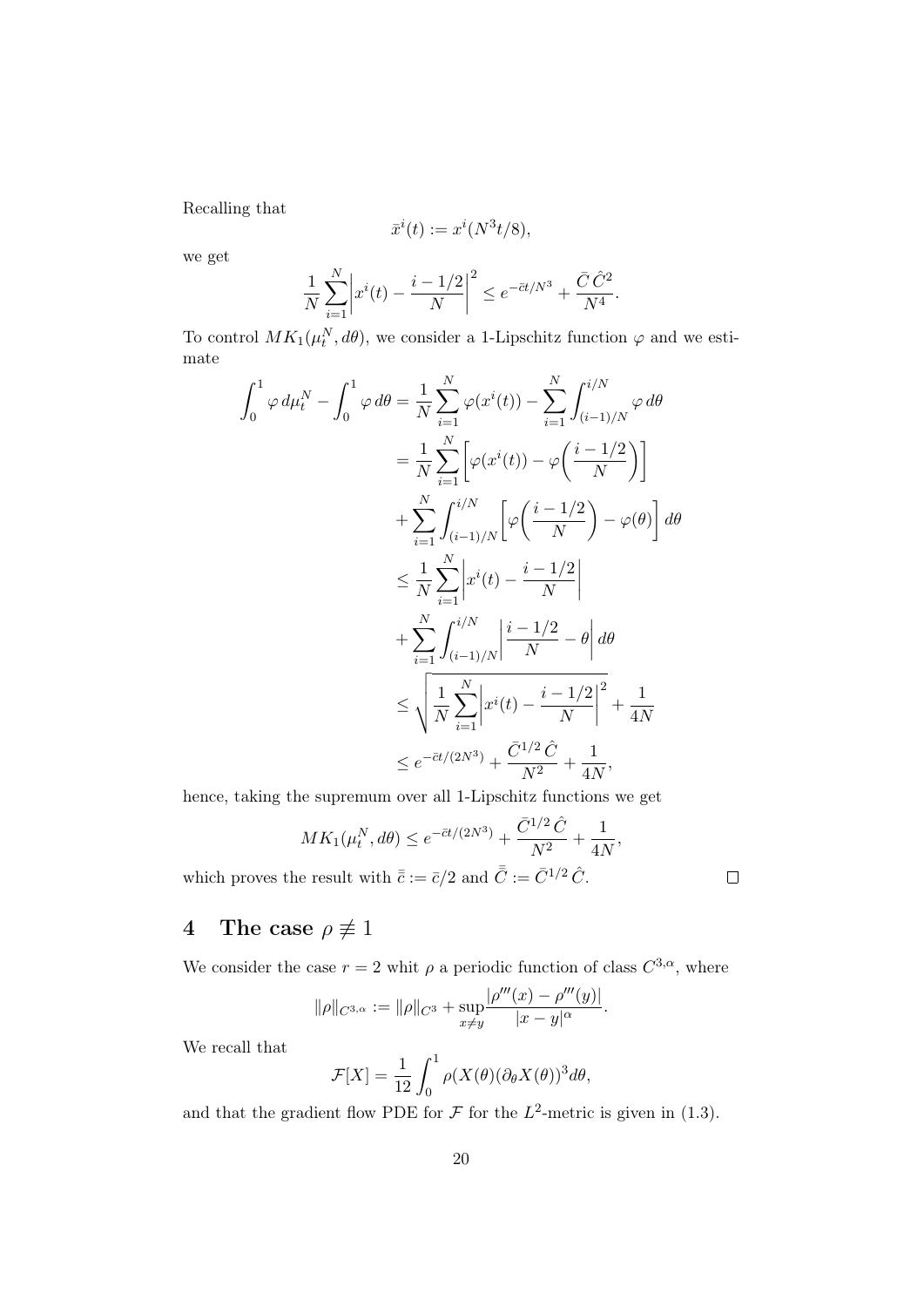Recalling that

$$
\bar{x}^i(t) := x^i(N^3t/8),
$$

we get

$$
\frac{1}{N} \sum_{i=1}^{N} \left| x^{i}(t) - \frac{i - 1/2}{N} \right|^{2} \le e^{-\bar{c}t/N^{3}} + \frac{\bar{C}\,\hat{C}^{2}}{N^{4}}.
$$

To control  $MK_1(\mu_t^N, d\theta)$ , we consider a 1-Lipschitz function  $\varphi$  and we estimate

$$
\int_{0}^{1} \varphi d\mu_{t}^{N} - \int_{0}^{1} \varphi d\theta = \frac{1}{N} \sum_{i=1}^{N} \varphi(x^{i}(t)) - \sum_{i=1}^{N} \int_{(i-1)/N}^{i/N} \varphi d\theta
$$
  
\n
$$
= \frac{1}{N} \sum_{i=1}^{N} \left[ \varphi(x^{i}(t)) - \varphi\left(\frac{i-1/2}{N}\right) \right]
$$
  
\n
$$
+ \sum_{i=1}^{N} \int_{(i-1)/N}^{i/N} \left[ \varphi\left(\frac{i-1/2}{N}\right) - \varphi(\theta) \right] d\theta
$$
  
\n
$$
\leq \frac{1}{N} \sum_{i=1}^{N} \left| x^{i}(t) - \frac{i-1/2}{N} \right|
$$
  
\n
$$
+ \sum_{i=1}^{N} \int_{(i-1)/N}^{i/N} \left| \frac{i-1/2}{N} - \theta \right| d\theta
$$
  
\n
$$
\leq \sqrt{\frac{1}{N} \sum_{i=1}^{N} \left| x^{i}(t) - \frac{i-1/2}{N} \right|^{2}} + \frac{1}{4N}
$$
  
\n
$$
\leq e^{-\bar{c}t/(2N^{3})} + \frac{\bar{C}^{1/2} \hat{C}}{N^{2}} + \frac{1}{4N},
$$

hence, taking the supremum over all 1-Lipschitz functions we get

$$
MK_1(\mu_t^N, d\theta) \le e^{-\bar{c}t/(2N^3)} + \frac{\bar{C}^{1/2}\hat{C}}{N^2} + \frac{1}{4N},
$$

which proves the result with  $\bar{\bar{c}} := \bar{c}/2$  and  $\bar{\bar{C}} := \bar{C}^{1/2} \hat{C}$ .

## 4 The case  $\rho \not\equiv 1$

We consider the case  $r = 2$  whit  $\rho$  a periodic function of class  $C^{3,\alpha}$ , where

$$
\|\rho\|_{C^{3,\alpha}} := \|\rho\|_{C^3} + \sup_{x \neq y} \frac{|\rho'''(x) - \rho'''(y)|}{|x - y|^{\alpha}}.
$$

We recall that

$$
\mathcal{F}[X] = \frac{1}{12} \int_0^1 \rho(X(\theta)(\partial_{\theta} X(\theta))^3 d\theta,
$$

and that the gradient flow PDE for  $\mathcal F$  for the  $L^2$ -metric is given in (1.3).

 $\Box$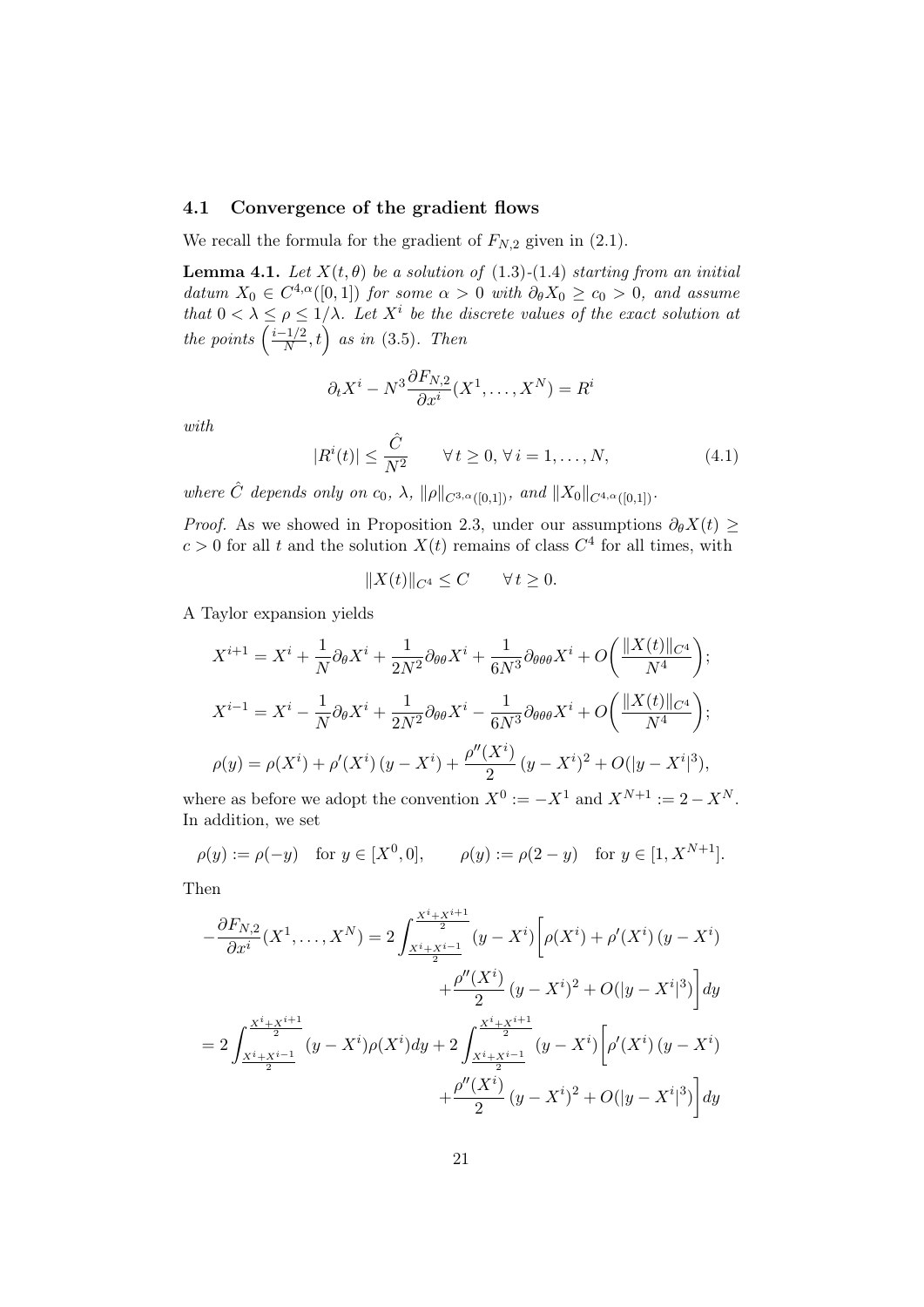### 4.1 Convergence of the gradient flows

We recall the formula for the gradient of  $F_{N,2}$  given in (2.1).

**Lemma 4.1.** Let  $X(t, \theta)$  be a solution of (1.3)-(1.4) starting from an initial datum  $X_0 \in C^{4,\alpha}([0,1])$  for some  $\alpha > 0$  with  $\partial_{\theta}X_0 \ge c_0 > 0$ , and assume that  $0 < \lambda \leq \rho \leq 1/\lambda$ . Let  $X^i$  be the discrete values of the exact solution at the points  $\left(\frac{i-1/2}{N}\right)$  $\left(\frac{-1/2}{N}, t\right)$  as in (3.5). Then

$$
\partial_t X^i - N^3 \frac{\partial F_{N,2}}{\partial x^i} (X^1, \dots, X^N) = R^i
$$

with

$$
|R^{i}(t)| \leq \frac{\hat{C}}{N^{2}} \qquad \forall t \geq 0, \forall i = 1, ..., N,
$$
\n(4.1)

where  $\hat{C}$  depends only on  $c_0$ ,  $\lambda$ ,  $\|\rho\|_{C^{3,\alpha}([0,1])}$ , and  $\|X_0\|_{C^{4,\alpha}([0,1])}$ .

*Proof.* As we showed in Proposition 2.3, under our assumptions  $\partial_{\theta}X(t) \geq$  $c > 0$  for all t and the solution  $X(t)$  remains of class  $C<sup>4</sup>$  for all times, with

$$
||X(t)||_{C^4} \le C \qquad \forall t \ge 0.
$$

A Taylor expansion yields

$$
X^{i+1} = X^i + \frac{1}{N} \partial_{\theta} X^i + \frac{1}{2N^2} \partial_{\theta \theta} X^i + \frac{1}{6N^3} \partial_{\theta \theta \theta} X^i + O\left(\frac{\|X(t)\|_{C^4}}{N^4}\right);
$$
  
\n
$$
X^{i-1} = X^i - \frac{1}{N} \partial_{\theta} X^i + \frac{1}{2N^2} \partial_{\theta \theta} X^i - \frac{1}{6N^3} \partial_{\theta \theta \theta} X^i + O\left(\frac{\|X(t)\|_{C^4}}{N^4}\right);
$$
  
\n
$$
\rho(y) = \rho(X^i) + \rho'(X^i) (y - X^i) + \frac{\rho''(X^i)}{2} (y - X^i)^2 + O(|y - X^i|^3),
$$

where as before we adopt the convention  $X^0 := -X^1$  and  $X^{N+1} := 2 - X^N$ . In addition, we set

$$
\rho(y) := \rho(-y) \quad \text{for } y \in [X^0, 0], \qquad \rho(y) := \rho(2 - y) \quad \text{for } y \in [1, X^{N+1}].
$$

Then

$$
-\frac{\partial F_{N,2}}{\partial x^{i}}(X^{1},...,X^{N}) = 2\int_{\frac{X^{i}+X^{i+1}}{2}}^{\frac{X^{i}+X^{i+1}}{2}}(y-X^{i})\left[\rho(X^{i})+\rho'(X^{i})(y-X^{i})\right]dy
$$

$$
+ \frac{\rho''(X^{i})}{2}(y-X^{i})^{2}+O(|y-X^{i}|^{3})\left]dy
$$

$$
= 2\int_{\frac{X^{i}+X^{i+1}}{2}}^{\frac{X^{i}+X^{i+1}}{2}}(y-X^{i})\rho(X^{i})dy+2\int_{\frac{X^{i}+X^{i+1}}{2}}^{\frac{X^{i}+X^{i+1}}{2}}(y-X^{i})\left[\rho'(X^{i})(y-X^{i})\right]dy
$$

$$
+ \frac{\rho''(X^{i})}{2}(y-X^{i})^{2}+O(|y-X^{i}|^{3})\left]dy
$$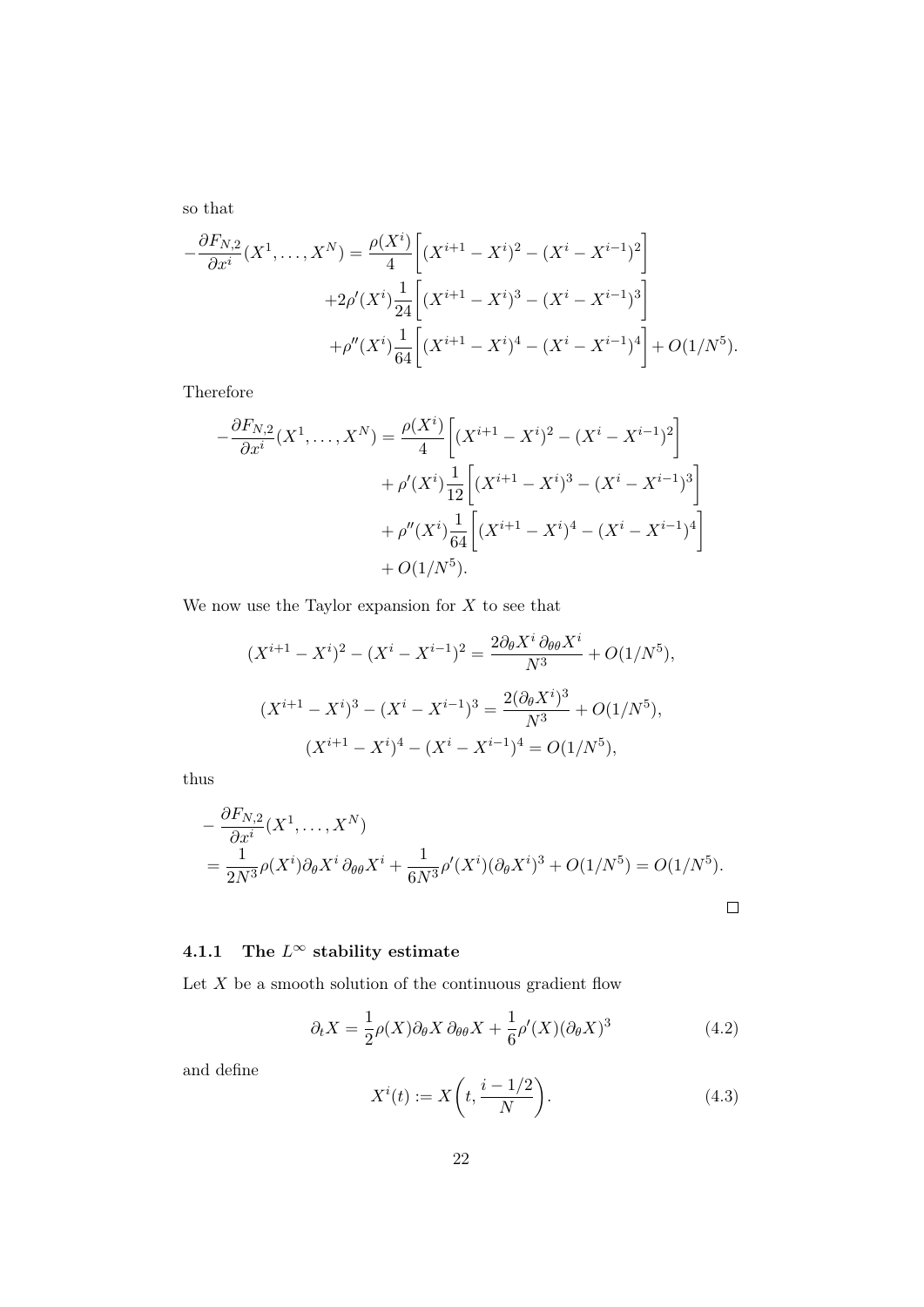so that

$$
-\frac{\partial F_{N,2}}{\partial x^i}(X^1,\ldots,X^N) = \frac{\rho(X^i)}{4}\left[ (X^{i+1} - X^i)^2 - (X^i - X^{i-1})^2 \right] + 2\rho'(X^i)\frac{1}{24}\left[ (X^{i+1} - X^i)^3 - (X^i - X^{i-1})^3 \right] + \rho''(X^i)\frac{1}{64}\left[ (X^{i+1} - X^i)^4 - (X^i - X^{i-1})^4 \right] + O(1/N^5).
$$

Therefore

$$
-\frac{\partial F_{N,2}}{\partial x^i}(X^1,\ldots,X^N) = \frac{\rho(X^i)}{4}\left[ (X^{i+1} - X^i)^2 - (X^i - X^{i-1})^2 \right] + \rho'(X^i) \frac{1}{12}\left[ (X^{i+1} - X^i)^3 - (X^i - X^{i-1})^3 \right] + \rho''(X^i) \frac{1}{64}\left[ (X^{i+1} - X^i)^4 - (X^i - X^{i-1})^4 \right] + O(1/N^5).
$$

We now use the Taylor expansion for  $X$  to see that

$$
(X^{i+1} - X^i)^2 - (X^i - X^{i-1})^2 = \frac{2\partial_\theta X^i \partial_{\theta\theta} X^i}{N^3} + O(1/N^5),
$$
  

$$
(X^{i+1} - X^i)^3 - (X^i - X^{i-1})^3 = \frac{2(\partial_\theta X^i)^3}{N^3} + O(1/N^5),
$$
  

$$
(X^{i+1} - X^i)^4 - (X^i - X^{i-1})^4 = O(1/N^5),
$$

thus

$$
-\frac{\partial F_{N,2}}{\partial x^i}(X^1,\ldots,X^N)
$$
  
=  $\frac{1}{2N^3}\rho(X^i)\partial_\theta X^i \partial_{\theta\theta} X^i + \frac{1}{6N^3}\rho'(X^i)(\partial_\theta X^i)^3 + O(1/N^5) = O(1/N^5).$ 

## 4.1.1 The  $L^{\infty}$  stability estimate

Let  $X$  be a smooth solution of the continuous gradient flow

$$
\partial_t X = \frac{1}{2}\rho(X)\partial_\theta X \partial_{\theta\theta} X + \frac{1}{6}\rho'(X)(\partial_\theta X)^3
$$
\n(4.2)

and define

$$
X^{i}(t) := X\left(t, \frac{i - 1/2}{N}\right).
$$
\n(4.3)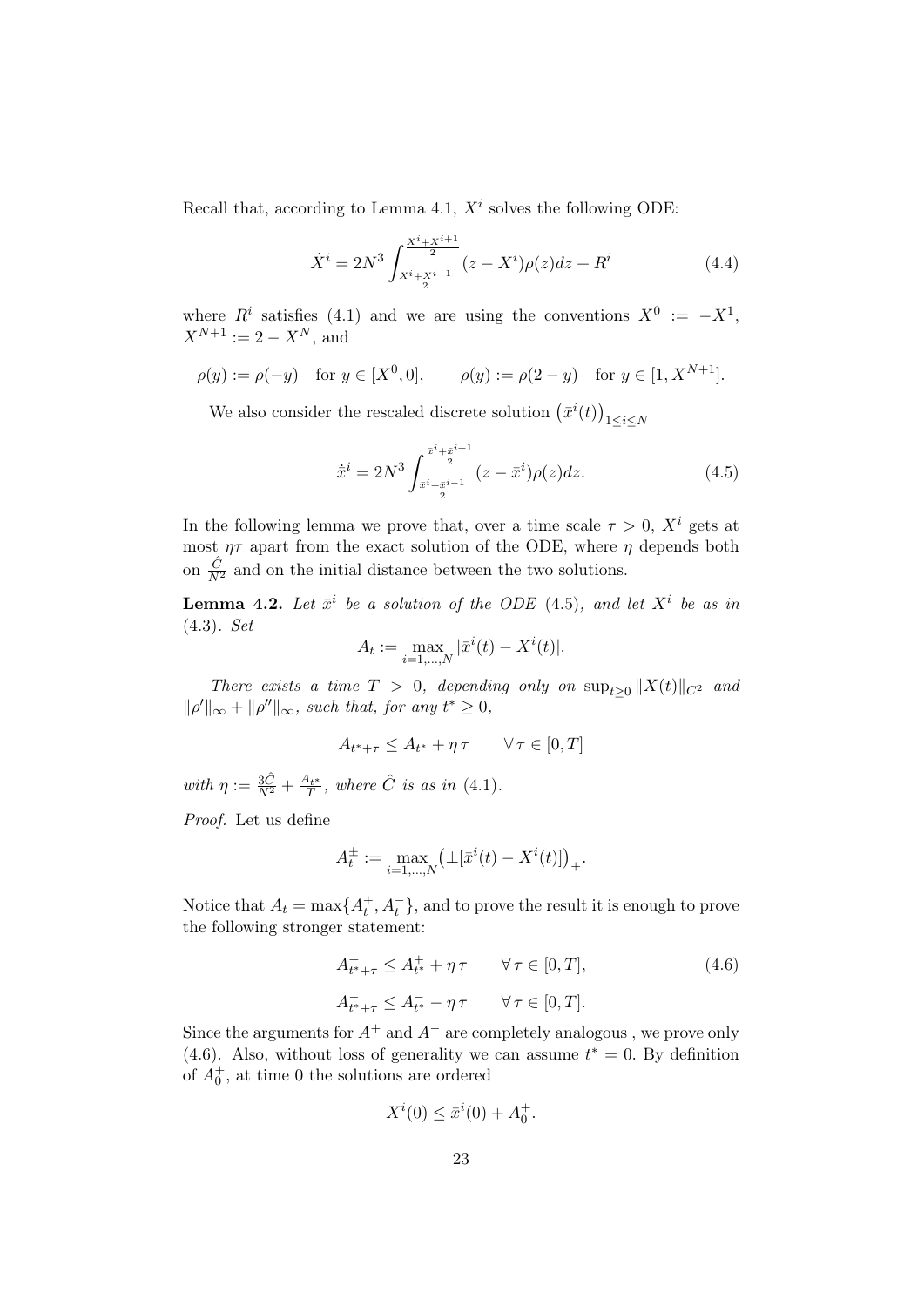Recall that, according to Lemma 4.1,  $X^i$  solves the following ODE:

$$
\dot{X}^i = 2N^3 \int \frac{x^i + x^{i+1}}{2} (z - X^i) \rho(z) dz + R^i
$$
\n(4.4)

where  $R^i$  satisfies (4.1) and we are using the conventions  $X^0 := -X^1$ ,  $X^{N+1} := 2 - X^N$ , and

$$
\rho(y) := \rho(-y)
$$
 for  $y \in [X^0, 0]$ ,  $\rho(y) := \rho(2 - y)$  for  $y \in [1, X^{N+1}]$ .

We also consider the rescaled discrete solution  $(\bar{x}^i(t))_{1 \le i \le N}$ 

$$
\dot{\bar{x}}^i = 2N^3 \int_{\frac{\bar{x}^i + \bar{x}^{i+1}}{2}}^{\frac{\bar{x}^i + \bar{x}^{i+1}}{2}} (z - \bar{x}^i) \rho(z) dz.
$$
 (4.5)

In the following lemma we prove that, over a time scale  $\tau > 0$ ,  $X^i$  gets at most  $\eta\tau$  apart from the exact solution of the ODE, where  $\eta$  depends both on  $\frac{\hat{C}}{N^2}$  and on the initial distance between the two solutions.

**Lemma 4.2.** Let  $\bar{x}^i$  be a solution of the ODE (4.5), and let  $X^i$  be as in (4.3). Set

$$
A_t := \max_{i=1,\dots,N} |\bar{x}^i(t) - X^i(t)|.
$$

There exists a time  $T > 0$ , depending only on  $\sup_{t>0} ||X(t)||_{C^2}$  and  $\|\rho'\|_{\infty} + \|\rho''\|_{\infty}$ , such that, for any  $t^* \geq 0$ ,

$$
A_{t^* + \tau} \le A_{t^*} + \eta \tau \qquad \forall \tau \in [0, T]
$$

with  $\eta := \frac{3\hat{C}}{N^2} + \frac{A_{t^*}}{T}$ , where  $\hat{C}$  is as in (4.1).

Proof. Let us define

$$
A_t^{\pm} := \max_{i=1,\dots,N} \left( \pm [\bar{x}^i(t) - X^i(t)] \right)_+.
$$

Notice that  $A_t = \max\{A_t^+, A_t^-\}$ , and to prove the result it is enough to prove the following stronger statement:

$$
A_{t^*+\tau}^+ \le A_{t^*}^+ + \eta \tau \qquad \forall \tau \in [0, T], \tag{4.6}
$$

$$
A_{t^*+\tau}^- \le A_{t^*}^- - \eta \tau \qquad \forall \tau \in [0, T].
$$

Since the arguments for  $A^+$  and  $A^-$  are completely analogous, we prove only (4.6). Also, without loss of generality we can assume  $t^* = 0$ . By definition of  $A_0^+$ , at time 0 the solutions are ordered

$$
X^{i}(0) \leq \bar{x}^{i}(0) + A_{0}^{+}.
$$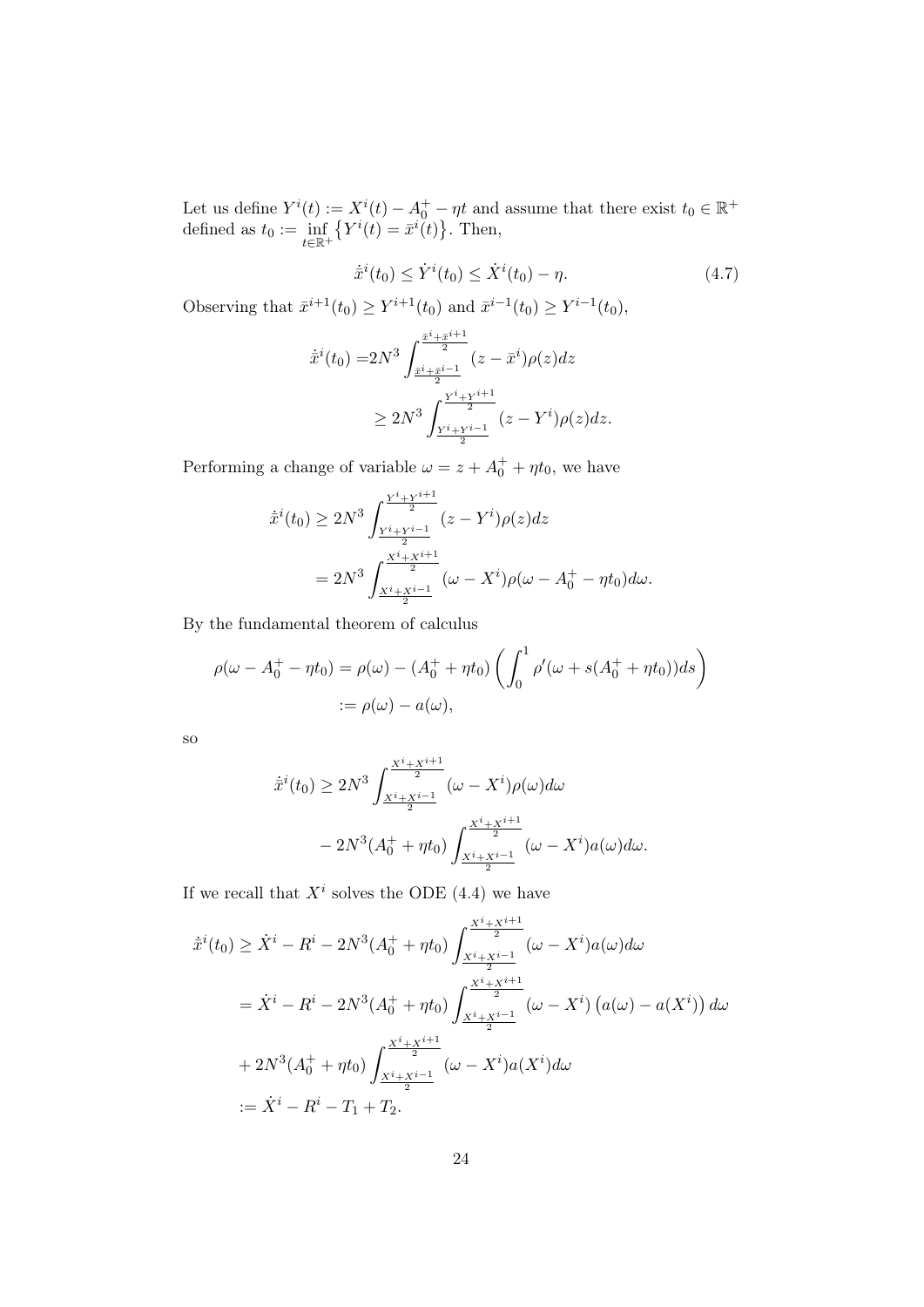Let us define  $Y^{i}(t) := X^{i}(t) - A_0^+ - \eta t$  and assume that there exist  $t_0 \in \mathbb{R}^+$ defined as  $t_0 := \inf_{t \in \mathbb{R}^+}$  $\{Y^{i}(t) = \bar{x}^{i}(t)\}\.$  Then,

$$
\dot{\bar{x}}^i(t_0) \le \dot{Y}^i(t_0) \le \dot{X}^i(t_0) - \eta. \tag{4.7}
$$

Observing that  $\bar{x}^{i+1}(t_0) \ge Y^{i+1}(t_0)$  and  $\bar{x}^{i-1}(t_0) \ge Y^{i-1}(t_0)$ ,

$$
\dot{\bar{x}}^i(t_0) = 2N^3 \int_{\frac{\bar{x}^i + \bar{x}^{i+1}}{2}}^{\frac{\bar{x}^i + \bar{x}^{i+1}}{2}} (z - \bar{x}^i)\rho(z)dz
$$
\n
$$
\geq 2N^3 \int_{\frac{Y^i + Y^{i+1}}{2}}^{\frac{Y^i + Y^{i+1}}{2}} (z - Y^i)\rho(z)dz.
$$

Performing a change of variable  $\omega = z + A_0^+ + \eta t_0$ , we have

$$
\dot{x}^{i}(t_{0}) \ge 2N^{3} \int_{\frac{Y^{i}+Y^{i+1}}{2}}^{\frac{Y^{i}+Y^{i+1}}{2}} (z-Y^{i})\rho(z)dz
$$
  
= 
$$
2N^{3} \int_{\frac{X^{i}+X^{i+1}}{2}}^{\frac{X^{i}+X^{i+1}}{2}} (\omega - X^{i})\rho(\omega - A_{0}^{+} - \eta t_{0})d\omega.
$$

By the fundamental theorem of calculus

$$
\rho(\omega - A_0^+ - \eta t_0) = \rho(\omega) - (A_0^+ + \eta t_0) \left( \int_0^1 \rho'(\omega + s(A_0^+ + \eta t_0)) ds \right)
$$
  
 :=  $\rho(\omega) - a(\omega)$ ,

so

$$
\dot{\bar{x}}^{i}(t_{0}) \geq 2N^{3} \int_{\frac{X^{i}+X^{i-1}}{2}}^{\frac{X^{i}+X^{i+1}}{2}} (\omega - X^{i}) \rho(\omega) d\omega \n- 2N^{3} (A_{0}^{+} + \eta t_{0}) \int_{\frac{X^{i}+X^{i-1}}{2}}^{\frac{X^{i}+X^{i+1}}{2}} (\omega - X^{i}) a(\omega) d\omega.
$$

If we recall that  $X^i$  solves the ODE (4.4) we have

$$
\dot{\bar{x}}^{i}(t_{0}) \geq \dot{X}^{i} - R^{i} - 2N^{3}(A_{0}^{+} + \eta t_{0}) \int_{\frac{X^{i} + X^{i+1}}{2}}^{\frac{X^{i} + X^{i+1}}{2}} (\omega - X^{i}) a(\omega) d\omega
$$
\n
$$
= \dot{X}^{i} - R^{i} - 2N^{3}(A_{0}^{+} + \eta t_{0}) \int_{\frac{X^{i} + X^{i+1}}{2}}^{\frac{X^{i} + X^{i+1}}{2}} (\omega - X^{i}) (a(\omega) - a(X^{i})) d\omega
$$
\n
$$
+ 2N^{3}(A_{0}^{+} + \eta t_{0}) \int_{\frac{X^{i} + X^{i+1}}{2}}^{\frac{X^{i} + X^{i+1}}{2}} (\omega - X^{i}) a(X^{i}) d\omega
$$
\n
$$
:= \dot{X}^{i} - R^{i} - T_{1} + T_{2}.
$$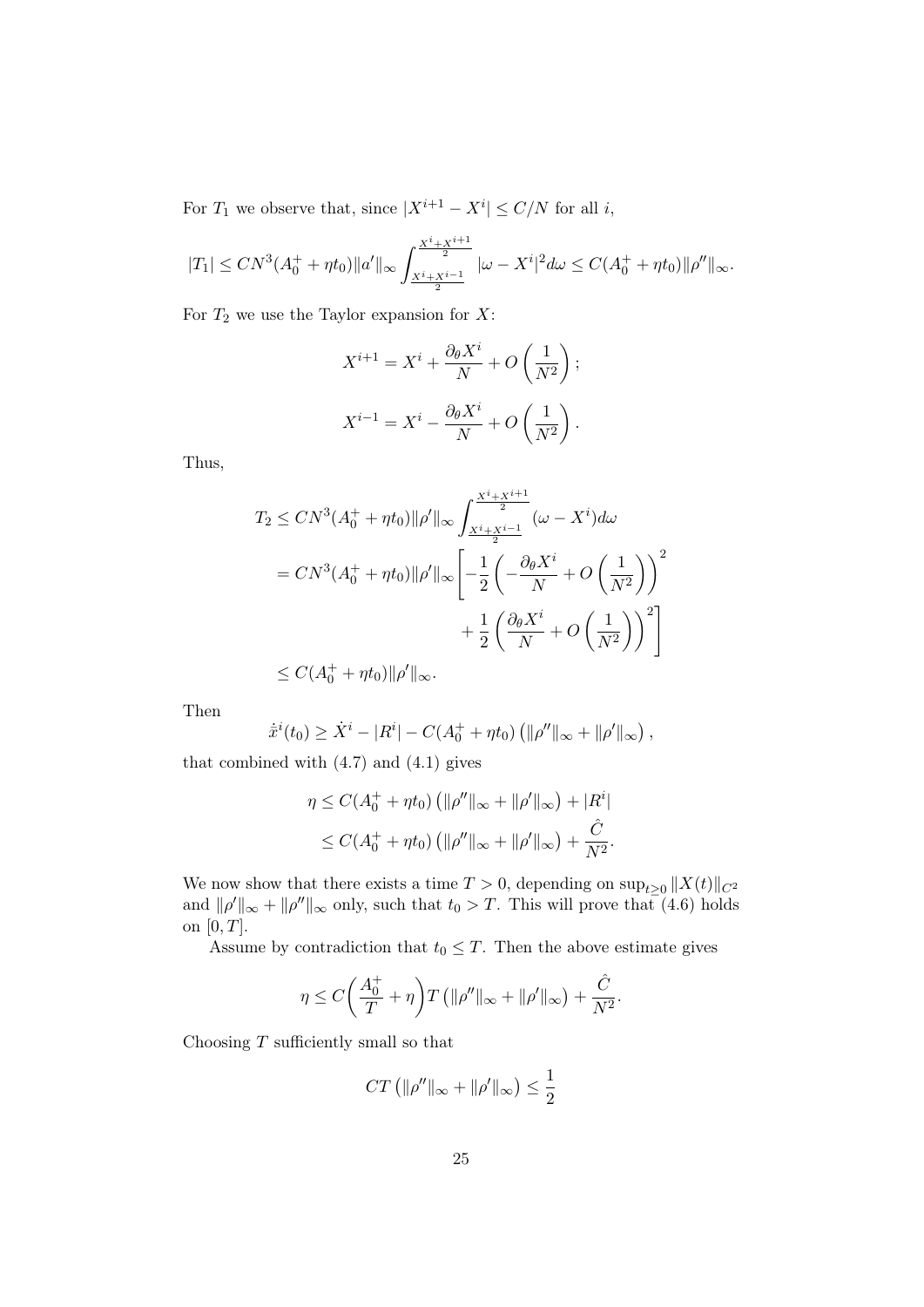For  $T_1$  we observe that, since  $|X^{i+1} - X^i| \le C/N$  for all i,

$$
|T_1| \le CN^3(A_0^+ + \eta t_0) \|a'\|_{\infty} \int_{\frac{X^i + X^{i-1}}{2}}^{\frac{X^i + X^{i+1}}{2}} |\omega - X^i|^2 d\omega \le C(A_0^+ + \eta t_0) \|\rho''\|_{\infty}.
$$

For  $T_2$  we use the Taylor expansion for X:

$$
X^{i+1} = X^i + \frac{\partial_{\theta} X^i}{N} + O\left(\frac{1}{N^2}\right);
$$
  

$$
X^{i-1} = X^i - \frac{\partial_{\theta} X^i}{N} + O\left(\frac{1}{N^2}\right).
$$

Thus,

$$
T_2 \le CN^3(A_0^+ + \eta t_0) \|\rho'\|_{\infty} \int_{\frac{X^i + X^{i+1}}{2}}^{\frac{X^i + X^{i+1}}{2}} (\omega - X^i) d\omega
$$
  
=  $CN^3(A_0^+ + \eta t_0) \|\rho'\|_{\infty} \left[ -\frac{1}{2} \left( -\frac{\partial_{\theta} X^i}{N} + O\left(\frac{1}{N^2}\right) \right)^2 + \frac{1}{2} \left( \frac{\partial_{\theta} X^i}{N} + O\left(\frac{1}{N^2}\right) \right)^2 \right] \le C(A_0^+ + \eta t_0) \|\rho'\|_{\infty}.$ 

Then

$$
\dot{\bar{x}}^i(t_0) \geq \dot{X}^i - |R^i| - C(A_0^+ + \eta t_0) \left( ||\rho''||_{\infty} + ||\rho'||_{\infty} \right),
$$

that combined with  $(4.7)$  and  $(4.1)$  gives

$$
\eta \le C(A_0^+ + \eta t_0) \left( \|\rho''\|_{\infty} + \|\rho'\|_{\infty} \right) + |R^i|
$$
  

$$
\le C(A_0^+ + \eta t_0) \left( \|\rho''\|_{\infty} + \|\rho'\|_{\infty} \right) + \frac{\hat{C}}{N^2}.
$$

We now show that there exists a time  $T > 0$ , depending on  $\sup_{t \geq 0} ||X(t)||_{C^2}$ and  $\|\rho'\|_{\infty} + \|\rho''\|_{\infty}$  only, such that  $t_0 > T$ . This will prove that (4.6) holds on  $[0, T]$ .

Assume by contradiction that  $t_0 \leq T$ . Then the above estimate gives

$$
\eta \le C \bigg( \frac{A_0^+}{T} + \eta \bigg) T \left( \|\rho''\|_{\infty} + \|\rho'\|_{\infty} \right) + \frac{\hat{C}}{N^2}.
$$

Choosing  $T$  sufficiently small so that

$$
CT\left(\|\rho''\|_{\infty} + \|\rho'\|_{\infty}\right) \le \frac{1}{2}
$$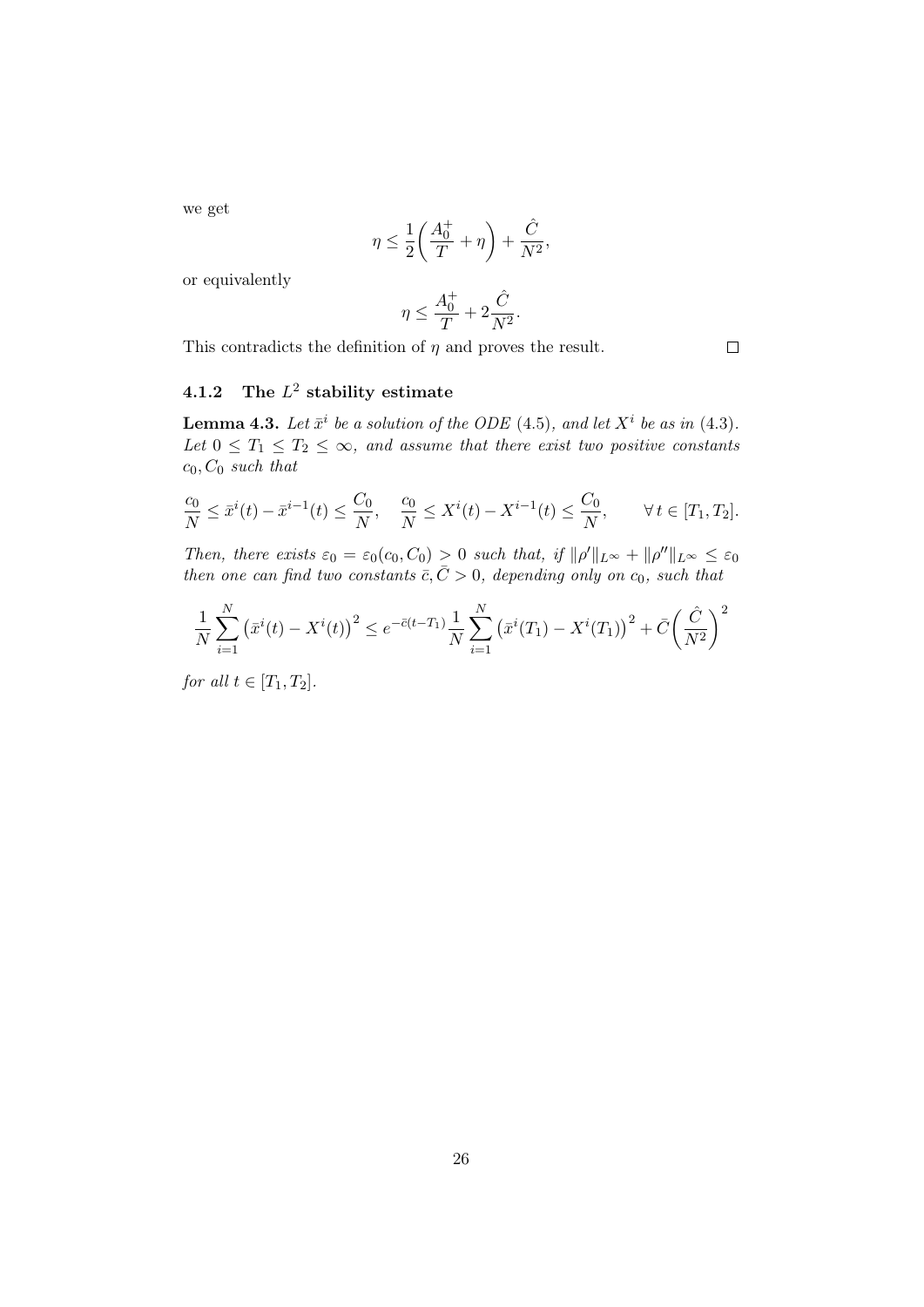we get

$$
\eta \le \frac{1}{2} \bigg( \frac{A_0^+}{T} + \eta \bigg) + \frac{\hat{C}}{N^2},
$$

or equivalently

$$
\eta \le \frac{A_0^+}{T} + 2\frac{\hat{C}}{N^2}.
$$

This contradicts the definition of  $\eta$  and proves the result.

## 4.1.2 The  $L^2$  stability estimate

**Lemma 4.3.** Let  $\bar{x}^i$  be a solution of the ODE (4.5), and let  $X^i$  be as in (4.3). Let  $0 \leq T_1 \leq T_2 \leq \infty$ , and assume that there exist two positive constants  $c_0$ ,  $C_0$  such that

$$
\frac{c_0}{N} \le \bar{x}^i(t) - \bar{x}^{i-1}(t) \le \frac{C_0}{N}, \quad \frac{c_0}{N} \le X^i(t) - X^{i-1}(t) \le \frac{C_0}{N}, \qquad \forall \, t \in [T_1, T_2].
$$

Then, there exists  $\varepsilon_0 = \varepsilon_0(c_0, C_0) > 0$  such that, if  $\|\rho'\|_{L^\infty} + \|\rho''\|_{L^\infty} \leq \varepsilon_0$ then one can find two constants  $\overline{c}, \overline{C} > 0$ , depending only on c<sub>0</sub>, such that

$$
\frac{1}{N} \sum_{i=1}^{N} (\bar{x}^i(t) - X^i(t))^2 \le e^{-\bar{c}(t-T_1)} \frac{1}{N} \sum_{i=1}^{N} (\bar{x}^i(T_1) - X^i(T_1))^2 + \bar{C} \left(\frac{\hat{C}}{N^2}\right)^2
$$

for all  $t \in [T_1, T_2]$ .

 $\Box$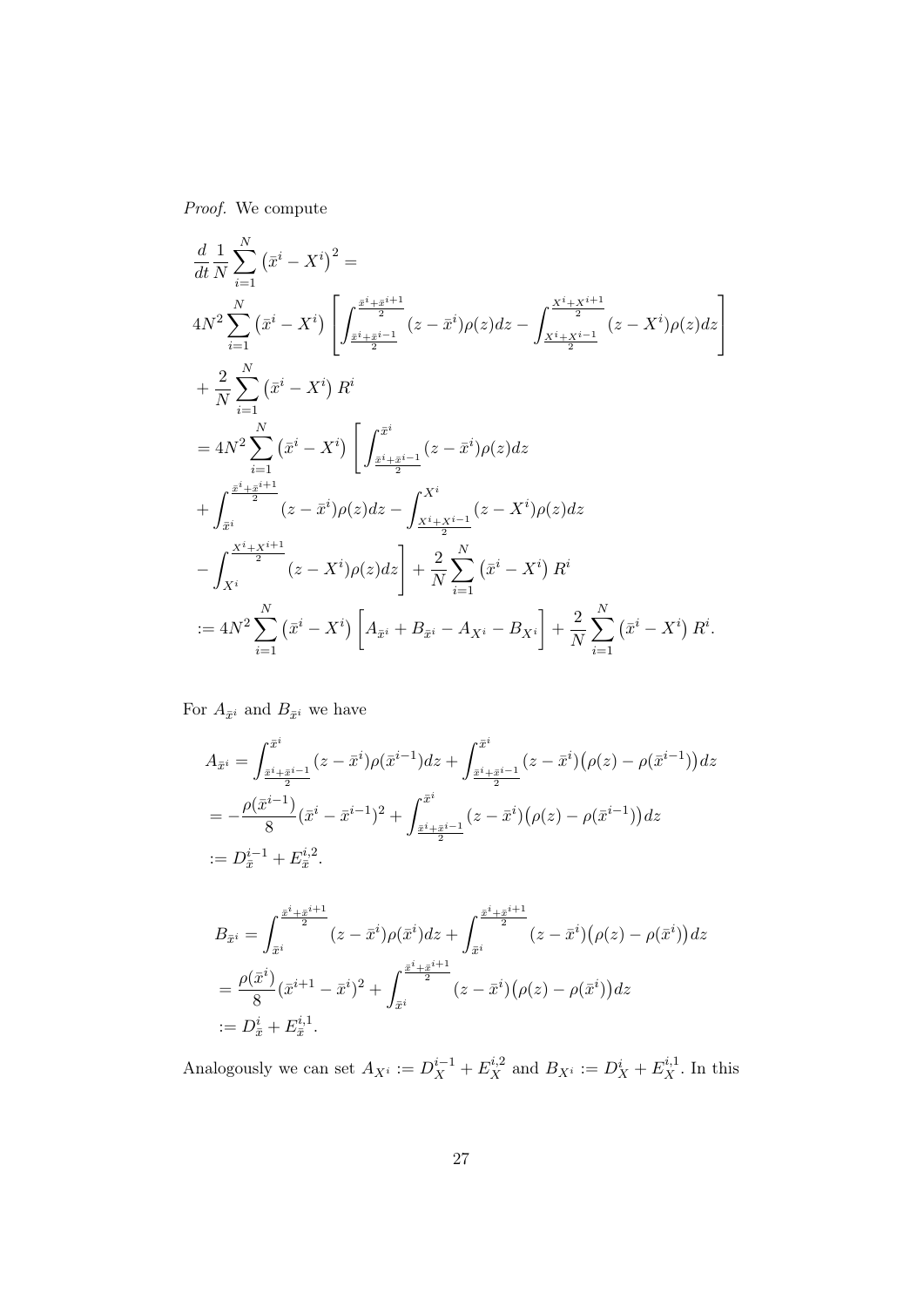Proof. We compute

$$
\frac{d}{dt} \frac{1}{N} \sum_{i=1}^{N} (\bar{x}^i - X^i)^2 =
$$
\n
$$
4N^2 \sum_{i=1}^{N} (\bar{x}^i - X^i) \left[ \int_{\frac{\bar{x}^i + \bar{x}^{i+1}}{2}}^{\frac{\bar{x}^i + \bar{x}^{i+1}}{2}} (z - \bar{x}^i) \rho(z) dz - \int_{\frac{X^i + X^{i+1}}{2}}^{\frac{X^i + X^{i+1}}{2}} (z - X^i) \rho(z) dz \right]
$$
\n
$$
+ \frac{2}{N} \sum_{i=1}^{N} (\bar{x}^i - X^i) R^i
$$
\n
$$
= 4N^2 \sum_{i=1}^{N} (\bar{x}^i - X^i) \left[ \int_{\frac{\bar{x}^i + \bar{x}^{i-1}}{2}}^{\bar{x}^i} (z - \bar{x}^i) \rho(z) dz \right.
$$
\n
$$
+ \int_{\bar{x}^i}^{\frac{\bar{x}^i + \bar{x}^{i+1}}{2}} (z - \bar{x}^i) \rho(z) dz - \int_{\frac{X^i + X^{i-1}}{2}}^{X^i} (z - X^i) \rho(z) dz
$$
\n
$$
- \int_{X^i}^{\frac{X^i + X^{i+1}}{2}} (z - X^i) \rho(z) dz \right] + \frac{2}{N} \sum_{i=1}^{N} (\bar{x}^i - X^i) R^i
$$
\n
$$
:= 4N^2 \sum_{i=1}^{N} (\bar{x}^i - X^i) \left[ A_{\bar{x}^i} + B_{\bar{x}^i} - A_{X^i} - B_{X^i} \right] + \frac{2}{N} \sum_{i=1}^{N} (\bar{x}^i - X^i) R^i.
$$

For  $A_{\bar{x}^i}$  and  $B_{\bar{x}^i}$  we have

$$
A_{\bar{x}^i} = \int_{\frac{\bar{x}^i + \bar{x}^{i-1}}{2}}^{\bar{x}^i} (z - \bar{x}^i) \rho(\bar{x}^{i-1}) dz + \int_{\frac{\bar{x}^i + \bar{x}^{i-1}}{2}}^{\bar{x}^i} (z - \bar{x}^i) (\rho(z) - \rho(\bar{x}^{i-1})) dz
$$
  
\n
$$
= -\frac{\rho(\bar{x}^{i-1})}{8} (\bar{x}^i - \bar{x}^{i-1})^2 + \int_{\frac{\bar{x}^i + \bar{x}^{i-1}}{2}}^{\bar{x}^i} (z - \bar{x}^i) (\rho(z) - \rho(\bar{x}^{i-1})) dz
$$
  
\n
$$
:= D_{\bar{x}}^{i-1} + E_{\bar{x}}^{i,2}.
$$

$$
B_{\bar{x}^i} = \int_{\bar{x}^i}^{\frac{\bar{x}^i + \bar{x}^{i+1}}{2}} (z - \bar{x}^i) \rho(\bar{x}^i) dz + \int_{\bar{x}^i}^{\frac{\bar{x}^i + \bar{x}^{i+1}}{2}} (z - \bar{x}^i) (\rho(z) - \rho(\bar{x}^i)) dz
$$
  
=  $\frac{\rho(\bar{x}^i)}{8} (\bar{x}^{i+1} - \bar{x}^i)^2 + \int_{\bar{x}^i}^{\frac{\bar{x}^i + \bar{x}^{i+1}}{2}} (z - \bar{x}^i) (\rho(z) - \rho(\bar{x}^i)) dz$   
:=  $D_{\bar{x}}^i + E_{\bar{x}}^{i,1}$ .

Analogously we can set  $A_{X_i} := D_X^{i-1} + E_X^{i,2}$  and  $B_{X_i} := D_X^i + E_X^{i,1}$ . In this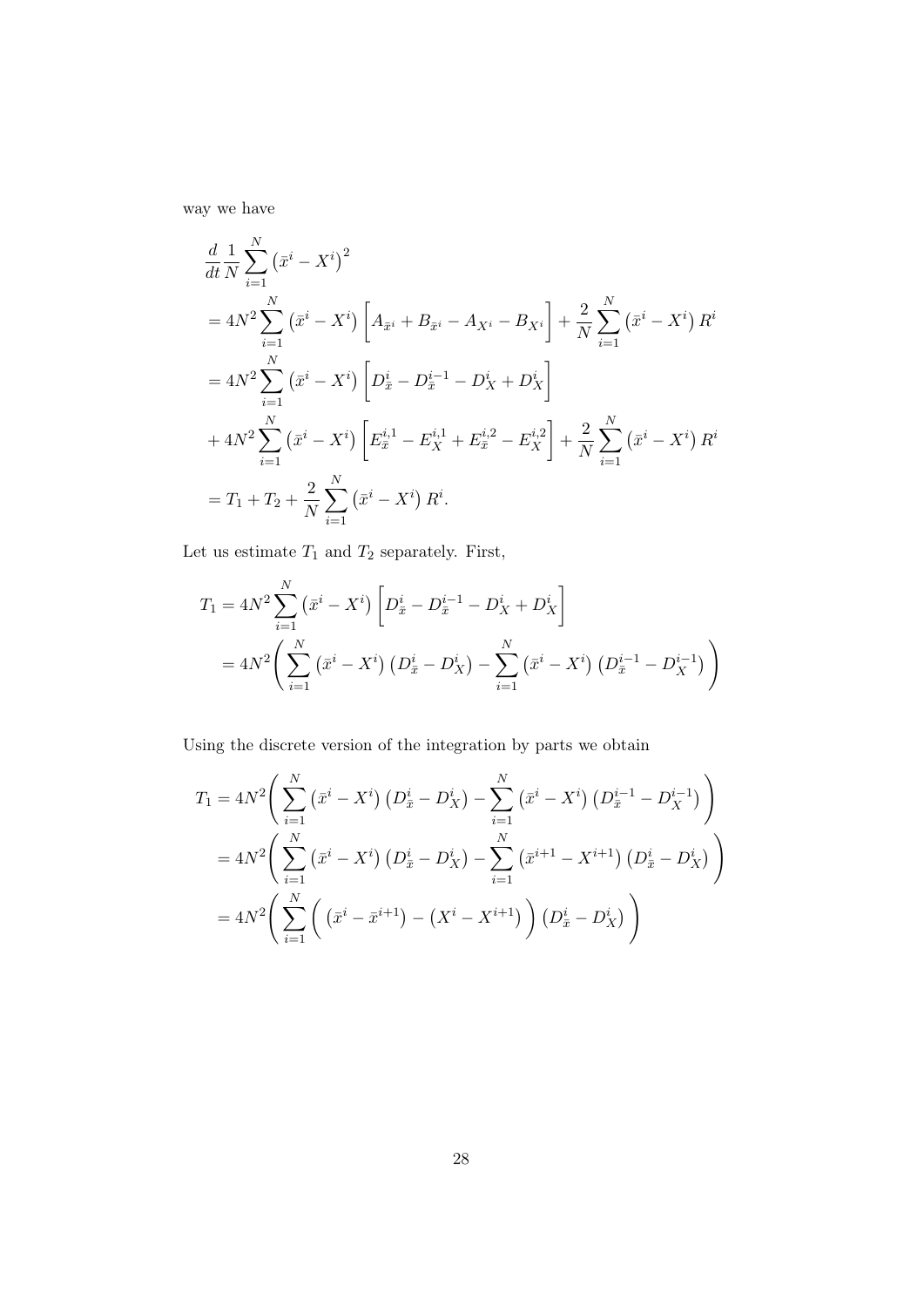way we have

$$
\frac{d}{dt} \frac{1}{N} \sum_{i=1}^{N} (\bar{x}^i - X^i)^2
$$
\n
$$
= 4N^2 \sum_{i=1}^{N} (\bar{x}^i - X^i) \left[ A_{\bar{x}^i} + B_{\bar{x}^i} - A_{X^i} - B_{X^i} \right] + \frac{2}{N} \sum_{i=1}^{N} (\bar{x}^i - X^i) R^i
$$
\n
$$
= 4N^2 \sum_{i=1}^{N} (\bar{x}^i - X^i) \left[ D_{\bar{x}}^i - D_{\bar{x}}^{i-1} - D_X^i + D_X^i \right]
$$
\n
$$
+ 4N^2 \sum_{i=1}^{N} (\bar{x}^i - X^i) \left[ E_{\bar{x}}^{i,1} - E_{X}^{i,1} + E_{\bar{x}}^{i,2} - E_{X}^{i,2} \right] + \frac{2}{N} \sum_{i=1}^{N} (\bar{x}^i - X^i) R^i
$$
\n
$$
= T_1 + T_2 + \frac{2}{N} \sum_{i=1}^{N} (\bar{x}^i - X^i) R^i.
$$

Let us estimate  $T_1$  and  $T_2$  separately. First,

$$
T_1 = 4N^2 \sum_{i=1}^N (\bar{x}^i - X^i) \left[ D_{\bar{x}}^i - D_{\bar{x}}^{i-1} - D_X^i + D_X^i \right]
$$
  
=  $4N^2 \left( \sum_{i=1}^N (\bar{x}^i - X^i) \left( D_{\bar{x}}^i - D_X^i \right) - \sum_{i=1}^N (\bar{x}^i - X^i) \left( D_{\bar{x}}^{i-1} - D_X^{i-1} \right) \right)$ 

Using the discrete version of the integration by parts we obtain

$$
T_1 = 4N^2 \left( \sum_{i=1}^N (\bar{x}^i - X^i) (D_{\bar{x}}^i - D_X^i) - \sum_{i=1}^N (\bar{x}^i - X^i) (D_{\bar{x}}^{i-1} - D_X^{i-1}) \right)
$$
  
=  $4N^2 \left( \sum_{i=1}^N (\bar{x}^i - X^i) (D_{\bar{x}}^i - D_X^i) - \sum_{i=1}^N (\bar{x}^{i+1} - X^{i+1}) (D_{\bar{x}}^i - D_X^i) \right)$   
=  $4N^2 \left( \sum_{i=1}^N \left( (\bar{x}^i - \bar{x}^{i+1}) - (X^i - X^{i+1}) \right) (D_{\bar{x}}^i - D_X^i) \right)$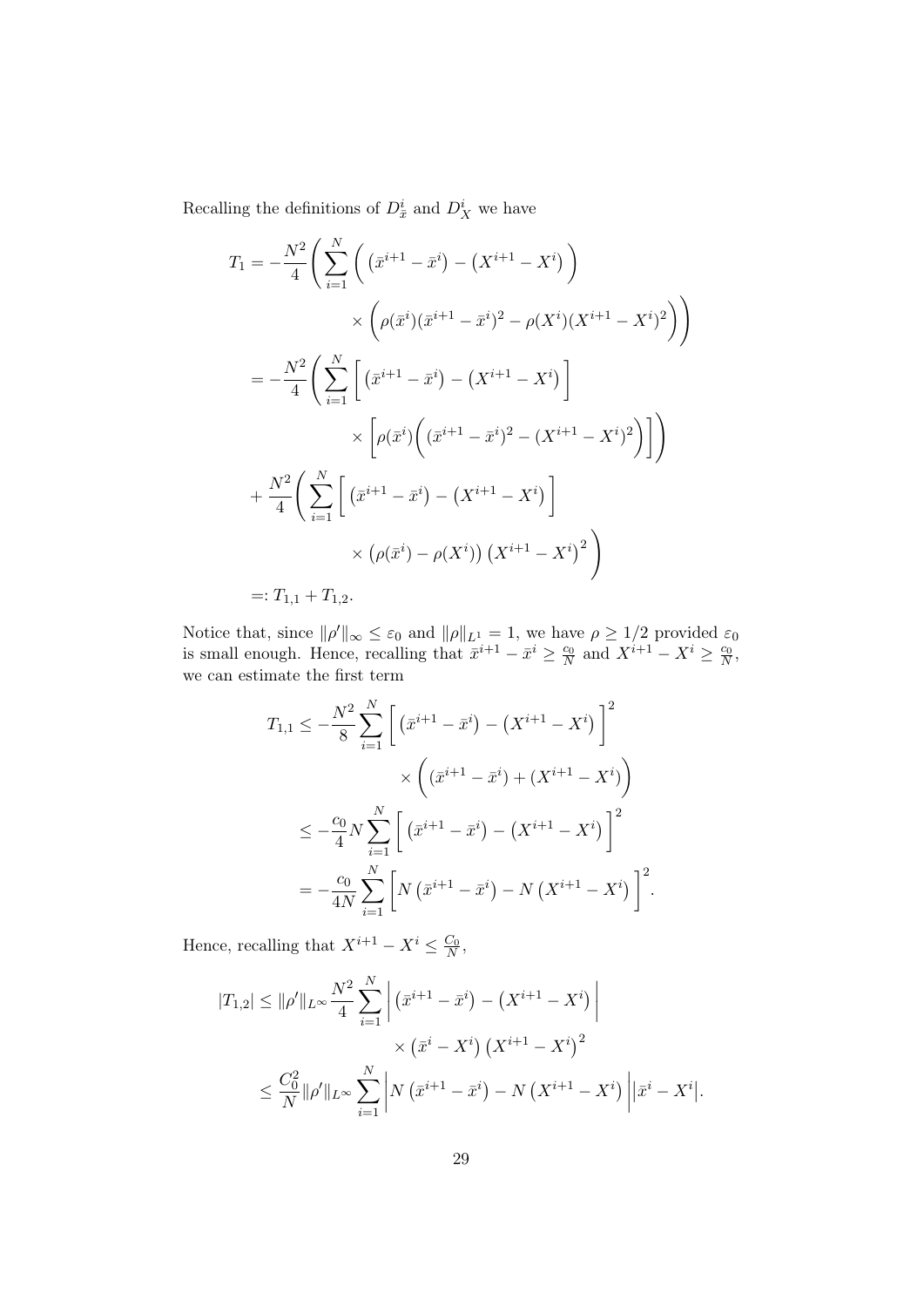Recalling the definitions of  $D_{\bar{x}}^i$  and  $D_X^i$  we have

$$
T_1 = -\frac{N^2}{4} \Bigg( \sum_{i=1}^N \Big( (\bar{x}^{i+1} - \bar{x}^i) - (X^{i+1} - X^i) \Big) \times \Big( \rho(\bar{x}^i)(\bar{x}^{i+1} - \bar{x}^i)^2 - \rho(X^i)(X^{i+1} - X^i)^2 \Big) \Bigg) = -\frac{N^2}{4} \Bigg( \sum_{i=1}^N \Big[ (\bar{x}^{i+1} - \bar{x}^i) - (X^{i+1} - X^i) \Big] \times \Big[ \rho(\bar{x}^i) \Big( (\bar{x}^{i+1} - \bar{x}^i)^2 - (X^{i+1} - X^i)^2 \Big) \Big] \Bigg) + \frac{N^2}{4} \Bigg( \sum_{i=1}^N \Big[ (\bar{x}^{i+1} - \bar{x}^i) - (X^{i+1} - X^i) \Big] \times \Big( \rho(\bar{x}^i) - \rho(X^i) \Big) (X^{i+1} - X^i)^2 \Bigg) =: T_{1,1} + T_{1,2}.
$$

Notice that, since  $\|\rho'\|_{\infty} \leq \varepsilon_0$  and  $\|\rho\|_{L^1} = 1$ , we have  $\rho \geq 1/2$  provided  $\varepsilon_0$ is small enough. Hence, recalling that  $\bar{x}^{i+1} - \bar{x}^i \ge \frac{c_0}{N}$  and  $X^{i+1} - X^i \ge \frac{c_0}{N}$ , we can estimate the first term

$$
T_{1,1} \le -\frac{N^2}{8} \sum_{i=1}^N \left[ \left( \bar{x}^{i+1} - \bar{x}^i \right) - \left( X^{i+1} - X^i \right) \right]^2
$$
  
\$\times \left( (\bar{x}^{i+1} - \bar{x}^i) + \left( X^{i+1} - X^i \right) \right)\$  
\$\le -\frac{c\_0}{4} N \sum\_{i=1}^N \left[ \left( \bar{x}^{i+1} - \bar{x}^i \right) - \left( X^{i+1} - X^i \right) \right]^2\$  

$$
= -\frac{c_0}{4N} \sum_{i=1}^N \left[ N \left( \bar{x}^{i+1} - \bar{x}^i \right) - N \left( X^{i+1} - X^i \right) \right]^2.
$$

Hence, recalling that  $X^{i+1} - X^i \leq \frac{C_0}{N}$ ,

$$
|T_{1,2}| \le ||\rho'||_{L^{\infty}} \frac{N^2}{4} \sum_{i=1}^N \left| \left( \bar{x}^{i+1} - \bar{x}^i \right) - \left( X^{i+1} - X^i \right) \right|
$$
  
\$\times \left( \bar{x}^i - X^i \right) \left( X^{i+1} - X^i \right)^2\$  
\$\leq \frac{C\_0^2}{N} ||\rho'||\_{L^{\infty}} \sum\_{i=1}^N \left| N \left( \bar{x}^{i+1} - \bar{x}^i \right) - N \left( X^{i+1} - X^i \right) \right| \left| \bar{x}^i - X^i \right|.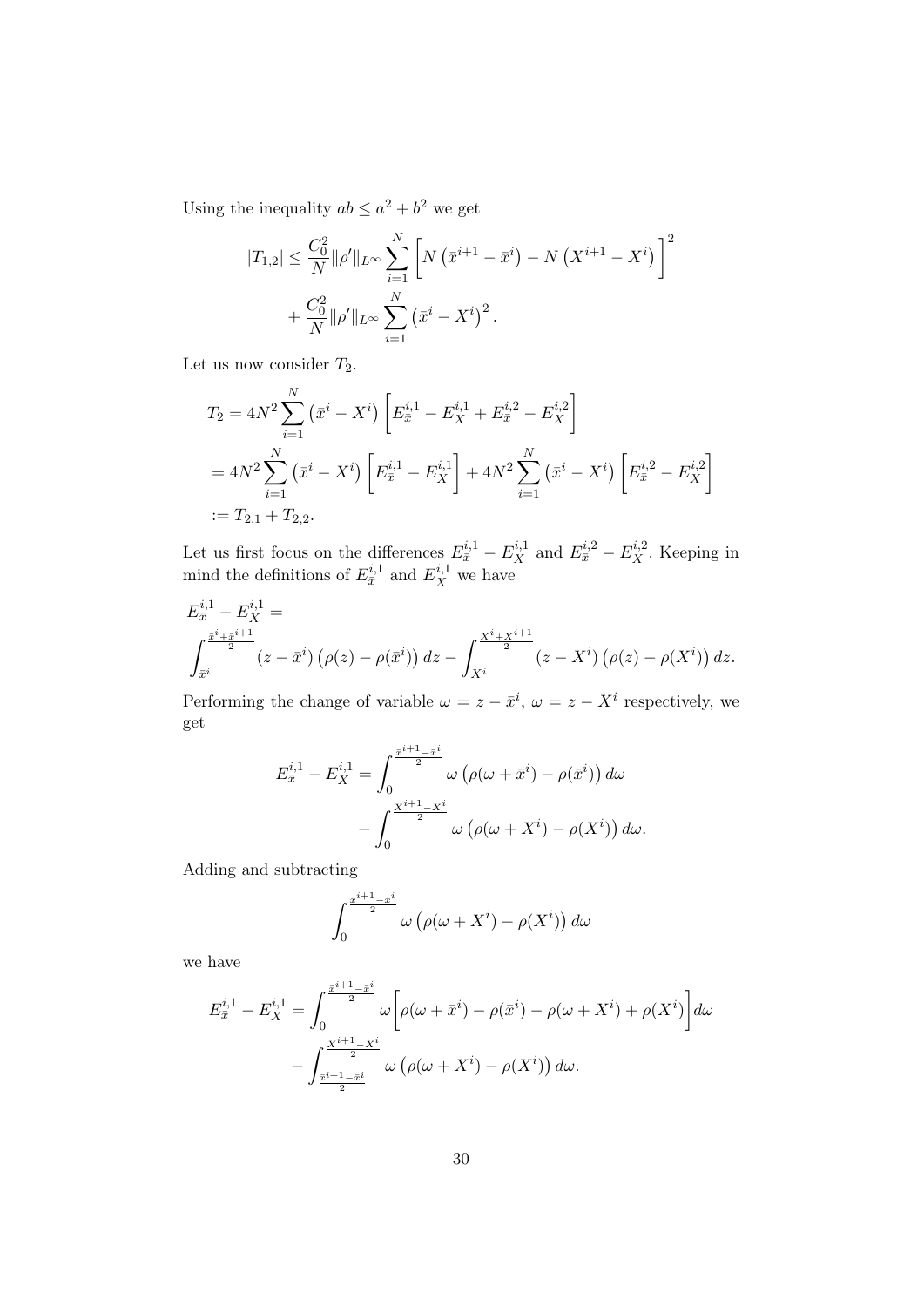Using the inequality  $ab \leq a^2 + b^2$  we get

$$
|T_{1,2}| \leq \frac{C_0^2}{N} \|\rho'\|_{L^\infty} \sum_{i=1}^N \left[ N (\bar{x}^{i+1} - \bar{x}^i) - N (X^{i+1} - X^i) \right]^2
$$
  
+ 
$$
\frac{C_0^2}{N} \|\rho'\|_{L^\infty} \sum_{i=1}^N (\bar{x}^i - X^i)^2.
$$

Let us now consider  $T_2$ .

$$
T_2 = 4N^2 \sum_{i=1}^N (\bar{x}^i - X^i) \left[ E_{\bar{x}}^{i,1} - E_X^{i,1} + E_{\bar{x}}^{i,2} - E_X^{i,2} \right]
$$
  
=  $4N^2 \sum_{i=1}^N (\bar{x}^i - X^i) \left[ E_{\bar{x}}^{i,1} - E_X^{i,1} \right] + 4N^2 \sum_{i=1}^N (\bar{x}^i - X^i) \left[ E_{\bar{x}}^{i,2} - E_X^{i,2} \right]$   
:=  $T_{2,1} + T_{2,2}$ .

Let us first focus on the differences  $E_{\bar{x}}^{i,1} - E_X^{i,1}$  and  $E_{\bar{x}}^{i,2} - E_X^{i,2}$ . Keeping in mind the definitions of  $E_{\bar{x}}^{i,1}$  and  $E_X^{i,1}$  we have

$$
E_{\bar{x}}^{i,1} - E_X^{i,1} =
$$
  

$$
\int_{\bar{x}^i}^{\frac{\bar{x}^i + \bar{x}^{i+1}}{2}} (z - \bar{x}^i) (\rho(z) - \rho(\bar{x}^i)) dz - \int_{X^i}^{\frac{X^i + X^{i+1}}{2}} (z - X^i) (\rho(z) - \rho(X^i)) dz.
$$

Performing the change of variable  $\omega = z - \bar{x}^i$ ,  $\omega = z - X^i$  respectively, we get

$$
E_{\bar{x}}^{i,1} - E_X^{i,1} = \int_0^{\frac{\bar{x}^{i+1} - \bar{x}^i}{2}} \omega \left( \rho(\omega + \bar{x}^i) - \rho(\bar{x}^i) \right) d\omega
$$

$$
- \int_0^{\frac{X^{i+1} - X^i}{2}} \omega \left( \rho(\omega + X^i) - \rho(X^i) \right) d\omega.
$$

Adding and subtracting

$$
\int_0^{\frac{\bar{x}^{i+1}-\bar{x}^i}{2}} \omega \left(\rho(\omega + X^i) - \rho(X^i)\right) d\omega
$$

we have

$$
E_{\bar{x}}^{i,1} - E_X^{i,1} = \int_0^{\frac{\bar{x}^{i+1} - \bar{x}^i}{2}} \omega \left[ \rho(\omega + \bar{x}^i) - \rho(\bar{x}^i) - \rho(\omega + X^i) + \rho(X^i) \right] d\omega
$$

$$
- \int_{\frac{\bar{x}^{i+1} - \bar{x}^i}{2}}^{\frac{X^{i+1} - X^i}{2}} \omega \left( \rho(\omega + X^i) - \rho(X^i) \right) d\omega.
$$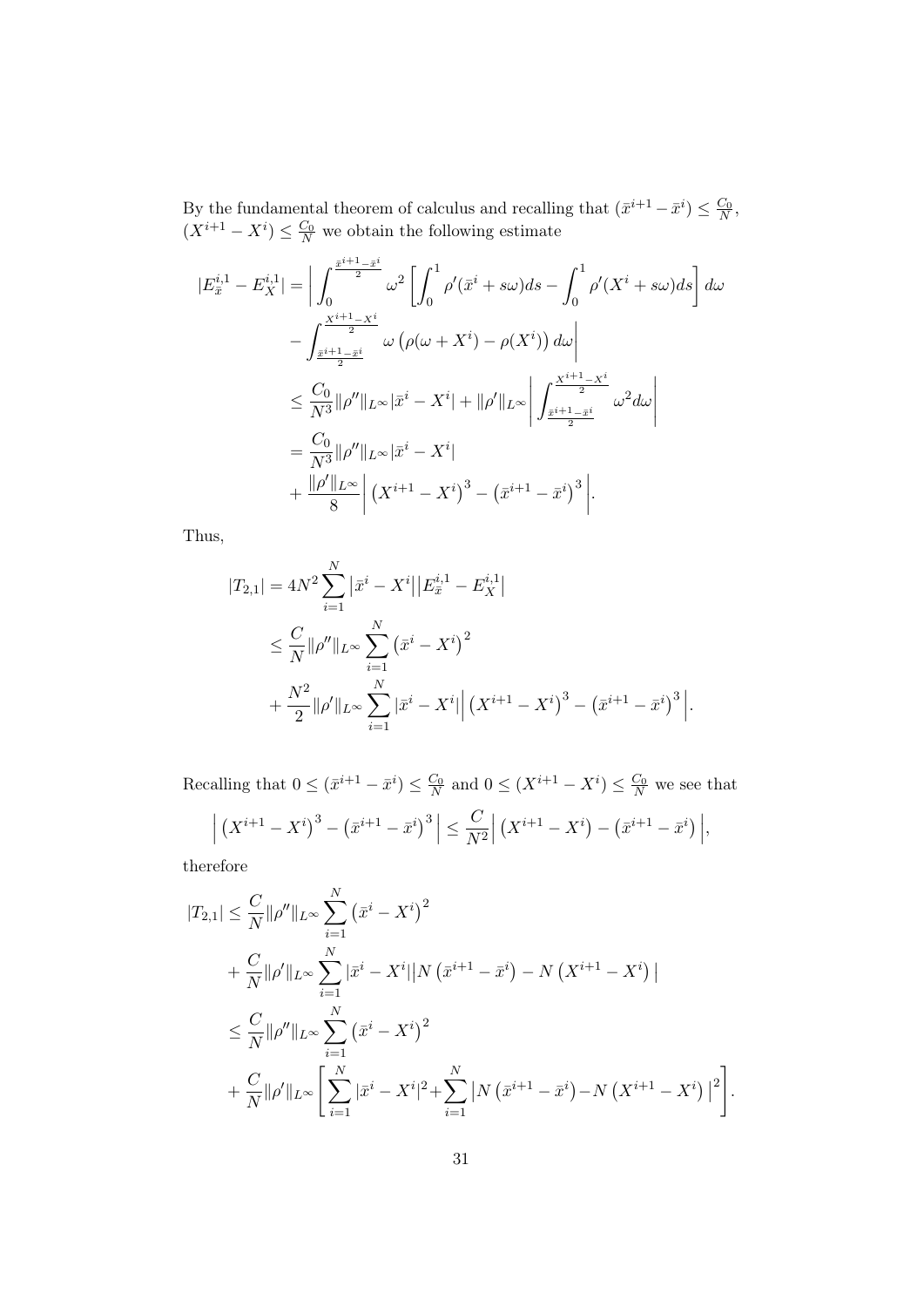By the fundamental theorem of calculus and recalling that  $(\bar{x}^{i+1} - \bar{x}^i) \leq \frac{C_0}{N}$ ,  $(X^{i+1} - X^i) \leq \frac{C_0}{N}$  we obtain the following estimate

$$
|E_{\bar{x}}^{i,1} - E_{X}^{i,1}| = \left| \int_{0}^{\frac{\bar{x}^{i+1} - \bar{x}^{i}}{2}} \omega^{2} \left[ \int_{0}^{1} \rho'(\bar{x}^{i} + s\omega) ds - \int_{0}^{1} \rho'(X^{i} + s\omega) ds \right] d\omega - \int_{\frac{\bar{x}^{i+1} - \bar{x}^{i}}{2}}^{\frac{X^{i+1} - X^{i}}{2}} \omega \left( \rho(\omega + X^{i}) - \rho(X^{i}) \right) d\omega \right| \n\leq \frac{C_{0}}{N^{3}} \|\rho''\|_{L^{\infty}} |\bar{x}^{i} - X^{i}| + \|\rho'\|_{L^{\infty}} \left| \int_{\frac{\bar{x}^{i+1} - \bar{x}^{i}}{2}}^{\frac{X^{i+1} - X^{i}}{2}} \omega^{2} d\omega \right| = \frac{C_{0}}{N^{3}} \|\rho''\|_{L^{\infty}} |\bar{x}^{i} - X^{i}| + \frac{\|\rho'\|_{L^{\infty}}}{8} \left| (X^{i+1} - X^{i})^{3} - (\bar{x}^{i+1} - \bar{x}^{i})^{3} \right|.
$$

Thus,

$$
|T_{2,1}| = 4N^2 \sum_{i=1}^N |\bar{x}^i - X^i| |E_{\bar{x}}^{i,1} - E_X^{i,1}|
$$
  
\n
$$
\leq \frac{C}{N} \|\rho''\|_{L^\infty} \sum_{i=1}^N (\bar{x}^i - X^i)^2
$$
  
\n
$$
+ \frac{N^2}{2} \|\rho'\|_{L^\infty} \sum_{i=1}^N |\bar{x}^i - X^i| |(X^{i+1} - X^i)^3 - (\bar{x}^{i+1} - \bar{x}^i)^3|.
$$

Recalling that  $0 \leq (\bar{x}^{i+1} - \bar{x}^i) \leq \frac{C_0}{N}$  and  $0 \leq (X^{i+1} - X^i) \leq \frac{C_0}{N}$  we see that

$$
\left| \left( X^{i+1} - X^i \right)^3 - \left( \bar{x}^{i+1} - \bar{x}^i \right)^3 \right| \leq \frac{C}{N^2} \left| \left( X^{i+1} - X^i \right) - \left( \bar{x}^{i+1} - \bar{x}^i \right) \right|,
$$

therefore

$$
|T_{2,1}| \leq \frac{C}{N} \|\rho''\|_{L^{\infty}} \sum_{i=1}^{N} (\bar{x}^{i} - X^{i})^{2}
$$
  
+ 
$$
\frac{C}{N} \|\rho'\|_{L^{\infty}} \sum_{i=1}^{N} |\bar{x}^{i} - X^{i}| |N (\bar{x}^{i+1} - \bar{x}^{i}) - N (X^{i+1} - X^{i})|
$$
  

$$
\leq \frac{C}{N} \|\rho''\|_{L^{\infty}} \sum_{i=1}^{N} (\bar{x}^{i} - X^{i})^{2}
$$
  
+ 
$$
\frac{C}{N} \|\rho'\|_{L^{\infty}} \left[ \sum_{i=1}^{N} |\bar{x}^{i} - X^{i}|^{2} + \sum_{i=1}^{N} |N (\bar{x}^{i+1} - \bar{x}^{i}) - N (X^{i+1} - X^{i})|^{2} \right].
$$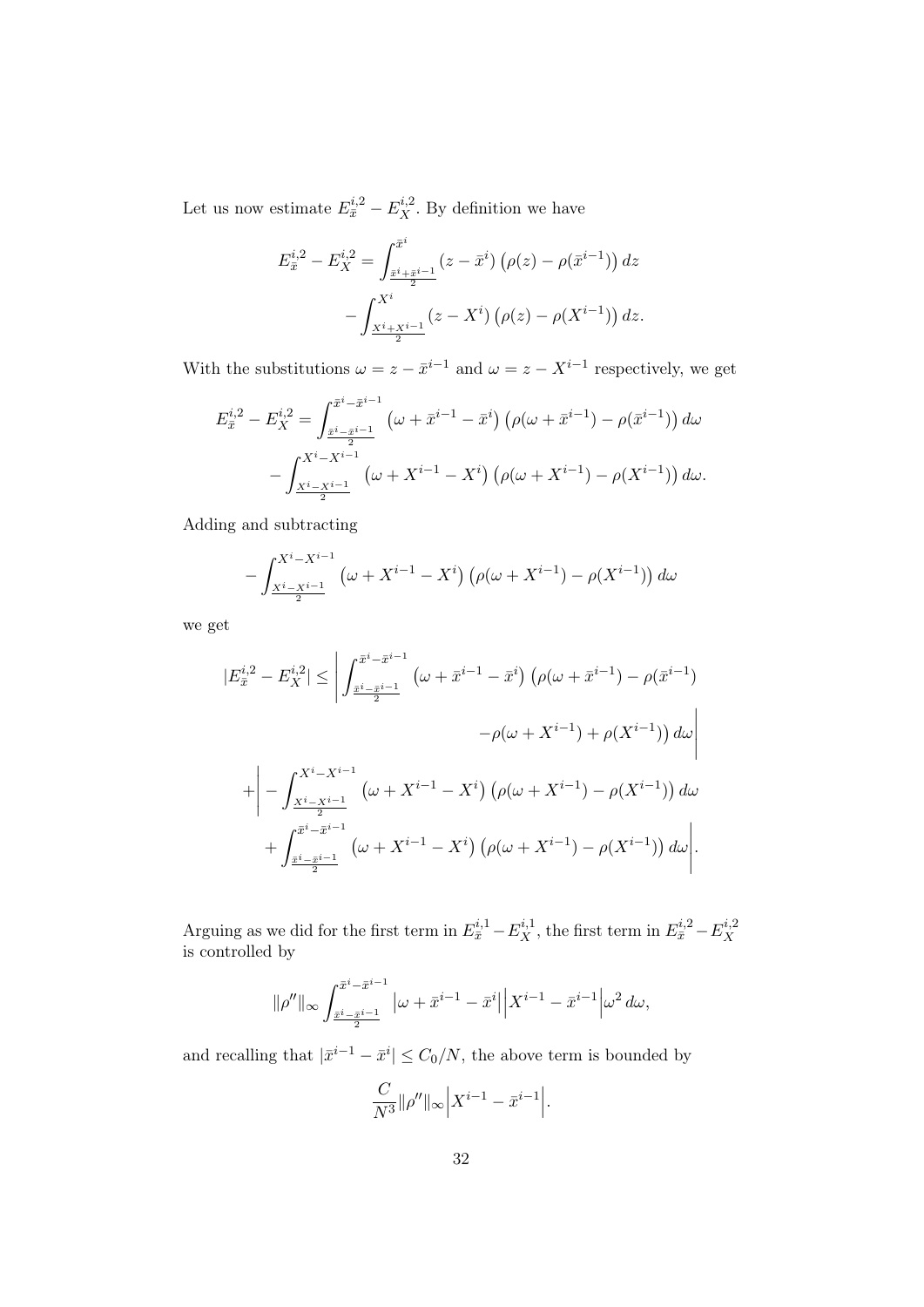Let us now estimate  $E_{\bar{x}}^{i,2} - E_X^{i,2}$ . By definition we have

$$
E_{\bar{x}}^{i,2} - E_X^{i,2} = \int_{\frac{\bar{x}^i + \bar{x}^{i-1}}{2}}^{\frac{\bar{x}^i}{2}} (z - \bar{x}^i) \left( \rho(z) - \rho(\bar{x}^{i-1}) \right) dz - \int_{\frac{X^i + X^{i-1}}{2}}^{X^i} (z - X^i) \left( \rho(z) - \rho(X^{i-1}) \right) dz.
$$

With the substitutions  $\omega = z - \bar{x}^{i-1}$  and  $\omega = z - X^{i-1}$  respectively, we get

$$
E_{\bar{x}}^{i,2} - E_{X}^{i,2} = \int_{\frac{\bar{x}^{i} - \bar{x}^{i-1}}{2}}^{\frac{\bar{x}^{i} - \bar{x}^{i-1}}{2}} \left(\omega + \bar{x}^{i-1} - \bar{x}^{i}\right) \left(\rho(\omega + \bar{x}^{i-1}) - \rho(\bar{x}^{i-1})\right) d\omega
$$

$$
- \int_{\frac{X^{i} - X^{i-1}}{2}}^{X^{i} - \bar{x}^{i-1}} \left(\omega + X^{i-1} - X^{i}\right) \left(\rho(\omega + X^{i-1}) - \rho(X^{i-1})\right) d\omega.
$$

Adding and subtracting

$$
-\int_{\frac{X^{i}-X^{i-1}}{2}}^{X^{i}-X^{i-1}} \left(\omega + X^{i-1} - X^{i}\right) \left(\rho(\omega + X^{i-1}) - \rho(X^{i-1})\right) d\omega
$$

we get

$$
|E_{\bar{x}}^{i,2} - E_{X}^{i,2}| \leq \left| \int_{\frac{\bar{x}^{i} - \bar{x}^{i-1}}{2}}^{\bar{x}^{i} - \bar{x}^{i-1}} (\omega + \bar{x}^{i-1} - \bar{x}^{i}) (\rho(\omega + \bar{x}^{i-1}) - \rho(\bar{x}^{i-1}) - \rho(\bar{x}^{i-1})) d\omega \right|
$$
  
+ 
$$
\left| - \int_{\frac{X^{i} - X^{i-1}}{2}}^{X^{i} - X^{i-1}} (\omega + X^{i-1} - X^{i}) (\rho(\omega + X^{i-1}) - \rho(X^{i-1})) d\omega + \int_{\frac{\bar{x}^{i} - \bar{x}^{i-1}}{2}}^{\bar{x}^{i} - \bar{x}^{i-1}} (\omega + X^{i-1} - X^{i}) (\rho(\omega + X^{i-1}) - \rho(X^{i-1})) d\omega \right|.
$$

Arguing as we did for the first term in  $E_{\bar{x}}^{i,1} - E_X^{i,1}$ , the first term in  $E_{\bar{x}}^{i,2} - E_X^{i,2}$ X is controlled by

$$
\|\rho''\|_{\infty} \int_{\frac{\bar{x}^i - \bar{x}^{i-1}}{2}}^{\frac{\bar{x}^i - \bar{x}^{i-1}}{2}} |\omega + \bar{x}^{i-1} - \bar{x}^i| \left| X^{i-1} - \bar{x}^{i-1} \right| \omega^2 d\omega,
$$

and recalling that  $|\bar{x}^{i-1} - \bar{x}^i| \leq C_0/N$ , the above term is bounded by

$$
\frac{C}{N^3} ||\rho''||_{\infty} \Big| X^{i-1} - \bar{x}^{i-1} \Big|.
$$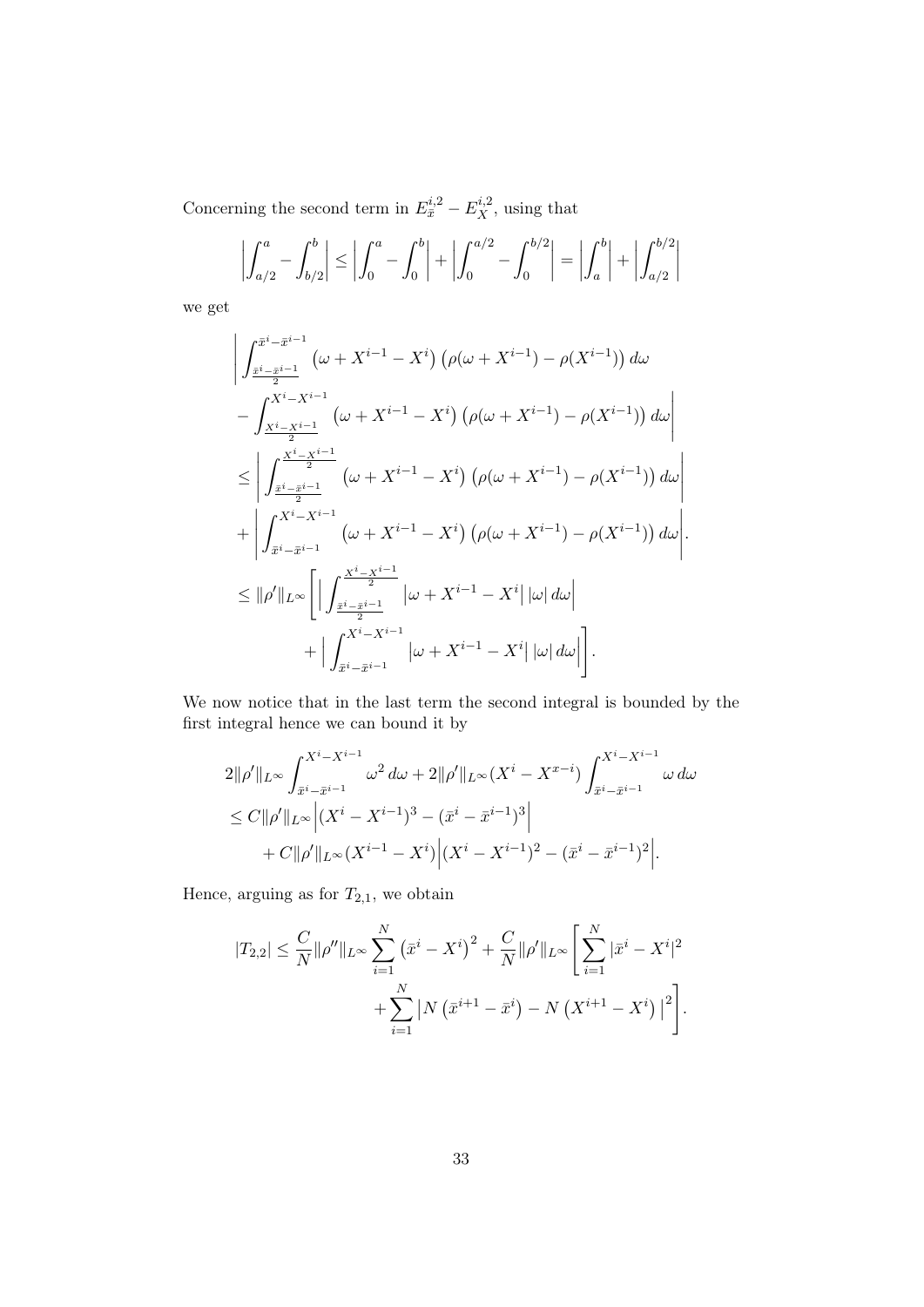Concerning the second term in  $E_{\bar{x}}^{i,2} - E_X^{i,2}$ , using that

$$
\left| \int_{a/2}^{a} - \int_{b/2}^{b} \right| \le \left| \int_{0}^{a} - \int_{0}^{b} \right| + \left| \int_{0}^{a/2} - \int_{0}^{b/2} \right| = \left| \int_{a}^{b} \right| + \left| \int_{a/2}^{b/2} \right|
$$

we get

$$
\left| \int_{\frac{\bar{x}^{i} - \bar{x}^{i-1}}{2}}^{\frac{\bar{x}^{i} - \bar{x}^{i-1}}{2}} (\omega + X^{i-1} - X^{i}) \left( \rho(\omega + X^{i-1}) - \rho(X^{i-1}) \right) d\omega \right|
$$
  
- 
$$
\int_{\frac{X^{i} - X^{i-1}}{2}}^{X^{i} - X^{i-1}} (\omega + X^{i-1} - X^{i}) \left( \rho(\omega + X^{i-1}) - \rho(X^{i-1}) \right) d\omega \right|
$$
  

$$
\leq \left| \int_{\frac{\bar{x}^{i} - \bar{x}^{i-1}}{2}}^{X^{i} - X^{i-1}} (\omega + X^{i-1} - X^{i}) \left( \rho(\omega + X^{i-1}) - \rho(X^{i-1}) \right) d\omega \right|
$$
  
+ 
$$
\left| \int_{\bar{x}^{i} - \bar{x}^{i-1}}^{X^{i} - X^{i-1}} (\omega + X^{i-1} - X^{i}) \left( \rho(\omega + X^{i-1}) - \rho(X^{i-1}) \right) d\omega \right|
$$
  

$$
\leq ||\rho'||_{L^{\infty}} \left[ \left| \int_{\frac{\bar{x}^{i} - \bar{x}^{i-1}}{2}}^{X^{i} - X^{i-1}} \left| \omega + X^{i-1} - X^{i} \right| |\omega| d\omega \right| + \left| \int_{\frac{\bar{x}^{i} - \bar{x}^{i-1}}{2}}^{X^{i} - X^{i-1}} \left| \omega + X^{i-1} - X^{i} \right| |\omega| d\omega \right| \right].
$$

We now notice that in the last term the second integral is bounded by the first integral hence we can bound it by

$$
2\|\rho'\|_{L^{\infty}} \int_{\bar{x}^i - \bar{x}^{i-1}}^{X^i - X^{i-1}} \omega^2 d\omega + 2\|\rho'\|_{L^{\infty}} (X^i - X^{x-i}) \int_{\bar{x}^i - \bar{x}^{i-1}}^{X^i - X^{i-1}} \omega d\omega
$$
  
\n
$$
\leq C\|\rho'\|_{L^{\infty}} \Big| (X^i - X^{i-1})^3 - (\bar{x}^i - \bar{x}^{i-1})^3 \Big|
$$
  
\n
$$
+ C\|\rho'\|_{L^{\infty}} (X^{i-1} - X^i) \Big| (X^i - X^{i-1})^2 - (\bar{x}^i - \bar{x}^{i-1})^2 \Big|.
$$

Hence, arguing as for  $T_{2,1},$  we obtain

$$
|T_{2,2}| \leq \frac{C}{N} \|\rho''\|_{L^{\infty}} \sum_{i=1}^{N} (\bar{x}^i - X^i)^2 + \frac{C}{N} \|\rho'\|_{L^{\infty}} \left[ \sum_{i=1}^{N} |\bar{x}^i - X^i|^2 + \sum_{i=1}^{N} |N (\bar{x}^{i+1} - \bar{x}^i) - N (X^{i+1} - X^i)|^2 \right].
$$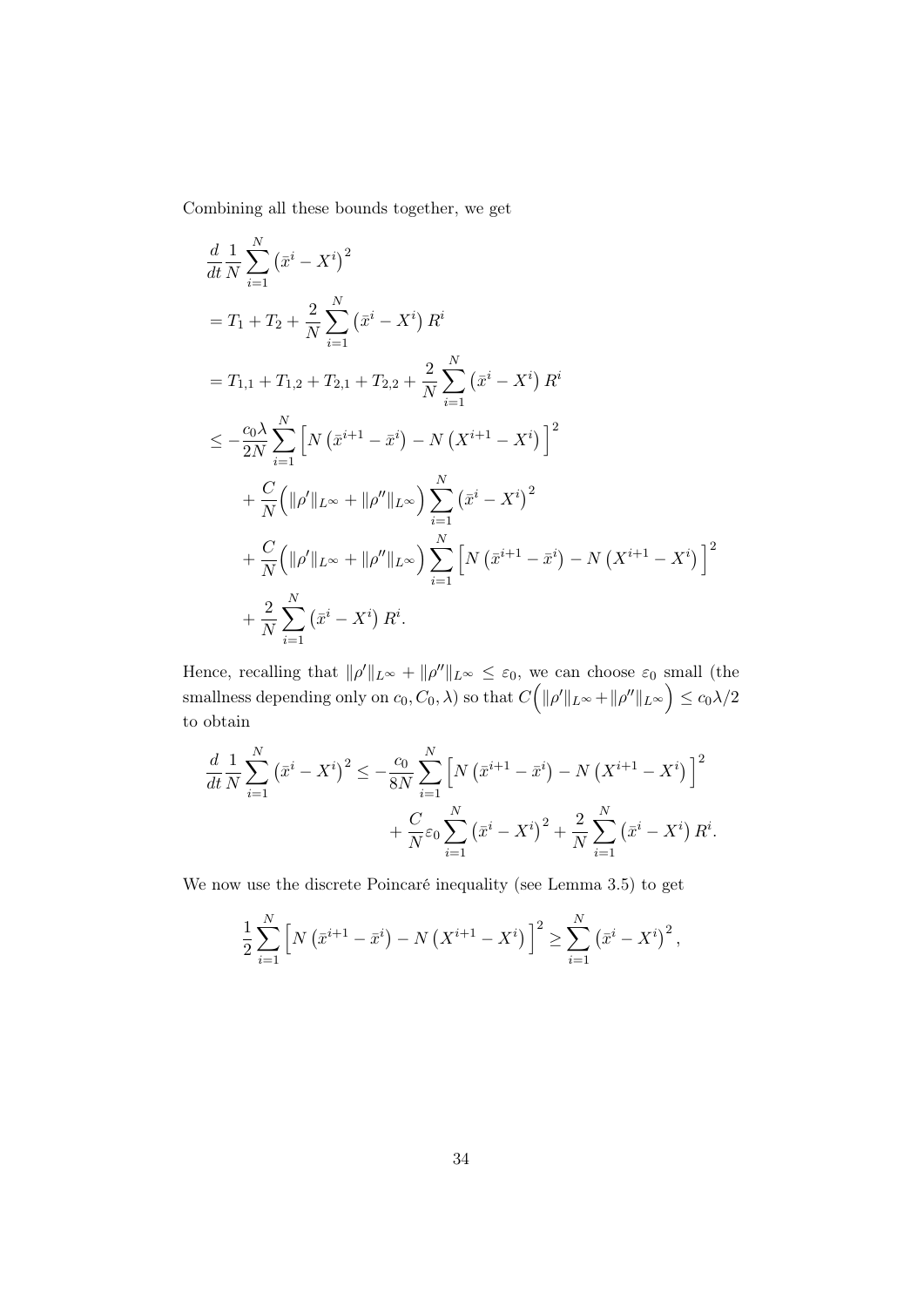Combining all these bounds together, we get

$$
\frac{d}{dt} \frac{1}{N} \sum_{i=1}^{N} (\bar{x}^i - X^i)^2
$$
\n
$$
= T_1 + T_2 + \frac{2}{N} \sum_{i=1}^{N} (\bar{x}^i - X^i) R^i
$$
\n
$$
= T_{1,1} + T_{1,2} + T_{2,1} + T_{2,2} + \frac{2}{N} \sum_{i=1}^{N} (\bar{x}^i - X^i) R^i
$$
\n
$$
\leq -\frac{c_0 \lambda}{2N} \sum_{i=1}^{N} \left[ N (\bar{x}^{i+1} - \bar{x}^i) - N (X^{i+1} - X^i) \right]^2
$$
\n
$$
+ \frac{C}{N} (\|\rho'\|_{L^\infty} + \|\rho''\|_{L^\infty}) \sum_{i=1}^{N} (\bar{x}^i - X^i)^2
$$
\n
$$
+ \frac{C}{N} (\|\rho'\|_{L^\infty} + \|\rho''\|_{L^\infty}) \sum_{i=1}^{N} \left[ N (\bar{x}^{i+1} - \bar{x}^i) - N (X^{i+1} - X^i) \right]^2
$$
\n
$$
+ \frac{2}{N} \sum_{i=1}^{N} (\bar{x}^i - X^i) R^i.
$$

Hence, recalling that  $\|\rho'\|_{L^{\infty}} + \|\rho''\|_{L^{\infty}} \leq \varepsilon_0$ , we can choose  $\varepsilon_0$  small (the smallness depending only on  $c_0, C_0, \lambda$ ) so that  $C\Big(\|\rho'\|_{L^\infty} + \|\rho''\|_{L^\infty}\Big) \leq c_0\lambda/2$ to obtain

$$
\frac{d}{dt}\frac{1}{N}\sum_{i=1}^{N} (\bar{x}^i - X^i)^2 \le -\frac{c_0}{8N} \sum_{i=1}^{N} \left[ N (\bar{x}^{i+1} - \bar{x}^i) - N (X^{i+1} - X^i) \right]^2
$$

$$
+ \frac{C}{N} \varepsilon_0 \sum_{i=1}^{N} (\bar{x}^i - X^i)^2 + \frac{2}{N} \sum_{i=1}^{N} (\bar{x}^i - X^i) R^i.
$$

We now use the discrete Poincaré inequality (see Lemma 3.5) to get

$$
\frac{1}{2} \sum_{i=1}^{N} \left[ N \left( \bar{x}^{i+1} - \bar{x}^{i} \right) - N \left( X^{i+1} - X^{i} \right) \right]^{2} \ge \sum_{i=1}^{N} \left( \bar{x}^{i} - X^{i} \right)^{2},
$$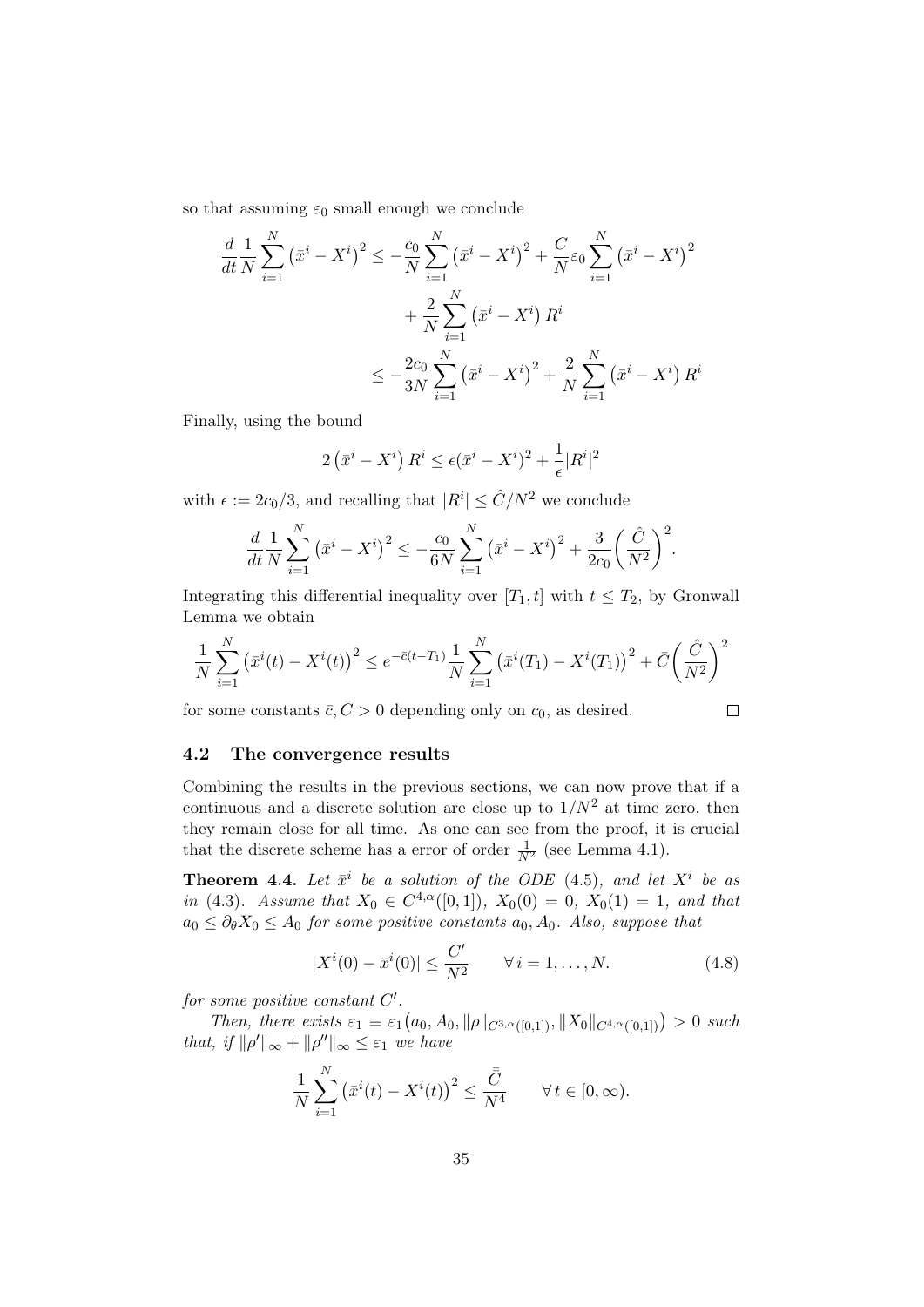so that assuming  $\varepsilon_0$  small enough we conclude

$$
\frac{d}{dt} \frac{1}{N} \sum_{i=1}^{N} (\bar{x}^i - X^i)^2 \le -\frac{c_0}{N} \sum_{i=1}^{N} (\bar{x}^i - X^i)^2 + \frac{C}{N} \varepsilon_0 \sum_{i=1}^{N} (\bar{x}^i - X^i)^2 + \frac{2}{N} \sum_{i=1}^{N} (\bar{x}^i - X^i) R^i
$$

$$
\le -\frac{2c_0}{3N} \sum_{i=1}^{N} (\bar{x}^i - X^i)^2 + \frac{2}{N} \sum_{i=1}^{N} (\bar{x}^i - X^i) R^i
$$

Finally, using the bound

$$
2\left(\bar{x}^i - X^i\right)R^i \le \epsilon(\bar{x}^i - X^i)^2 + \frac{1}{\epsilon}|R^i|^2
$$

with  $\epsilon := 2c_0/3$ , and recalling that  $|R^i| \leq \hat{C}/N^2$  we conclude

$$
\frac{d}{dt}\frac{1}{N}\sum_{i=1}^{N} (\bar{x}^i - X^i)^2 \le -\frac{c_0}{6N}\sum_{i=1}^{N} (\bar{x}^i - X^i)^2 + \frac{3}{2c_0} \left(\frac{\hat{C}}{N^2}\right)^2.
$$

Integrating this differential inequality over [ $T_1$ , t] with  $t \leq T_2$ , by Gronwall Lemma we obtain

$$
\frac{1}{N} \sum_{i=1}^{N} (\bar{x}^i(t) - X^i(t))^2 \le e^{-\bar{c}(t-T_1)} \frac{1}{N} \sum_{i=1}^{N} (\bar{x}^i(T_1) - X^i(T_1))^2 + \bar{C} \left(\frac{\hat{C}}{N^2}\right)^2
$$

for some constants  $\bar{c}, \bar{C} > 0$  depending only on  $c_0$ , as desired.

$$
\qquad \qquad \Box
$$

## 4.2 The convergence results

Combining the results in the previous sections, we can now prove that if a continuous and a discrete solution are close up to  $1/N^2$  at time zero, then they remain close for all time. As one can see from the proof, it is crucial that the discrete scheme has a error of order  $\frac{1}{N^2}$  (see Lemma 4.1).

**Theorem 4.4.** Let  $\bar{x}^i$  be a solution of the ODE (4.5), and let  $X^i$  be as in (4.3). Assume that  $X_0 \in C^{4,\alpha}([0,1])$ ,  $X_0(0) = 0$ ,  $X_0(1) = 1$ , and that  $a_0 \leq \partial_{\theta} X_0 \leq A_0$  for some positive constants  $a_0, A_0$ . Also, suppose that

$$
|X^{i}(0) - \bar{x}^{i}(0)| \le \frac{C'}{N^{2}} \qquad \forall i = 1, ..., N.
$$
 (4.8)

for some positive constant  $C'$ .

Then, there exists  $\varepsilon_1 \equiv \varepsilon_1(a_0, A_0, ||\rho||_{C^{3,\alpha}([0,1])}, ||X_0||_{C^{4,\alpha}([0,1])}) > 0$  such that, if  $\|\rho'\|_{\infty} + \|\rho''\|_{\infty} \leq \varepsilon_1$  we have

$$
\frac{1}{N}\sum_{i=1}^{N} \left(\bar{x}^i(t) - X^i(t)\right)^2 \le \frac{\bar{\bar{C}}}{N^4} \qquad \forall \, t \in [0, \infty).
$$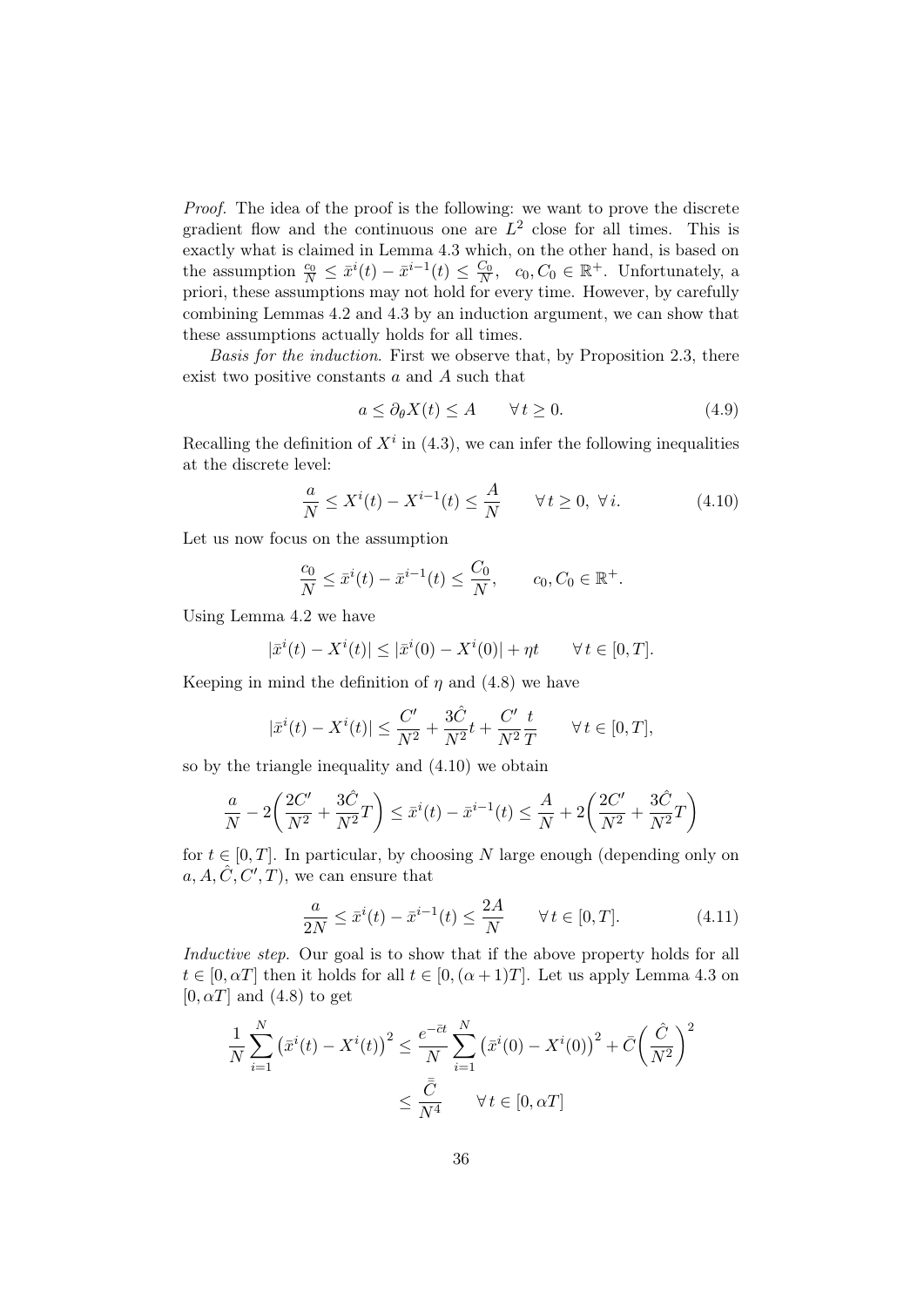Proof. The idea of the proof is the following: we want to prove the discrete gradient flow and the continuous one are  $L^2$  close for all times. This is exactly what is claimed in Lemma 4.3 which, on the other hand, is based on the assumption  $\frac{c_0}{N} \leq \bar{x}^i(t) - \bar{x}^{i-1}(t) \leq \frac{C_0}{N}$ ,  $c_0, C_0 \in \mathbb{R}^+$ . Unfortunately, a priori, these assumptions may not hold for every time. However, by carefully combining Lemmas 4.2 and 4.3 by an induction argument, we can show that these assumptions actually holds for all times.

Basis for the induction. First we observe that, by Proposition 2.3, there exist two positive constants a and A such that

$$
a \le \partial_{\theta} X(t) \le A \qquad \forall \, t \ge 0. \tag{4.9}
$$

Recalling the definition of  $X^i$  in (4.3), we can infer the following inequalities at the discrete level:

$$
\frac{a}{N} \le X^i(t) - X^{i-1}(t) \le \frac{A}{N} \qquad \forall \, t \ge 0, \ \forall \, i.
$$

Let us now focus on the assumption

$$
\frac{c_0}{N} \le \bar{x}^i(t) - \bar{x}^{i-1}(t) \le \frac{C_0}{N}, \qquad c_0, C_0 \in \mathbb{R}^+.
$$

Using Lemma 4.2 we have

$$
|\bar{x}^{i}(t) - X^{i}(t)| \leq |\bar{x}^{i}(0) - X^{i}(0)| + \eta t \qquad \forall t \in [0, T].
$$

Keeping in mind the definition of  $\eta$  and (4.8) we have

$$
|\bar{x}^{i}(t) - X^{i}(t)| \leq \frac{C'}{N^{2}} + \frac{3\hat{C}}{N^{2}}t + \frac{C'}{N^{2}}\frac{t}{T} \quad \forall t \in [0, T],
$$

so by the triangle inequality and (4.10) we obtain

$$
\frac{a}{N} - 2\left(\frac{2C'}{N^2} + \frac{3\hat{C}}{N^2}T\right) \le \bar{x}^i(t) - \bar{x}^{i-1}(t) \le \frac{A}{N} + 2\left(\frac{2C'}{N^2} + \frac{3\hat{C}}{N^2}T\right)
$$

for  $t \in [0, T]$ . In particular, by choosing N large enough (depending only on  $a, A, \hat{C}, C', T$ , we can ensure that

$$
\frac{a}{2N} \le \bar{x}^i(t) - \bar{x}^{i-1}(t) \le \frac{2A}{N} \qquad \forall \, t \in [0, T]. \tag{4.11}
$$

Inductive step. Our goal is to show that if the above property holds for all  $t \in [0, \alpha T]$  then it holds for all  $t \in [0, (\alpha + 1)T]$ . Let us apply Lemma 4.3 on  $[0, \alpha T]$  and  $(4.8)$  to get

$$
\frac{1}{N} \sum_{i=1}^{N} \left(\bar{x}^i(t) - X^i(t)\right)^2 \le \frac{e^{-\bar{c}t}}{N} \sum_{i=1}^{N} \left(\bar{x}^i(0) - X^i(0)\right)^2 + \bar{C} \left(\frac{\hat{C}}{N^2}\right)^2
$$
\n
$$
\le \frac{\bar{C}}{N^4} \qquad \forall \, t \in [0, \alpha T]
$$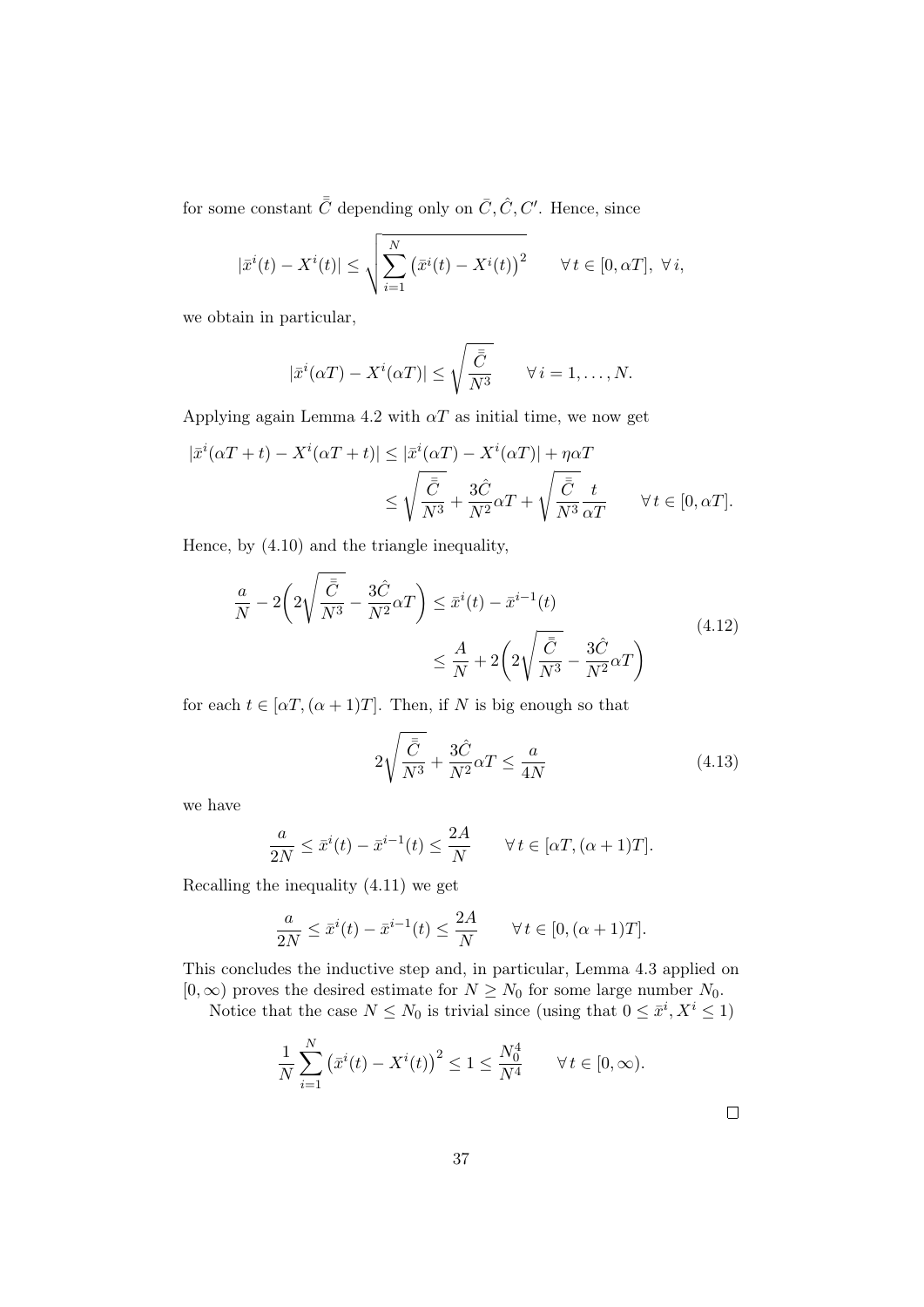for some constant  $\bar{\bar{C}}$  depending only on  $\bar{C}, \hat{C}, C'$ . Hence, since

$$
|\bar{x}^{i}(t) - X^{i}(t)| \leq \sqrt{\sum_{i=1}^{N} (\bar{x}^{i}(t) - X^{i}(t))^{2}} \quad \forall t \in [0, \alpha T], \ \forall i,
$$

we obtain in particular,

$$
|\bar{x}^{i}(\alpha T) - X^{i}(\alpha T)| \leq \sqrt{\frac{\bar{C}}{N^{3}}} \qquad \forall i = 1, ..., N.
$$

Applying again Lemma 4.2 with  $\alpha T$  as initial time, we now get

$$
\begin{aligned} |\bar{x}^i(\alpha T+t) - X^i(\alpha T+t)| &\leq |\bar{x}^i(\alpha T) - X^i(\alpha T)| + \eta \alpha T \\ &\leq \sqrt{\frac{\bar{C}}{N^3}} + \frac{3\hat{C}}{N^2}\alpha T + \sqrt{\frac{\bar{C}}{N^3}}\frac{t}{\alpha T} \qquad \forall \, t \in [0, \alpha T]. \end{aligned}
$$

Hence, by (4.10) and the triangle inequality,

$$
\frac{a}{N} - 2\left(2\sqrt{\frac{\bar{C}}{N^3}} - \frac{3\hat{C}}{N^2}\alpha T\right) \le \bar{x}^i(t) - \bar{x}^{i-1}(t)
$$
\n
$$
\le \frac{A}{N} + 2\left(2\sqrt{\frac{\bar{C}}{N^3}} - \frac{3\hat{C}}{N^2}\alpha T\right)
$$
\n(4.12)

for each  $t \in [\alpha T, (\alpha + 1)T]$ . Then, if N is big enough so that

$$
2\sqrt{\frac{\bar{C}}{N^3}} + \frac{3\hat{C}}{N^2}\alpha T \le \frac{a}{4N}
$$
\n(4.13)

we have

$$
\frac{a}{2N} \le \bar{x}^i(t) - \bar{x}^{i-1}(t) \le \frac{2A}{N} \qquad \forall \, t \in [\alpha T, (\alpha + 1)T].
$$

Recalling the inequality (4.11) we get

$$
\frac{a}{2N} \le \bar{x}^i(t) - \bar{x}^{i-1}(t) \le \frac{2A}{N} \qquad \forall \, t \in [0, (\alpha + 1)T].
$$

This concludes the inductive step and, in particular, Lemma 4.3 applied on  $[0, \infty)$  proves the desired estimate for  $N \geq N_0$  for some large number  $N_0$ .

Notice that the case  $N \leq N_0$  is trivial since (using that  $0 \leq \bar{x}^i, X^i \leq 1$ )

$$
\frac{1}{N} \sum_{i=1}^{N} (\bar{x}^i(t) - X^i(t))^2 \le 1 \le \frac{N_0^4}{N^4} \quad \forall t \in [0, \infty).
$$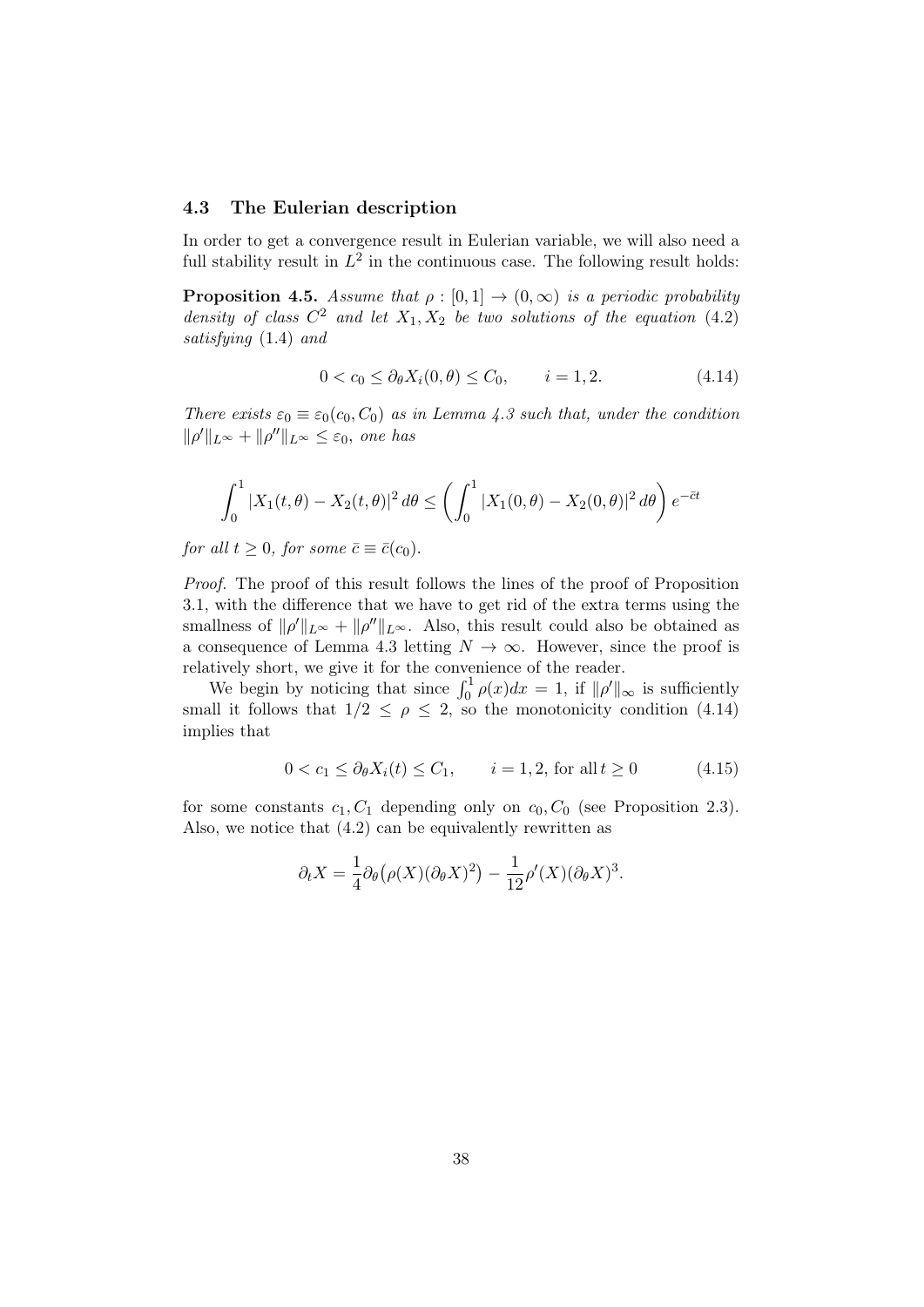#### 4.3 The Eulerian description

In order to get a convergence result in Eulerian variable, we will also need a full stability result in  $L^2$  in the continuous case. The following result holds:

**Proposition 4.5.** Assume that  $\rho : [0,1] \rightarrow (0,\infty)$  is a periodic probability density of class  $C^2$  and let  $X_1, X_2$  be two solutions of the equation (4.2) satisfying (1.4) and

$$
0 < c_0 \le \partial_{\theta} X_i(0, \theta) \le C_0, \qquad i = 1, 2. \tag{4.14}
$$

There exists  $\varepsilon_0 \equiv \varepsilon_0(c_0, C_0)$  as in Lemma 4.3 such that, under the condition  $\|\rho'\|_{L^{\infty}} + \|\rho''\|_{L^{\infty}} \leq \varepsilon_0$ , one has

$$
\int_0^1 |X_1(t,\theta) - X_2(t,\theta)|^2 d\theta \le \left(\int_0^1 |X_1(0,\theta) - X_2(0,\theta)|^2 d\theta\right) e^{-\bar{c}t}
$$

for all  $t \geq 0$ , for some  $\bar{c} \equiv \bar{c}(c_0)$ .

Proof. The proof of this result follows the lines of the proof of Proposition 3.1, with the difference that we have to get rid of the extra terms using the smallness of  $\|\rho'\|_{L^{\infty}} + \|\rho''\|_{L^{\infty}}$ . Also, this result could also be obtained as a consequence of Lemma 4.3 letting  $N \to \infty$ . However, since the proof is relatively short, we give it for the convenience of the reader.

We begin by noticing that since  $\int_0^1 \rho(x) dx = 1$ , if  $\|\rho'\|_{\infty}$  is sufficiently small it follows that  $1/2 \le \rho \le 2$ , so the monotonicity condition (4.14) implies that

$$
0 < c_1 \le \partial_{\theta} X_i(t) \le C_1, \qquad i = 1, 2, \text{ for all } t \ge 0 \tag{4.15}
$$

for some constants  $c_1, C_1$  depending only on  $c_0, C_0$  (see Proposition 2.3). Also, we notice that (4.2) can be equivalently rewritten as

$$
\partial_t X = \frac{1}{4} \partial_\theta \big( \rho(X) (\partial_\theta X)^2 \big) - \frac{1}{12} \rho'(X) (\partial_\theta X)^3.
$$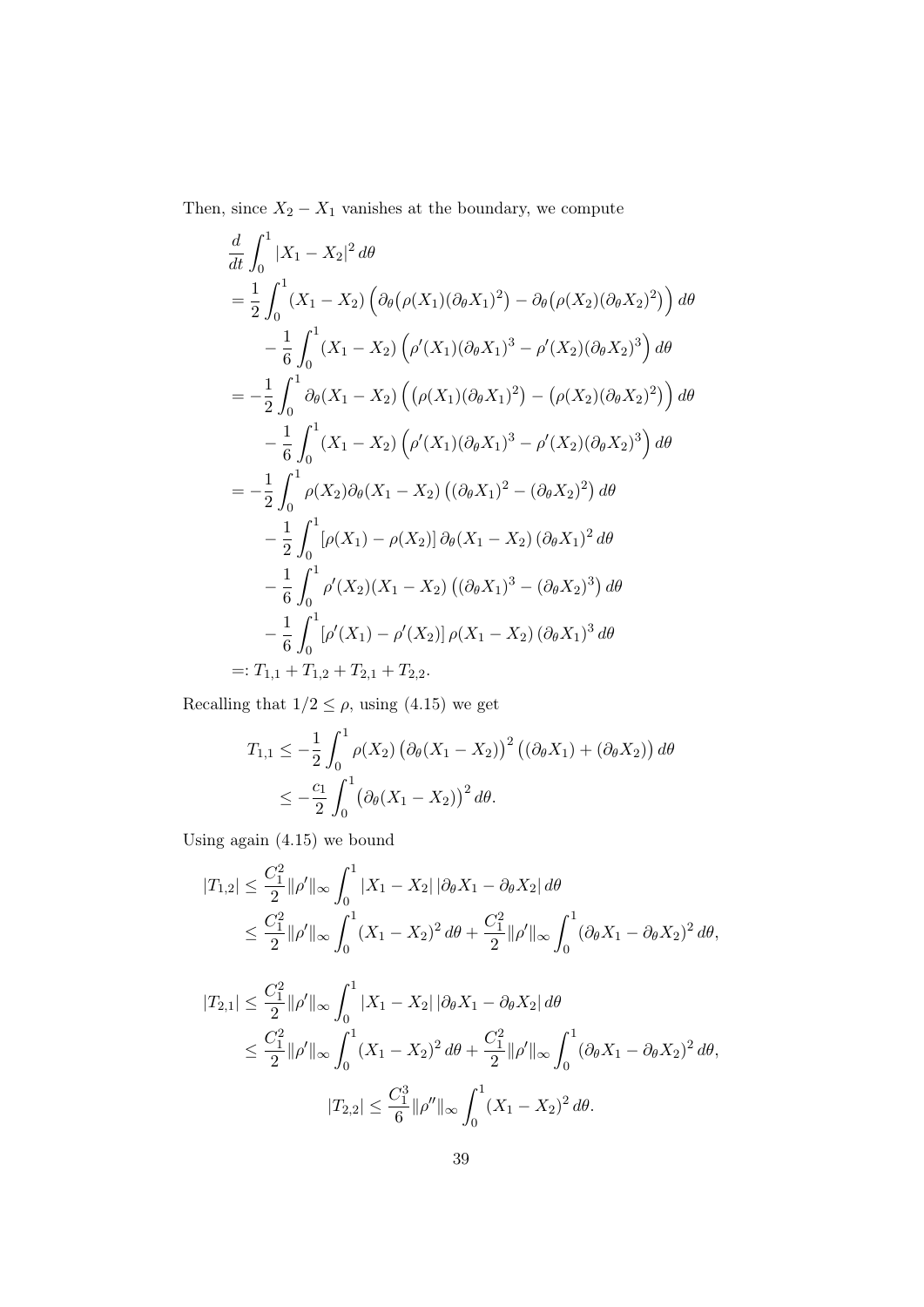Then, since  $X_2 - X_1$  vanishes at the boundary, we compute

$$
\frac{d}{dt} \int_0^1 |X_1 - X_2|^2 d\theta
$$
\n
$$
= \frac{1}{2} \int_0^1 (X_1 - X_2) \left( \partial_{\theta} (\rho(X_1)(\partial_{\theta} X_1)^2) - \partial_{\theta} (\rho(X_2)(\partial_{\theta} X_2)^2) \right) d\theta
$$
\n
$$
- \frac{1}{6} \int_0^1 (X_1 - X_2) \left( \rho'(X_1)(\partial_{\theta} X_1)^3 - \rho'(X_2)(\partial_{\theta} X_2)^3 \right) d\theta
$$
\n
$$
= -\frac{1}{2} \int_0^1 \partial_{\theta} (X_1 - X_2) \left( (\rho(X_1)(\partial_{\theta} X_1)^2) - (\rho(X_2)(\partial_{\theta} X_2)^2) \right) d\theta
$$
\n
$$
- \frac{1}{6} \int_0^1 (X_1 - X_2) \left( \rho'(X_1)(\partial_{\theta} X_1)^3 - \rho'(X_2)(\partial_{\theta} X_2)^3 \right) d\theta
$$
\n
$$
= -\frac{1}{2} \int_0^1 \rho(X_2) \partial_{\theta} (X_1 - X_2) \left( (\partial_{\theta} X_1)^2 - (\partial_{\theta} X_2)^2 \right) d\theta
$$
\n
$$
- \frac{1}{2} \int_0^1 [\rho(X_1) - \rho(X_2)] \partial_{\theta} (X_1 - X_2) \left( (\partial_{\theta} X_1)^2 d\theta
$$
\n
$$
- \frac{1}{6} \int_0^1 \rho'(X_2)(X_1 - X_2) \left( (\partial_{\theta} X_1)^3 - (\partial_{\theta} X_2)^3 \right) d\theta
$$
\n
$$
- \frac{1}{6} \int_0^1 [\rho'(X_1) - \rho'(X_2)] \rho(X_1 - X_2) (\partial_{\theta} X_1)^3 d\theta
$$
\n
$$
=: T_{1,1} + T_{1,2} + T_{2,1} + T_{2,2}.
$$

Recalling that  $1/2 \leq \rho,$  using (4.15) we get

$$
T_{1,1} \leq -\frac{1}{2} \int_0^1 \rho(X_2) \left(\partial_{\theta}(X_1 - X_2)\right)^2 \left((\partial_{\theta} X_1) + (\partial_{\theta} X_2)\right) d\theta
$$
  
 
$$
\leq -\frac{c_1}{2} \int_0^1 \left(\partial_{\theta}(X_1 - X_2)\right)^2 d\theta.
$$

Using again (4.15) we bound

$$
|T_{1,2}| \leq \frac{C_1^2}{2} ||\rho'||_{\infty} \int_0^1 |X_1 - X_2| \, |\partial_{\theta} X_1 - \partial_{\theta} X_2| \, d\theta
$$
  
\$\leq \frac{C\_1^2}{2} ||\rho'||\_{\infty} \int\_0^1 (X\_1 - X\_2)^2 \, d\theta + \frac{C\_1^2}{2} ||\rho'||\_{\infty} \int\_0^1 (\partial\_{\theta} X\_1 - \partial\_{\theta} X\_2)^2 \, d\theta\$,

$$
|T_{2,1}| \leq \frac{C_1^2}{2} ||\rho'||_{\infty} \int_0^1 |X_1 - X_2| |\partial_{\theta} X_1 - \partial_{\theta} X_2| d\theta
$$
  
\$\leq \frac{C\_1^2}{2} ||\rho'||\_{\infty} \int\_0^1 (X\_1 - X\_2)^2 d\theta + \frac{C\_1^2}{2} ||\rho'||\_{\infty} \int\_0^1 (\partial\_{\theta} X\_1 - \partial\_{\theta} X\_2)^2 d\theta\$,  

$$
|T_{2,2}| \leq \frac{C_1^3}{6} ||\rho''||_{\infty} \int_0^1 (X_1 - X_2)^2 d\theta.
$$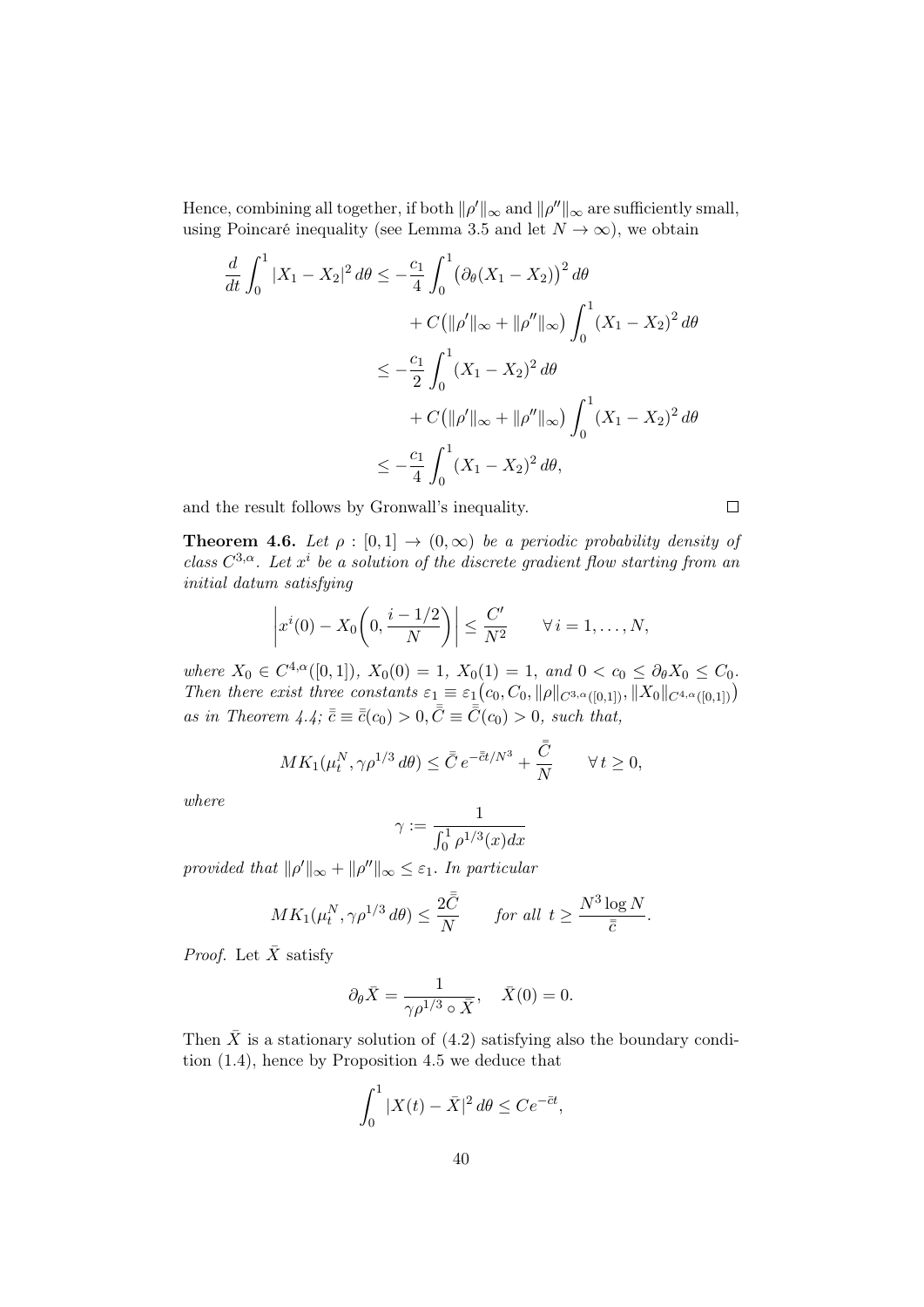Hence, combining all together, if both  $\|\rho'\|_{\infty}$  and  $\|\rho''\|_{\infty}$  are sufficiently small, using Poincaré inequality (see Lemma 3.5 and let  $N \to \infty$ ), we obtain

$$
\frac{d}{dt} \int_0^1 |X_1 - X_2|^2 d\theta \le -\frac{c_1}{4} \int_0^1 (\partial_\theta (X_1 - X_2))^2 d\theta \n+ C(\|\rho'\|_\infty + \|\rho''\|_\infty) \int_0^1 (X_1 - X_2)^2 d\theta \n\le -\frac{c_1}{2} \int_0^1 (X_1 - X_2)^2 d\theta \n+ C(\|\rho'\|_\infty + \|\rho''\|_\infty) \int_0^1 (X_1 - X_2)^2 d\theta \n\le -\frac{c_1}{4} \int_0^1 (X_1 - X_2)^2 d\theta,
$$

and the result follows by Gronwall's inequality.

**Theorem 4.6.** Let  $\rho : [0,1] \rightarrow (0,\infty)$  be a periodic probability density of class  $C^{3,\alpha}$ . Let  $x^i$  be a solution of the discrete gradient flow starting from an initial datum satisfying

$$
\left|x^{i}(0)-X_{0}\left(0,\frac{i-1/2}{N}\right)\right| \leq \frac{C'}{N^{2}} \qquad \forall i=1,\ldots,N,
$$

where  $X_0 \in C^{4,\alpha}([0,1])$ ,  $X_0(0) = 1$ ,  $X_0(1) = 1$ , and  $0 < c_0 \le \partial_\theta X_0 \le C_0$ . Then there exist three constants  $\varepsilon_1 \equiv \varepsilon_1(c_0, C_0, \|\rho\|_{C^{3,\alpha}([0,1])}, \|X_0\|_{C^{4,\alpha}([0,1])})$ as in Theorem 4.4;  $\bar{\bar{c}} \equiv \bar{\bar{c}}(c_0) > 0, \bar{\bar{C}} \equiv \bar{\bar{C}}(c_0) > 0$ , such that,

$$
MK_1(\mu_t^N, \gamma \rho^{1/3} d\theta) \le \bar{\bar{C}} e^{-\bar{\bar{c}}t/N^3} + \frac{\bar{\bar{C}}}{N} \qquad \forall t \ge 0,
$$

where

$$
\gamma := \frac{1}{\int_0^1 \rho^{1/3}(x) dx}
$$

provided that  $\|\rho'\|_{\infty} + \|\rho''\|_{\infty} \leq \varepsilon_1$ . In particular

$$
MK_1(\mu_t^N, \gamma \rho^{1/3} d\theta) \le \frac{2\bar{C}}{N} \quad \text{for all } t \ge \frac{N^3 \log N}{\bar{c}}.
$$

*Proof.* Let  $\bar{X}$  satisfy

$$
\partial_{\theta}\bar{X} = \frac{1}{\gamma \rho^{1/3} \circ \bar{X}}, \quad \bar{X}(0) = 0.
$$

Then  $\bar{X}$  is a stationary solution of (4.2) satisfying also the boundary condition (1.4), hence by Proposition 4.5 we deduce that

$$
\int_0^1 |X(t) - \bar{X}|^2 d\theta \le Ce^{-\bar{c}t},
$$

 $\Box$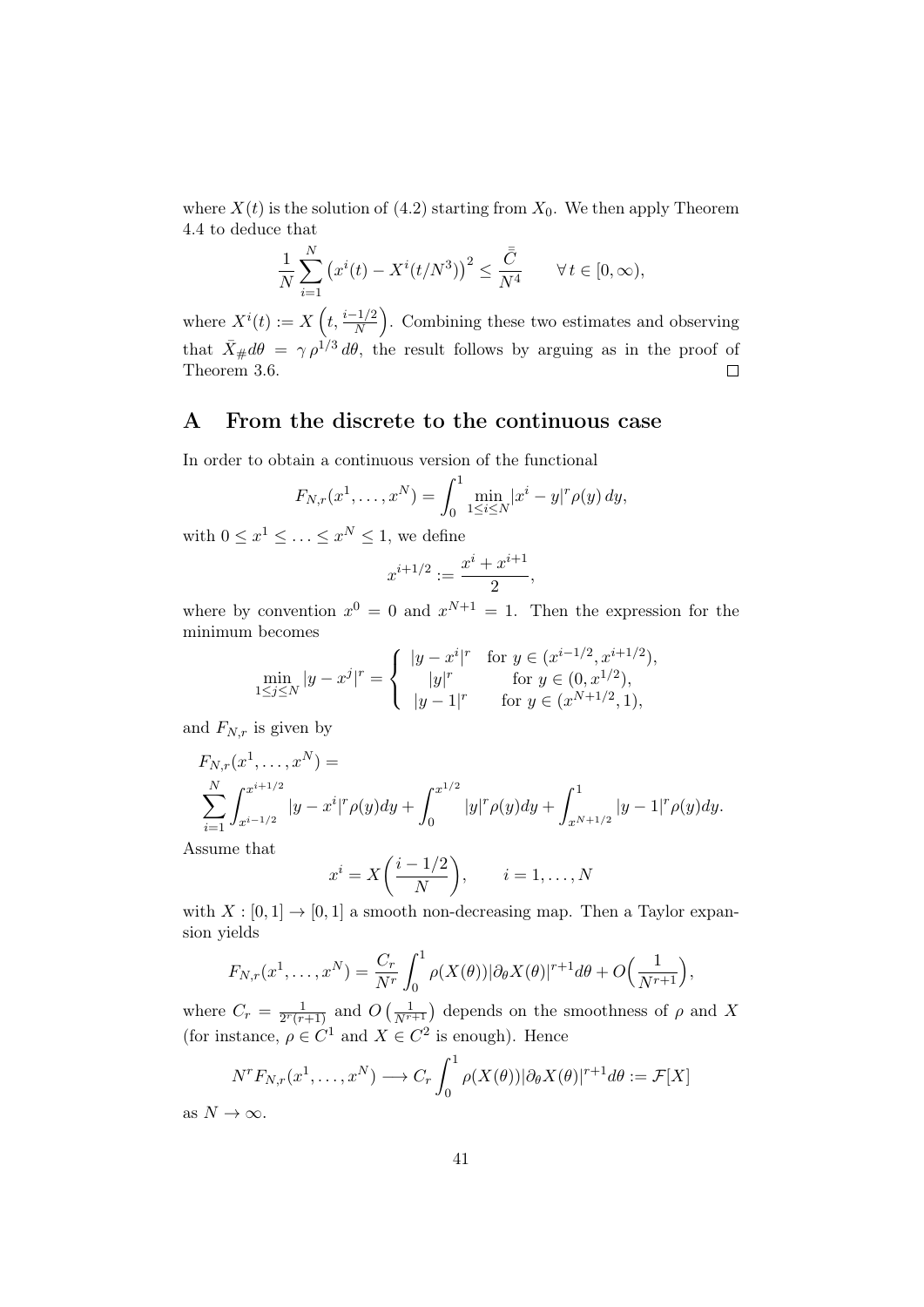where  $X(t)$  is the solution of (4.2) starting from  $X_0$ . We then apply Theorem 4.4 to deduce that

$$
\frac{1}{N}\sum_{i=1}^{N} \left(x^{i}(t) - X^{i}(t/N^{3})\right)^{2} \leq \frac{\bar{\bar{C}}}{N^{4}} \qquad \forall t \in [0, \infty),
$$

where  $X^{i}(t) := X\left(t, \frac{i-1/2}{N}\right)$ . Combining these two estimates and observing that  $\bar{X}_{\#}d\theta = \gamma \rho^{1/3} d\theta$ , the result follows by arguing as in the proof of Theorem 3.6.  $\Box$ 

## A From the discrete to the continuous case

In order to obtain a continuous version of the functional

$$
F_{N,r}(x^1,\ldots,x^N) = \int_0^1 \min_{1 \le i \le N} |x^i - y|^r \rho(y) \, dy,
$$

with  $0 \leq x^1 \leq \ldots \leq x^N \leq 1$ , we define

$$
x^{i+1/2} := \frac{x^i + x^{i+1}}{2},
$$

where by convention  $x^0 = 0$  and  $x^{N+1} = 1$ . Then the expression for the minimum becomes

$$
\min_{1 \le j \le N} |y - x^j|^r = \begin{cases} |y - x^i|^r & \text{for } y \in (x^{i-1/2}, x^{i+1/2}), \\ |y|^r & \text{for } y \in (0, x^{1/2}), \\ |y - 1|^r & \text{for } y \in (x^{N+1/2}, 1), \end{cases}
$$

and  $F_{N,r}$  is given by

$$
F_{N,r}(x^1, \dots, x^N) =
$$
  

$$
\sum_{i=1}^N \int_{x^{i-1/2}}^{x^{i+1/2}} |y - x^i|^r \rho(y) dy + \int_0^{x^{1/2}} |y|^r \rho(y) dy + \int_{x^{N+1/2}}^1 |y - 1|^r \rho(y) dy.
$$

Assume that

$$
x^{i} = X\left(\frac{i-1/2}{N}\right), \qquad i = 1, \dots, N
$$

with  $X : [0,1] \to [0,1]$  a smooth non-decreasing map. Then a Taylor expansion yields

$$
F_{N,r}(x^1,\ldots,x^N)=\frac{C_r}{N^r}\int_0^1\rho(X(\theta))|\partial_{\theta}X(\theta)|^{r+1}d\theta+O\Big(\frac{1}{N^{r+1}}\Big),
$$

where  $C_r = \frac{1}{2^r(r)}$  $\frac{1}{2^r(r+1)}$  and  $O\left(\frac{1}{N^{r+1}}\right)$  depends on the smoothness of  $\rho$  and X (for instance,  $\rho \in C^1$  and  $X \in C^2$  is enough). Hence

$$
N^r F_{N,r}(x^1, \dots, x^N) \longrightarrow C_r \int_0^1 \rho(X(\theta)) |\partial_{\theta} X(\theta)|^{r+1} d\theta := \mathcal{F}[X]
$$

as  $N \to \infty$ .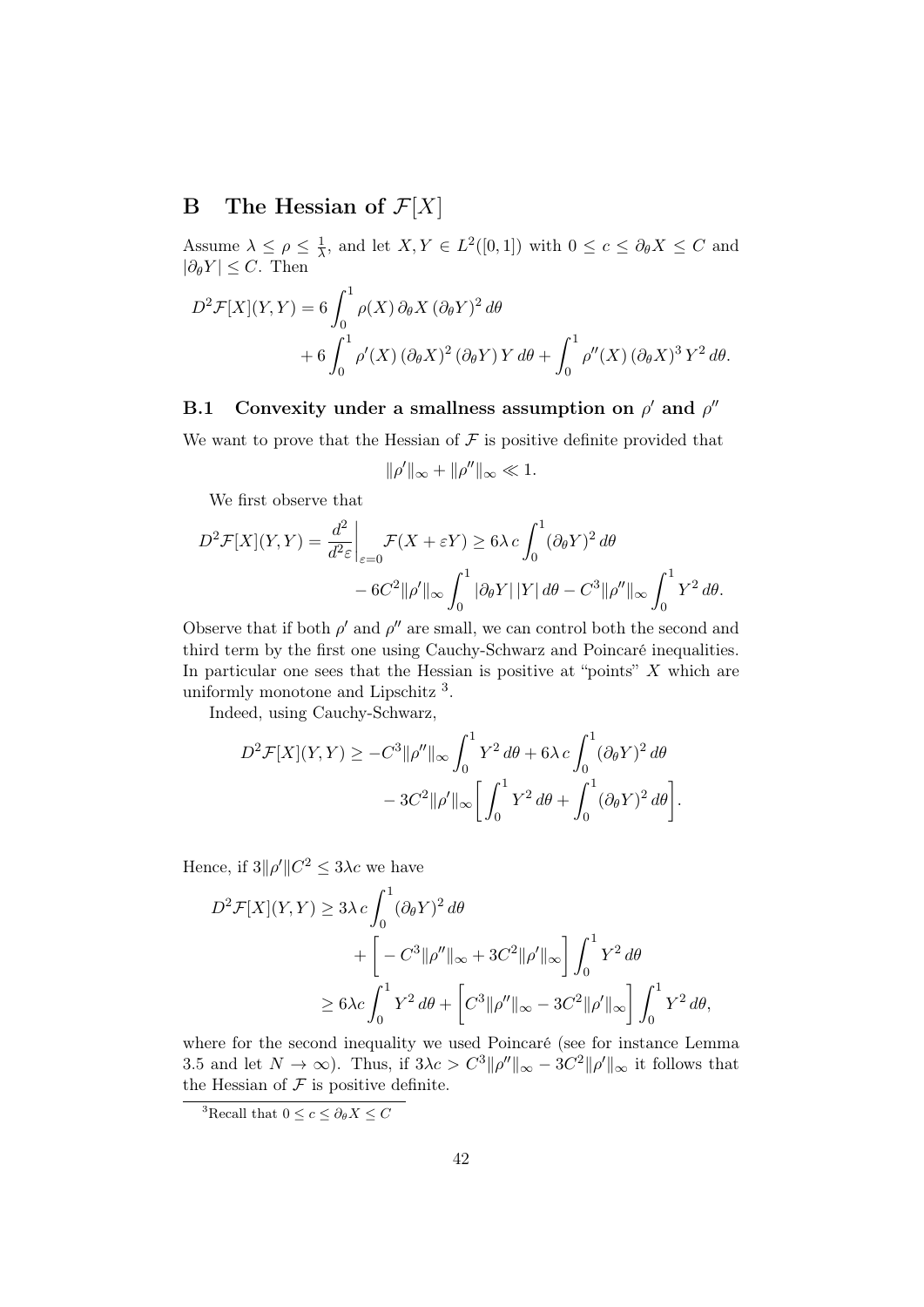## **B** The Hessian of  $\mathcal{F}[X]$

Assume  $\lambda \leq \rho \leq \frac{1}{\lambda}$  $\frac{1}{\lambda}$ , and let  $X, Y \in L^2([0,1])$  with  $0 \le c \le \partial_{\theta} X \le C$  and  $|\partial_{\theta}Y|$  < C. Then

$$
D^{2} \mathcal{F}[X](Y,Y) = 6 \int_{0}^{1} \rho(X) \, \partial_{\theta} X \, (\partial_{\theta} Y)^{2} \, d\theta
$$
  
+ 6 \int\_{0}^{1} \rho'(X) \, (\partial\_{\theta} X)^{2} \, (\partial\_{\theta} Y) Y \, d\theta + \int\_{0}^{1} \rho''(X) \, (\partial\_{\theta} X)^{3} Y^{2} \, d\theta.

## B.1 Convexity under a smallness assumption on  $\rho'$  and  $\rho''$

We want to prove that the Hessian of  $\mathcal F$  is positive definite provided that

$$
\|\rho'\|_\infty+\|\rho''\|_\infty\ll 1.
$$

We first observe that

$$
D^2 \mathcal{F}[X](Y, Y) = \frac{d^2}{d^2 \varepsilon} \bigg|_{\varepsilon=0} \mathcal{F}(X + \varepsilon Y) \ge 6\lambda c \int_0^1 (\partial_\theta Y)^2 d\theta
$$
  
- 6C<sup>2</sup> ||\rho'||\_{\infty} \int\_0^1 |\partial\_\theta Y| |Y| d\theta - C<sup>3</sup> ||\rho''||\_{\infty} \int\_0^1 Y^2 d\theta.

Observe that if both  $\rho'$  and  $\rho''$  are small, we can control both the second and third term by the first one using Cauchy-Schwarz and Poincaré inequalities. In particular one sees that the Hessian is positive at "points"  $X$  which are uniformly monotone and Lipschitz<sup>3</sup>.

Indeed, using Cauchy-Schwarz,

$$
D^2 \mathcal{F}[X](Y,Y) \ge -C^3 \|\rho''\|_{\infty} \int_0^1 Y^2 d\theta + 6\lambda c \int_0^1 (\partial_{\theta} Y)^2 d\theta
$$
  

$$
-3C^2 \|\rho'\|_{\infty} \left[ \int_0^1 Y^2 d\theta + \int_0^1 (\partial_{\theta} Y)^2 d\theta \right].
$$

Hence, if  $3||\rho'||C^2 \leq 3\lambda c$  we have

$$
D^2 \mathcal{F}[X](Y,Y) \ge 3\lambda c \int_0^1 (\partial_\theta Y)^2 d\theta
$$
  
+ 
$$
\left[ -C^3 \|\rho''\|_{\infty} + 3C^2 \|\rho'\|_{\infty} \right] \int_0^1 Y^2 d\theta
$$
  

$$
\ge 6\lambda c \int_0^1 Y^2 d\theta + \left[ C^3 \|\rho''\|_{\infty} - 3C^2 \|\rho'\|_{\infty} \right] \int_0^1 Y^2 d\theta,
$$

where for the second inequality we used Poincaré (see for instance Lemma 3.5 and let  $N \to \infty$ ). Thus, if  $3\lambda c > C^3 \|\rho''\|_{\infty} - 3C^2 \|\rho'\|_{\infty}$  it follows that the Hessian of  $\mathcal F$  is positive definite.

<sup>&</sup>lt;sup>3</sup>Recall that  $0 \leq c \leq \partial_{\theta} X \leq C$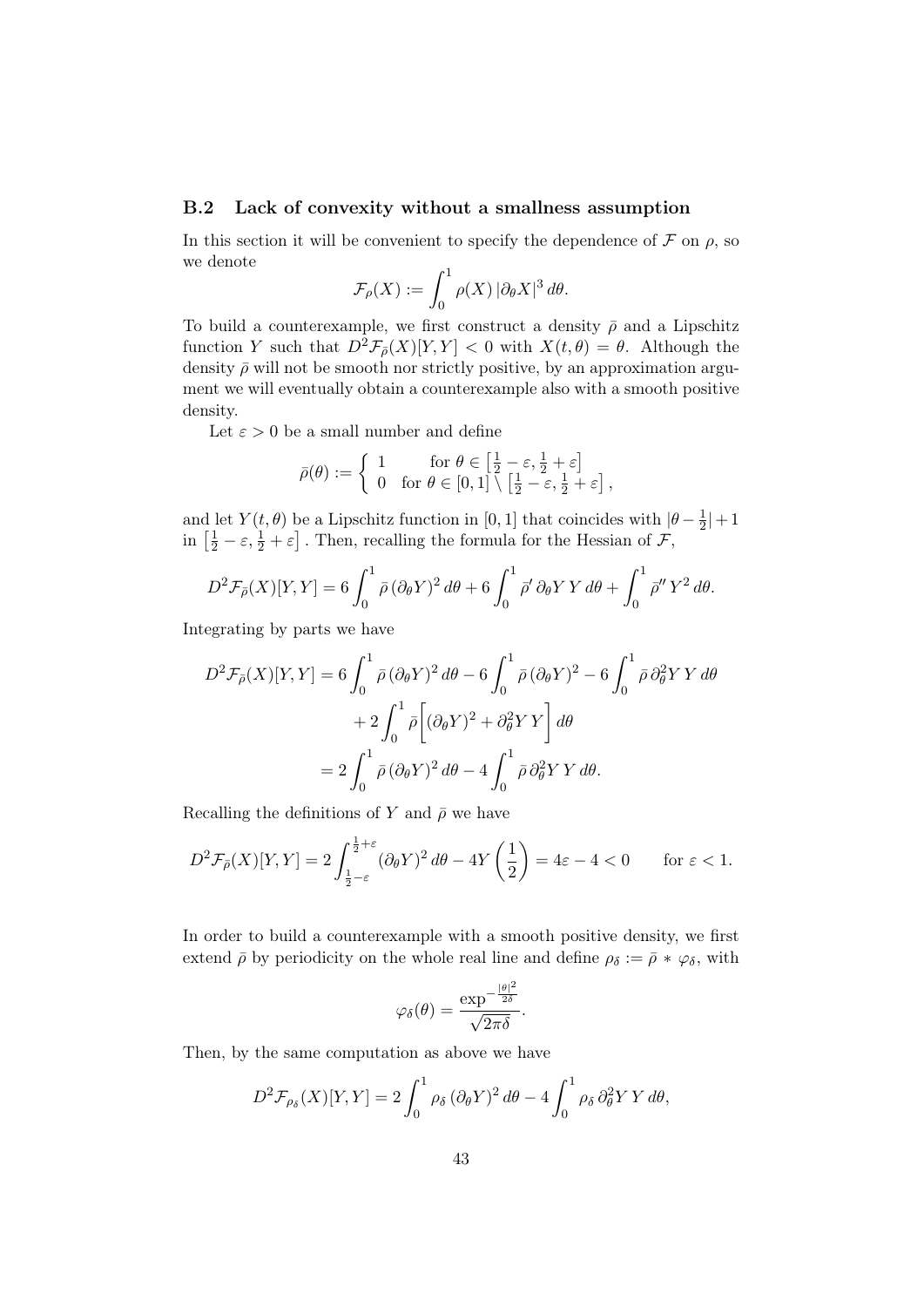### B.2 Lack of convexity without a smallness assumption

In this section it will be convenient to specify the dependence of  $\mathcal F$  on  $\rho$ , so we denote

$$
\mathcal{F}_{\rho}(X) := \int_0^1 \rho(X) \, |\partial_{\theta} X|^3 \, d\theta.
$$

To build a counterexample, we first construct a density  $\bar{\rho}$  and a Lipschitz function Y such that  $D^2 \mathcal{F}_{\bar{\rho}}(X)[Y, Y] < 0$  with  $X(t, \theta) = \theta$ . Although the density  $\bar{\rho}$  will not be smooth nor strictly positive, by an approximation argument we will eventually obtain a counterexample also with a smooth positive density.

Let  $\varepsilon > 0$  be a small number and define

$$
\bar{\rho}(\theta) := \left\{ \begin{array}{ll} 1 & \text{for } \theta \in \left[\frac{1}{2} - \varepsilon, \frac{1}{2} + \varepsilon\right] \\ 0 & \text{for } \theta \in \left[0,1\right] \setminus \left[\frac{1}{2} - \varepsilon, \frac{1}{2} + \varepsilon\right], \end{array} \right.
$$

and let  $Y(t, \theta)$  be a Lipschitz function in [0, 1] that coincides with  $|\theta - \frac{1}{2}\rangle$  $\frac{1}{2}|+1$ in  $\left[\frac{1}{2} - \varepsilon, \frac{1}{2} + \varepsilon\right]$ . Then, recalling the formula for the Hessian of  $\mathcal{F}$ ,

$$
D^2 \mathcal{F}_{\bar{\rho}}(X)[Y,Y] = 6 \int_0^1 \bar{\rho} (\partial_{\theta} Y)^2 d\theta + 6 \int_0^1 \bar{\rho}' \partial_{\theta} Y Y d\theta + \int_0^1 \bar{\rho}'' Y^2 d\theta.
$$

Integrating by parts we have

$$
D^2 \mathcal{F}_{\bar{\rho}}(X)[Y,Y] = 6 \int_0^1 \bar{\rho} (\partial_{\theta} Y)^2 d\theta - 6 \int_0^1 \bar{\rho} (\partial_{\theta} Y)^2 - 6 \int_0^1 \bar{\rho} \partial_{\theta}^2 Y Y d\theta
$$
  
+ 
$$
2 \int_0^1 \bar{\rho} \left[ (\partial_{\theta} Y)^2 + \partial_{\theta}^2 Y Y \right] d\theta
$$
  
= 
$$
2 \int_0^1 \bar{\rho} (\partial_{\theta} Y)^2 d\theta - 4 \int_0^1 \bar{\rho} \partial_{\theta}^2 Y Y d\theta.
$$

Recalling the definitions of Y and  $\bar{\rho}$  we have

$$
D^2 \mathcal{F}_{\bar{\rho}}(X)[Y,Y] = 2 \int_{\frac{1}{2}-\varepsilon}^{\frac{1}{2}+\varepsilon} (\partial_{\theta} Y)^2 d\theta - 4Y\left(\frac{1}{2}\right) = 4\varepsilon - 4 < 0 \quad \text{for } \varepsilon < 1.
$$

In order to build a counterexample with a smooth positive density, we first extend  $\bar{\rho}$  by periodicity on the whole real line and define  $\rho_{\delta} := \bar{\rho} * \varphi_{\delta}$ , with

$$
\varphi_{\delta}(\theta) = \frac{\exp^{-\frac{|\theta|^2}{2\delta}}}{\sqrt{2\pi\delta}}.
$$

Then, by the same computation as above we have

$$
D^{2} \mathcal{F}_{\rho_{\delta}}(X)[Y,Y] = 2 \int_{0}^{1} \rho_{\delta} (\partial_{\theta} Y)^{2} d\theta - 4 \int_{0}^{1} \rho_{\delta} \partial_{\theta}^{2} Y Y d\theta,
$$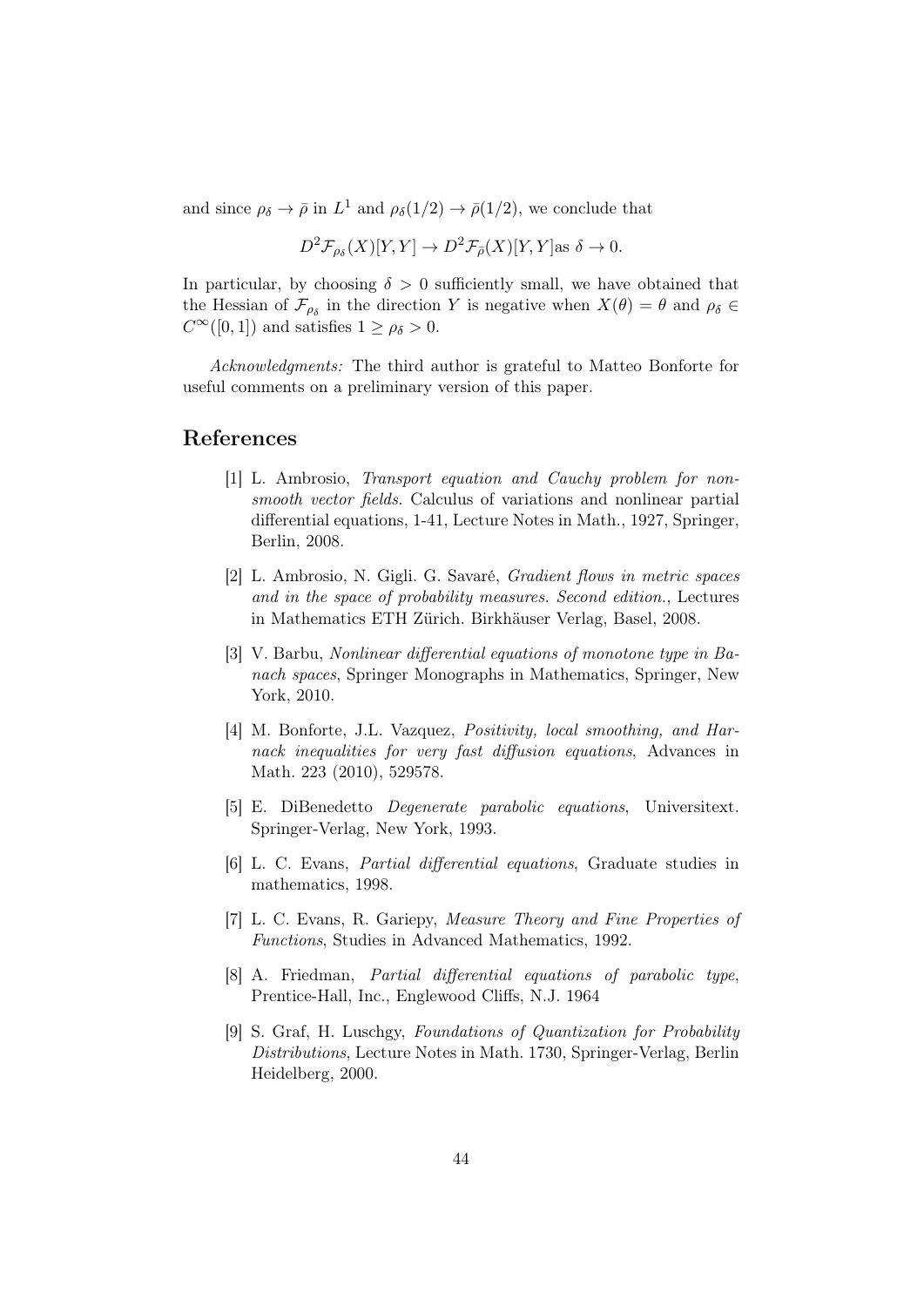and since  $\rho_{\delta} \to \bar{\rho}$  in  $L^1$  and  $\rho_{\delta}(1/2) \to \bar{\rho}(1/2)$ , we conclude that

$$
D^2 \mathcal{F}_{\rho_\delta}(X)[Y,Y] \to D^2 \mathcal{F}_{\bar{\rho}}(X)[Y,Y] \text{as } \delta \to 0.
$$

In particular, by choosing  $\delta > 0$  sufficiently small, we have obtained that the Hessian of  $\mathcal{F}_{\rho_{\delta}}$  in the direction Y is negative when  $X(\theta) = \theta$  and  $\rho_{\delta} \in$  $C^{\infty}([0,1])$  and satisfies  $1 \geq \rho_{\delta} > 0$ .

Acknowledgments: The third author is grateful to Matteo Bonforte for useful comments on a preliminary version of this paper.

## References

- [1] L. Ambrosio, Transport equation and Cauchy problem for nonsmooth vector fields. Calculus of variations and nonlinear partial differential equations, 1-41, Lecture Notes in Math., 1927, Springer, Berlin, 2008.
- [2] L. Ambrosio, N. Gigli. G. Savaré, Gradient flows in metric spaces and in the space of probability measures. Second edition., Lectures in Mathematics ETH Zürich. Birkhäuser Verlag, Basel, 2008.
- [3] V. Barbu, Nonlinear differential equations of monotone type in Banach spaces, Springer Monographs in Mathematics, Springer, New York, 2010.
- [4] M. Bonforte, J.L. Vazquez, Positivity, local smoothing, and Harnack inequalities for very fast diffusion equations, Advances in Math. 223 (2010), 529578.
- [5] E. DiBenedetto Degenerate parabolic equations, Universitext. Springer-Verlag, New York, 1993.
- [6] L. C. Evans, Partial differential equations, Graduate studies in mathematics, 1998.
- [7] L. C. Evans, R. Gariepy, Measure Theory and Fine Properties of Functions, Studies in Advanced Mathematics, 1992.
- [8] A. Friedman, Partial differential equations of parabolic type, Prentice-Hall, Inc., Englewood Cliffs, N.J. 1964
- [9] S. Graf, H. Luschgy, Foundations of Quantization for Probability Distributions, Lecture Notes in Math. 1730, Springer-Verlag, Berlin Heidelberg, 2000.